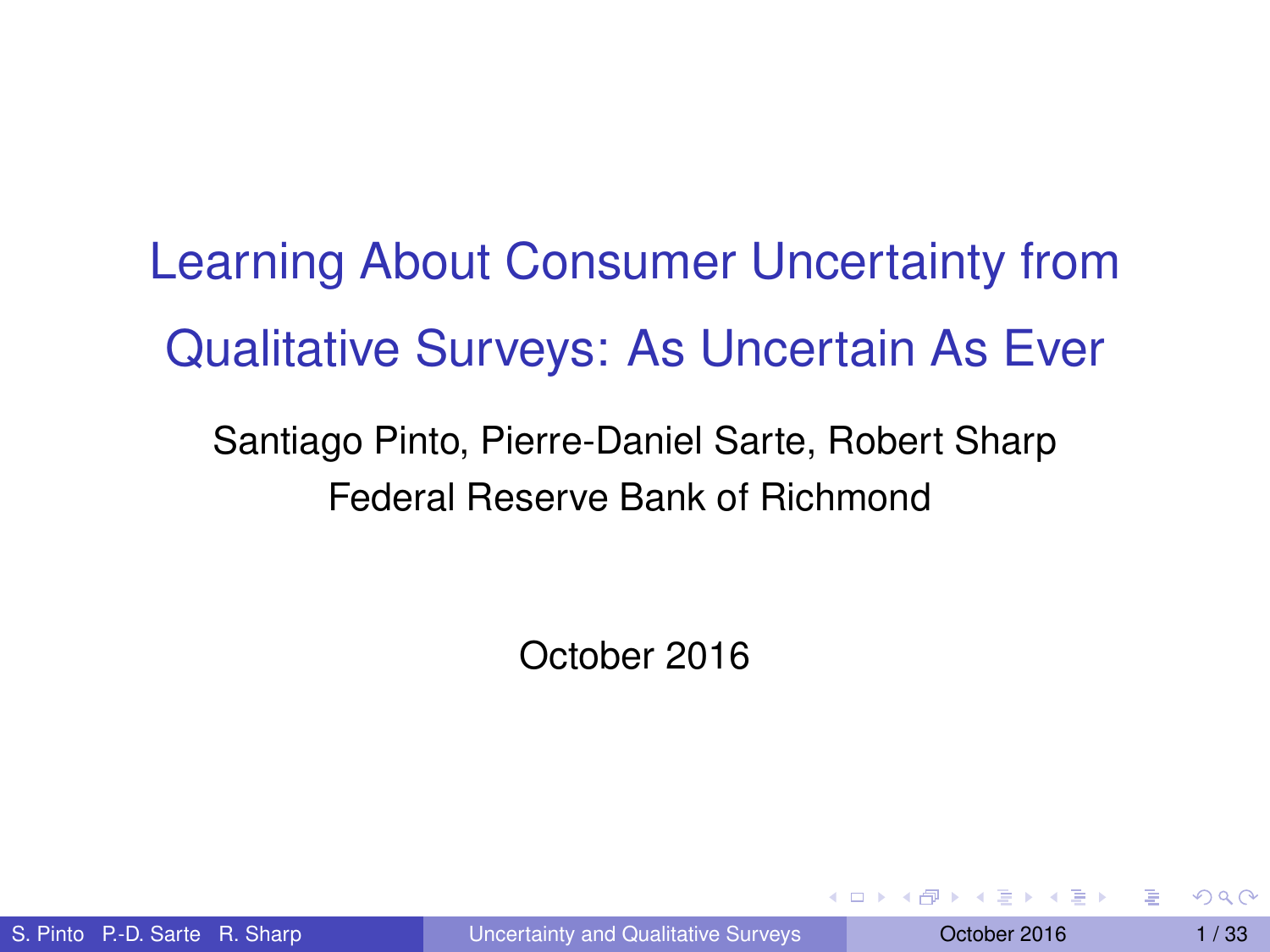Learning About Consumer Uncertainty from Qualitative Surveys: As Uncertain As Ever

#### Federal Reserve Bank of Richmond Santiago Pinto, Pierre-Daniel Sarte, Robert Sharp

<span id="page-0-0"></span>October 2016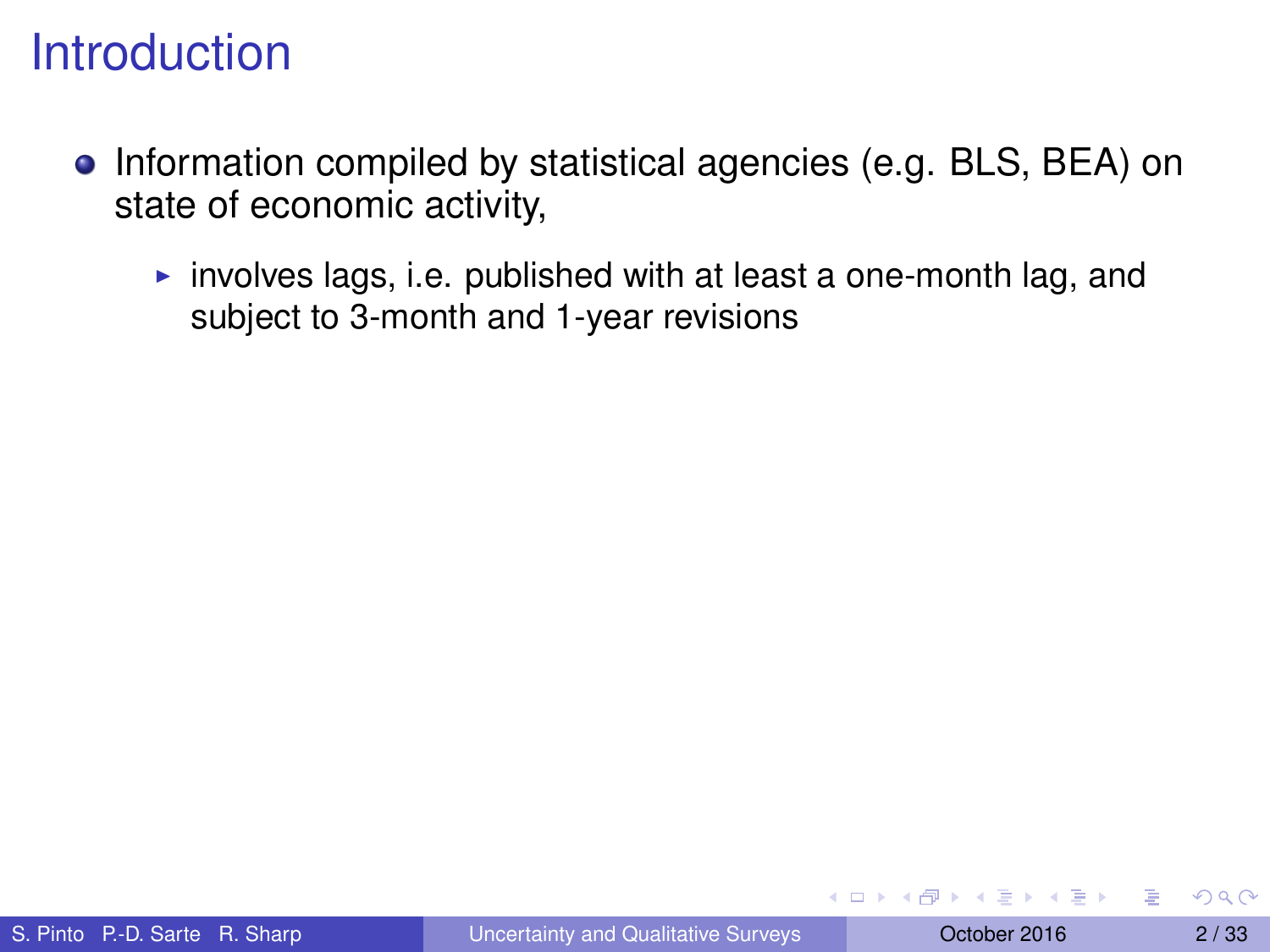- Information compiled by statistical agencies (e.g. BLS, BEA) on state of economic activity,
	- involves lags, i.e. published with at least a one-month lag, and subject to 3-month and 1-year revisions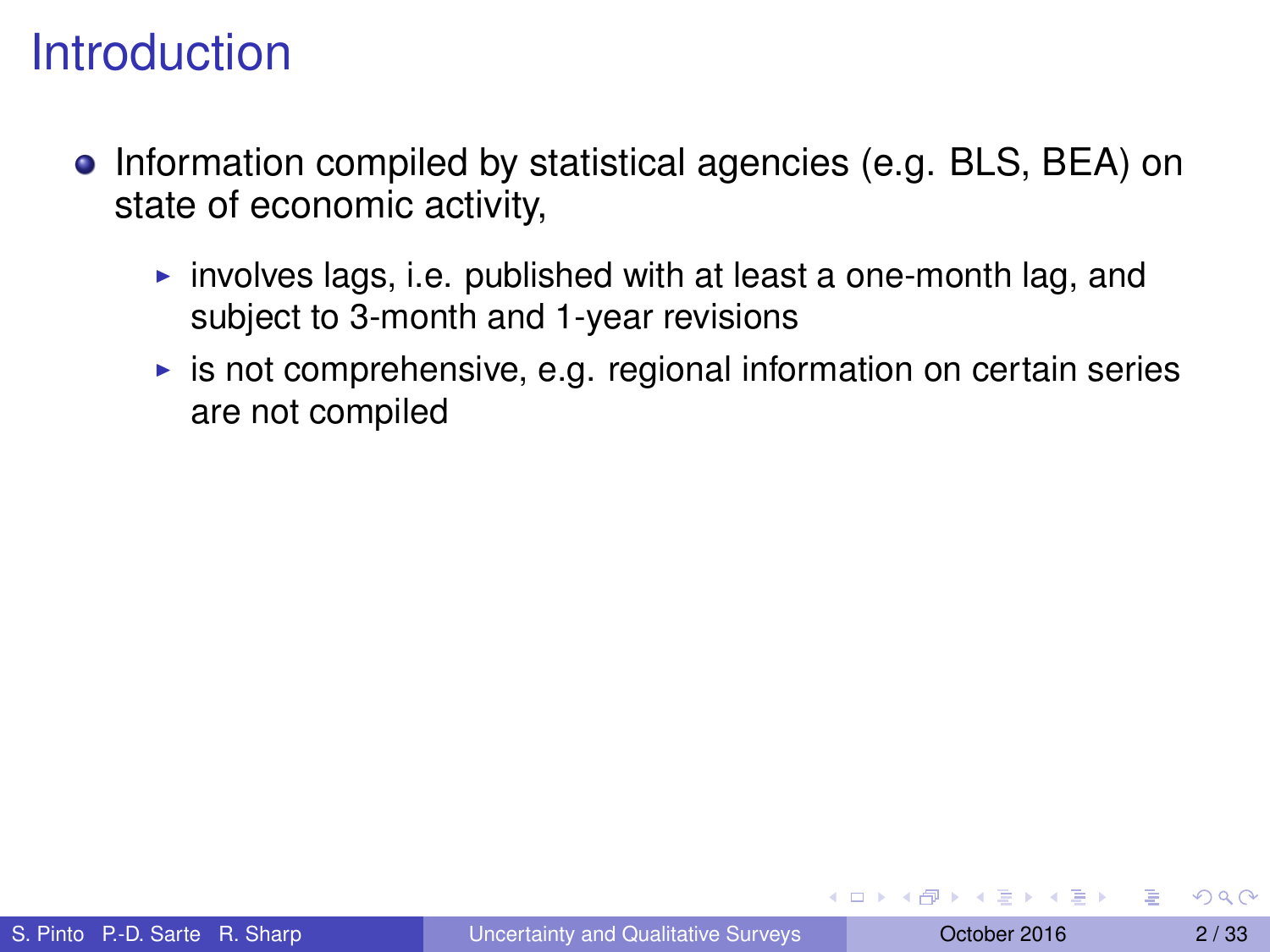- Information compiled by statistical agencies (e.g. BLS, BEA) on state of economic activity,
	- involves lags, i.e. published with at least a one-month lag, and subject to 3-month and 1-year revisions
	- $\triangleright$  is not comprehensive, e.g. regional information on certain series are not compiled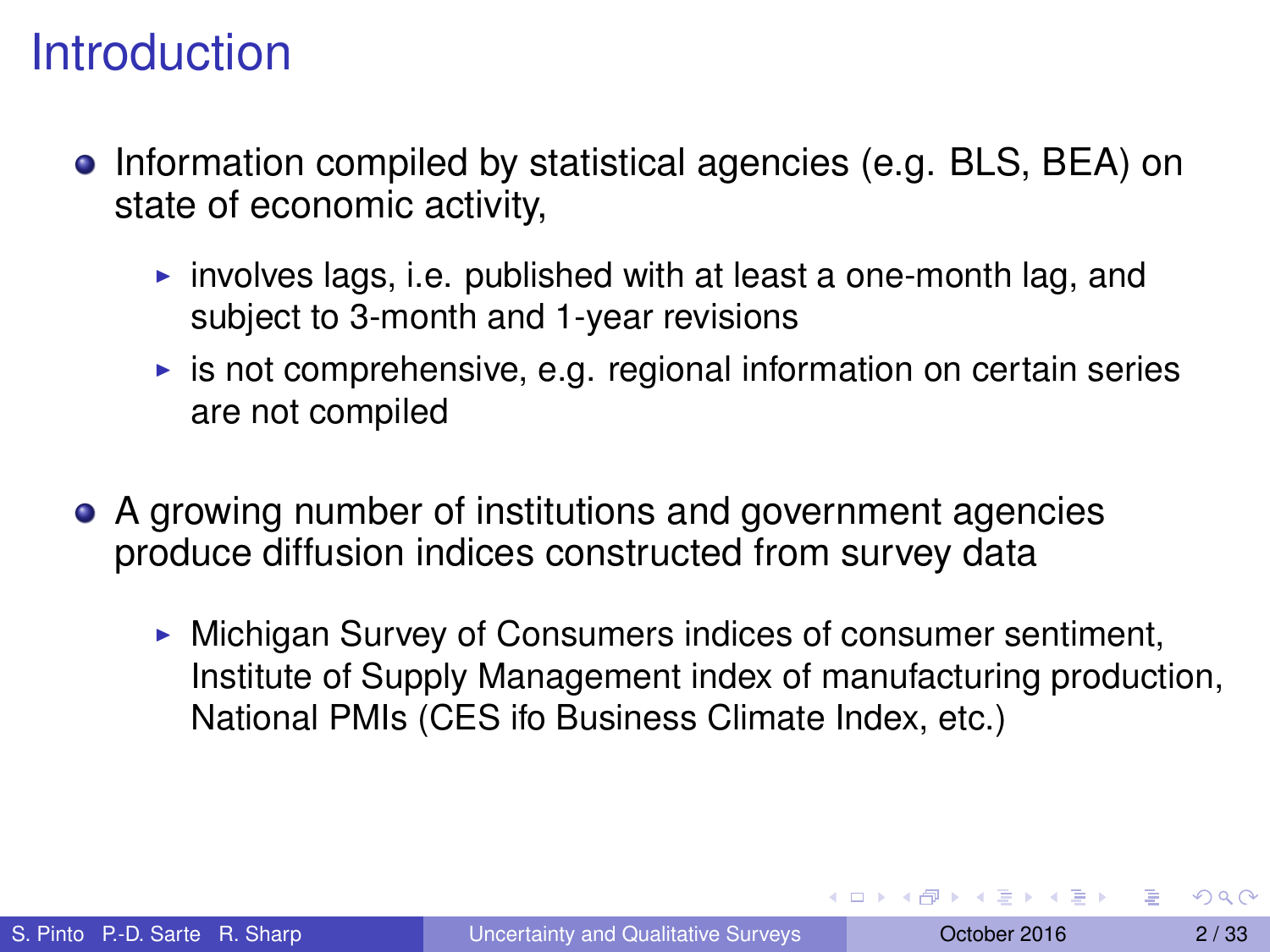- **•** Information compiled by statistical agencies (e.g. BLS, BEA) on state of economic activity,
	- involves lags, i.e. published with at least a one-month lag, and subiect to 3-month and 1-year revisions
	- $\triangleright$  is not comprehensive, e.g. regional information on certain series are not compiled
- A growing number of institutions and government agencies produce diffusion indices constructed from survey data
	- $\triangleright$  Michigan Survey of Consumers indices of consumer sentiment, Institute of Supply Management index of manufacturing production, National PMIs (CES ifo Business Climate Index, etc.)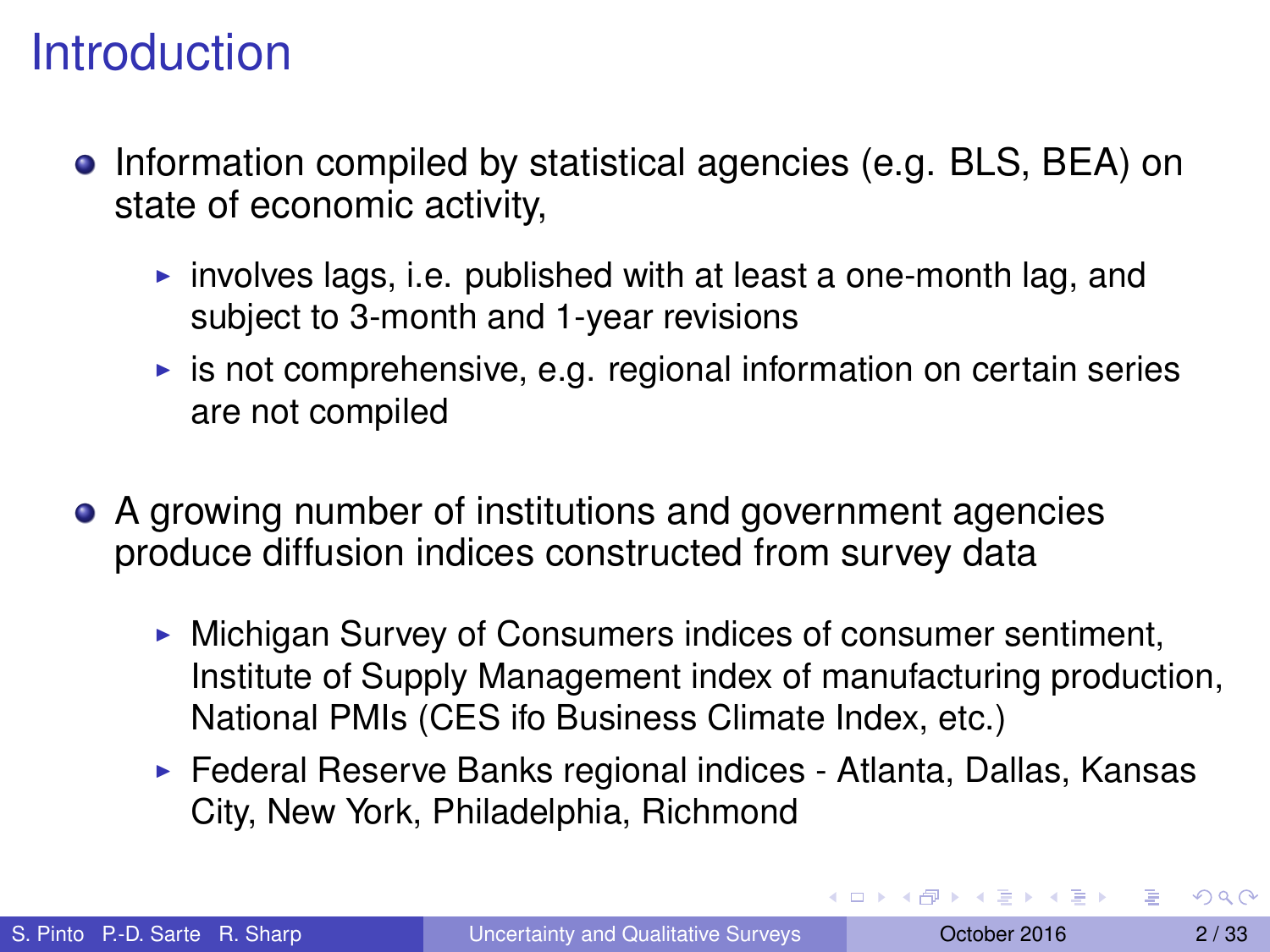- **•** Information compiled by statistical agencies (e.g. BLS, BEA) on state of economic activity,
	- involves lags, i.e. published with at least a one-month lag, and subject to 3-month and 1-year revisions
	- $\triangleright$  is not comprehensive, e.g. regional information on certain series are not compiled
- A growing number of institutions and government agencies produce diffusion indices constructed from survey data
	- $\triangleright$  Michigan Survey of Consumers indices of consumer sentiment, Institute of Supply Management index of manufacturing production, National PMIs (CES ifo Business Climate Index, etc.)
	- $\triangleright$  Federal Reserve Banks regional indices Atlanta, Dallas, Kansas City, New York, Philadelphia, Richmond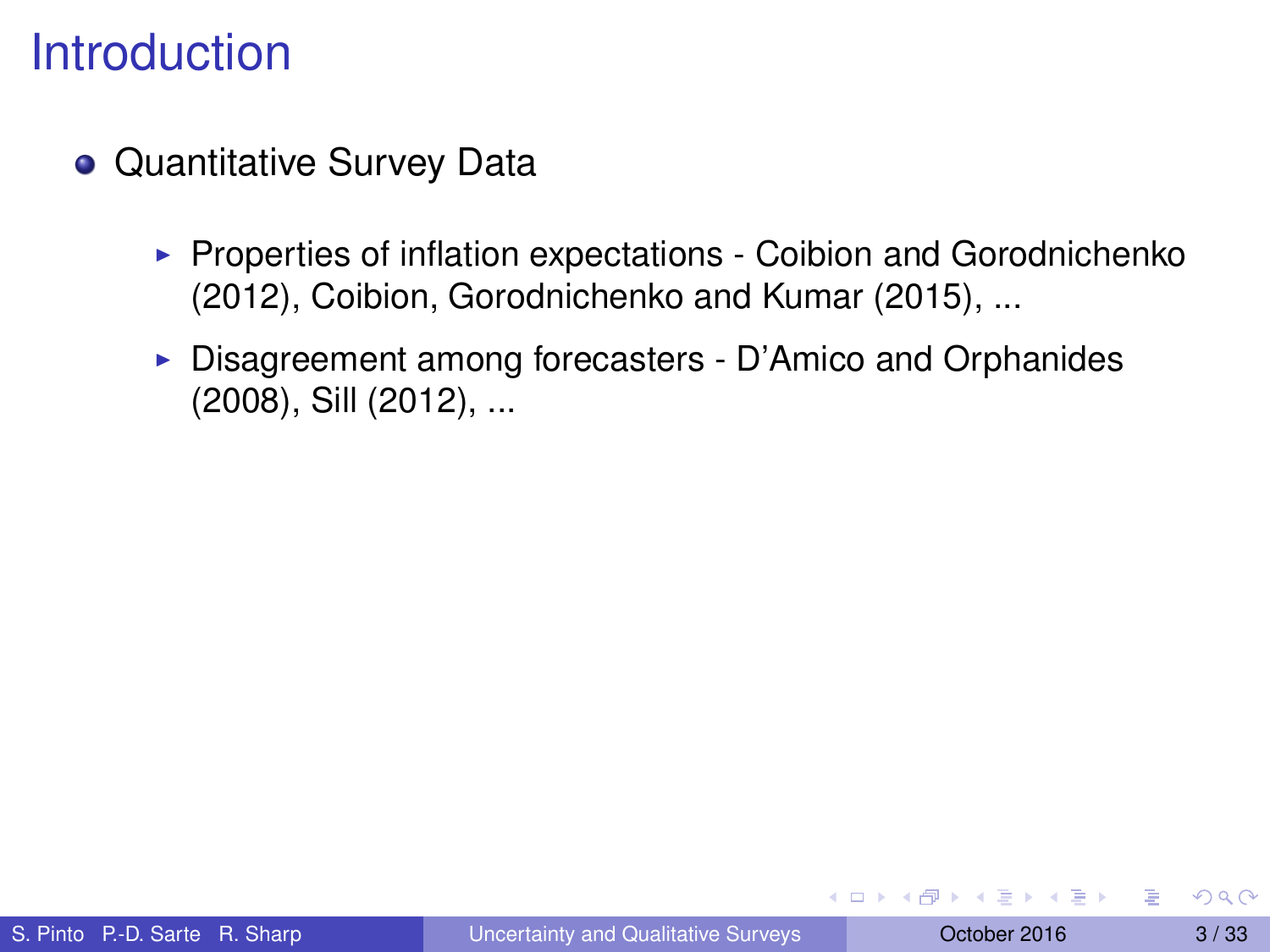- Quantitative Survey Data
	- $\triangleright$  Properties of inflation expectations Coibion and Gorodnichenko (2012), Coibion, Gorodnichenko and Kumar (2015), ...
	- $\triangleright$  Disagreement among forecasters D'Amico and Orphanides (2008), Sill (2012), ...

イロト イ押ト イヨト イヨトー

Þ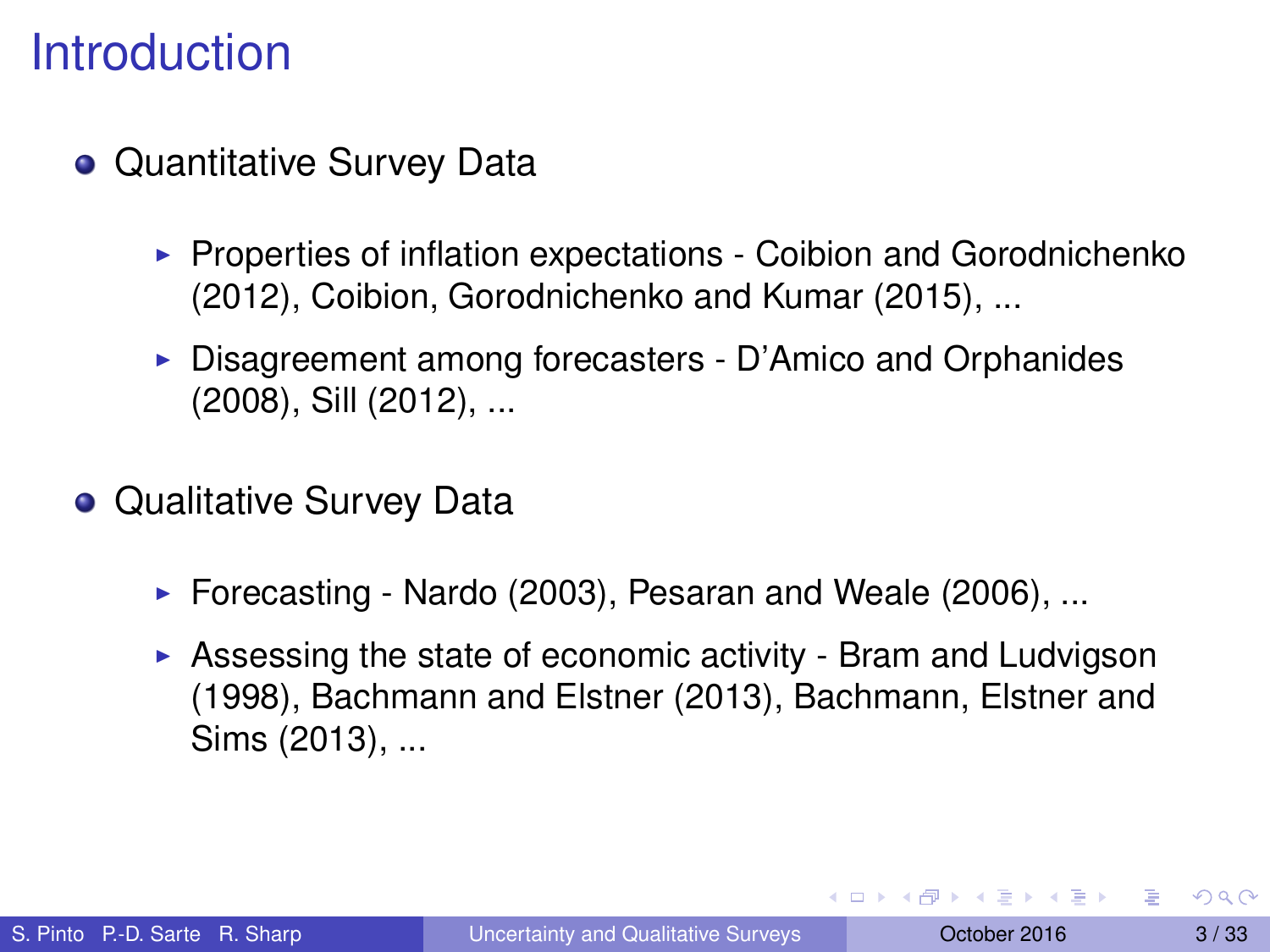- Quantitative Survey Data
	- $\triangleright$  Properties of inflation expectations Coibion and Gorodnichenko (2012), Coibion, Gorodnichenko and Kumar (2015), ...
	- $\triangleright$  Disagreement among forecasters D'Amico and Orphanides (2008), Sill (2012), ...
- Qualitative Survey Data
	- $\triangleright$  Forecasting Nardo (2003), Pesaran and Weale (2006), ...
	- $\triangleright$  Assessing the state of economic activity Bram and Ludvigson (1998), Bachmann and Elstner (2013), Bachmann, Elstner and Sims (2013), ...

в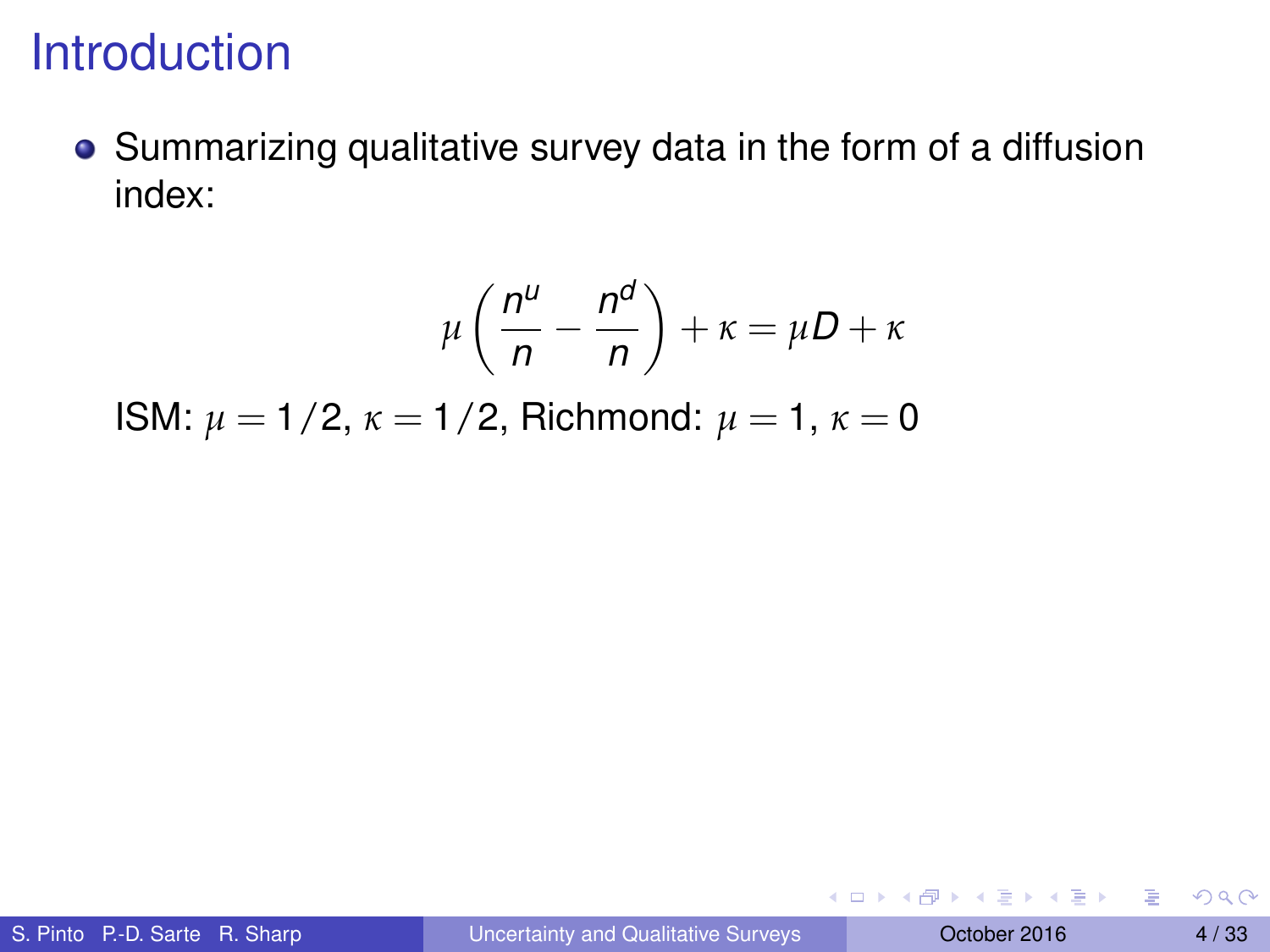Summarizing qualitative survey data in the form of a diffusion index:

$$
\mu\left(\frac{n^{\mu}}{n}-\frac{n^{\mu}}{n}\right)+\kappa=\mu D+\kappa
$$

ISM:  $\mu = 1/2$ ,  $\kappa = 1/2$ , Richmond:  $\mu = 1$ ,  $\kappa = 0$ 

4 0 8 4 6 8 4 9 8 4 9 8 1

в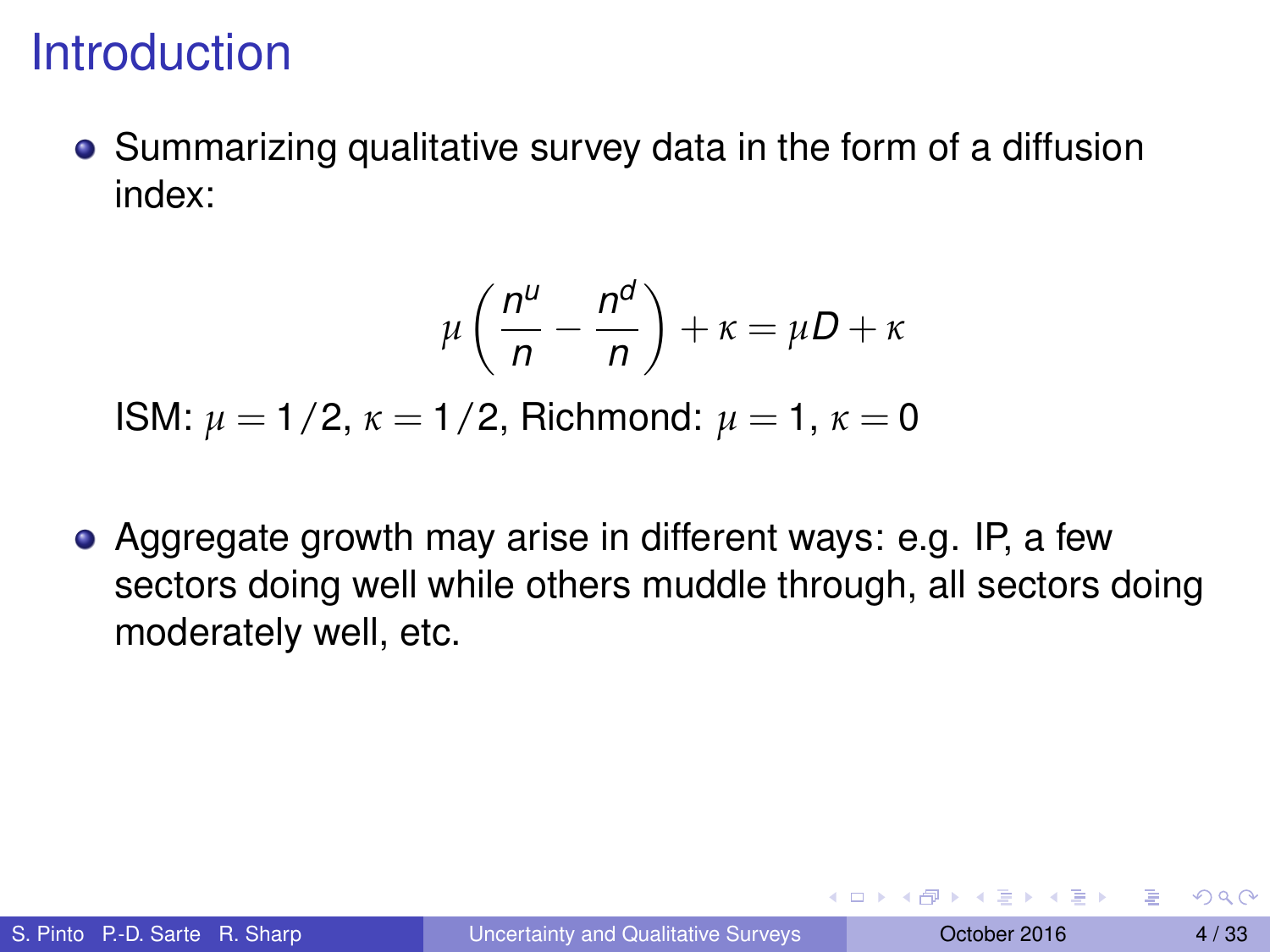Summarizing qualitative survey data in the form of a diffusion index:

$$
\mu\left(\frac{n^{\mu}}{n}-\frac{n^{\mu}}{n}\right)+\kappa=\mu D+\kappa
$$

ISM: *µ* = 1/2, *κ* = 1/2, Richmond: *µ* = 1, *κ* = 0

Aggregate growth may arise in different ways: e.g. IP, a few sectors doing well while others muddle through, all sectors doing moderately well, etc.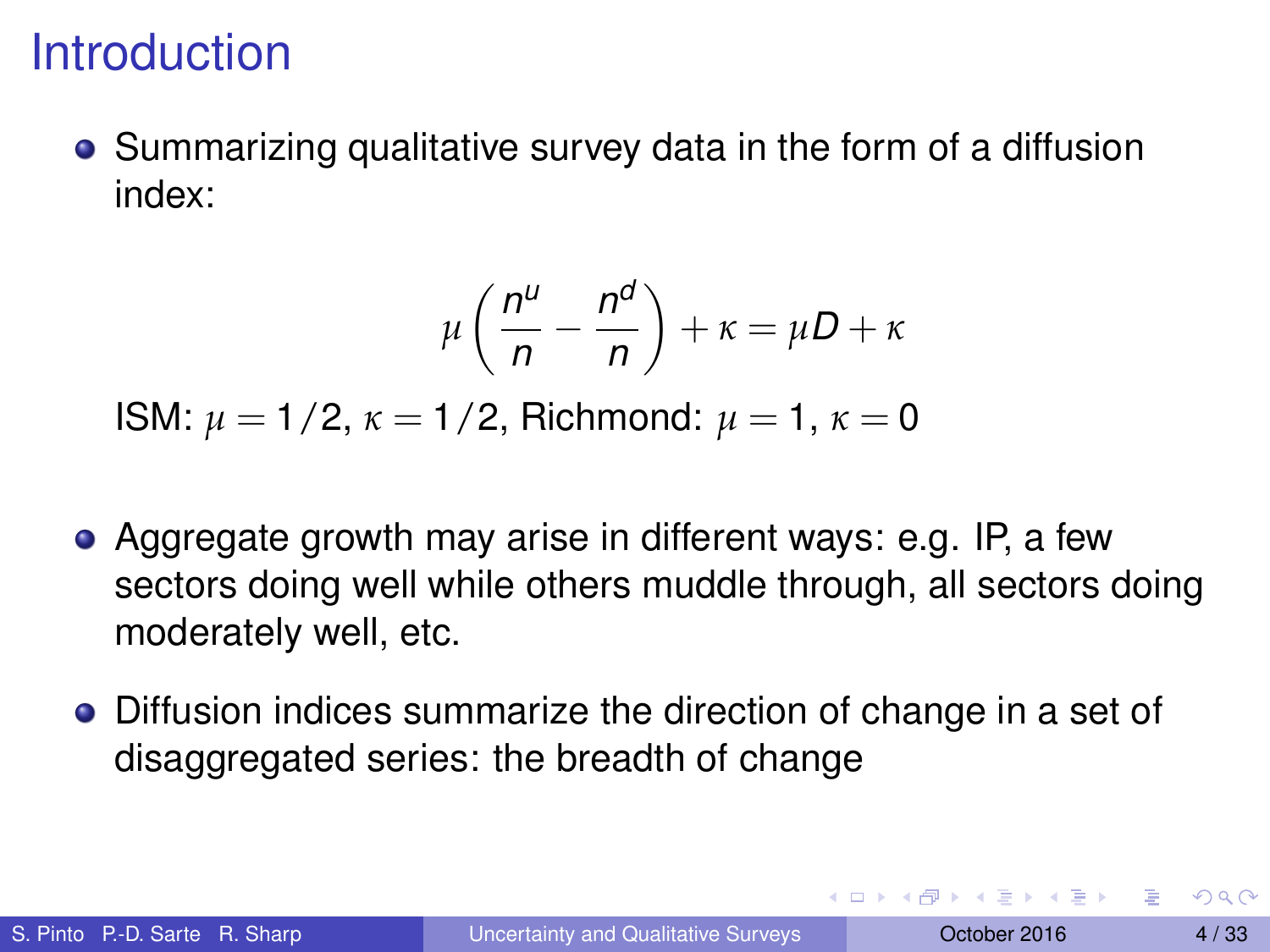Summarizing qualitative survey data in the form of a diffusion index:

$$
\mu\left(\frac{n^{\mu}}{n}-\frac{n^{\mu}}{n}\right)+\kappa=\mu D+\kappa
$$

ISM: *µ* = 1/2, *κ* = 1/2, Richmond: *µ* = 1, *κ* = 0

- Aggregate growth may arise in different ways: e.g. IP, a few sectors doing well while others muddle through, all sectors doing moderately well, etc.
- Diffusion indices summarize the direction of change in a set of disaggregated series: the breadth of change

в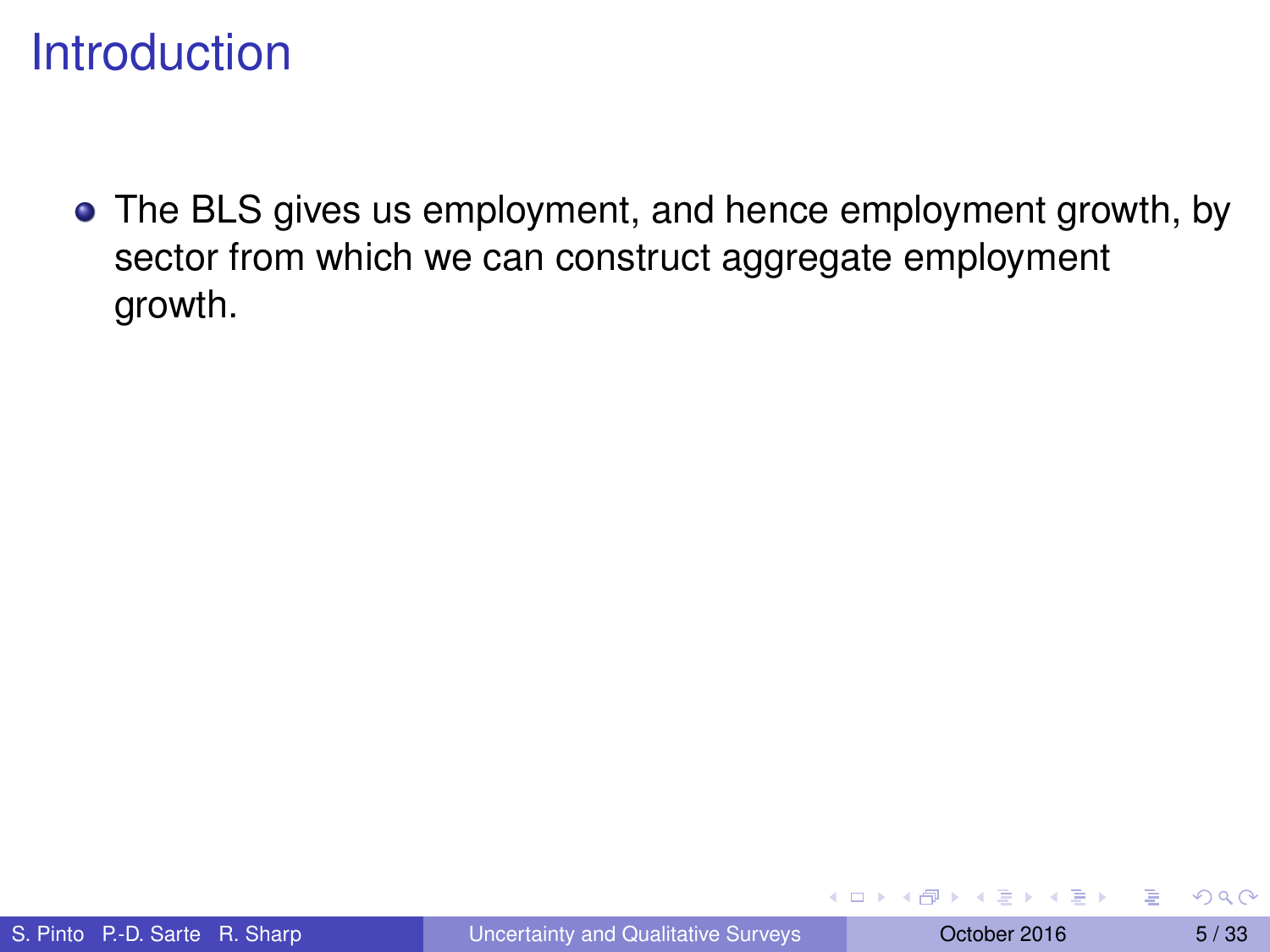The BLS gives us employment, and hence employment growth, by sector from which we can construct aggregate employment growth.

4 17 18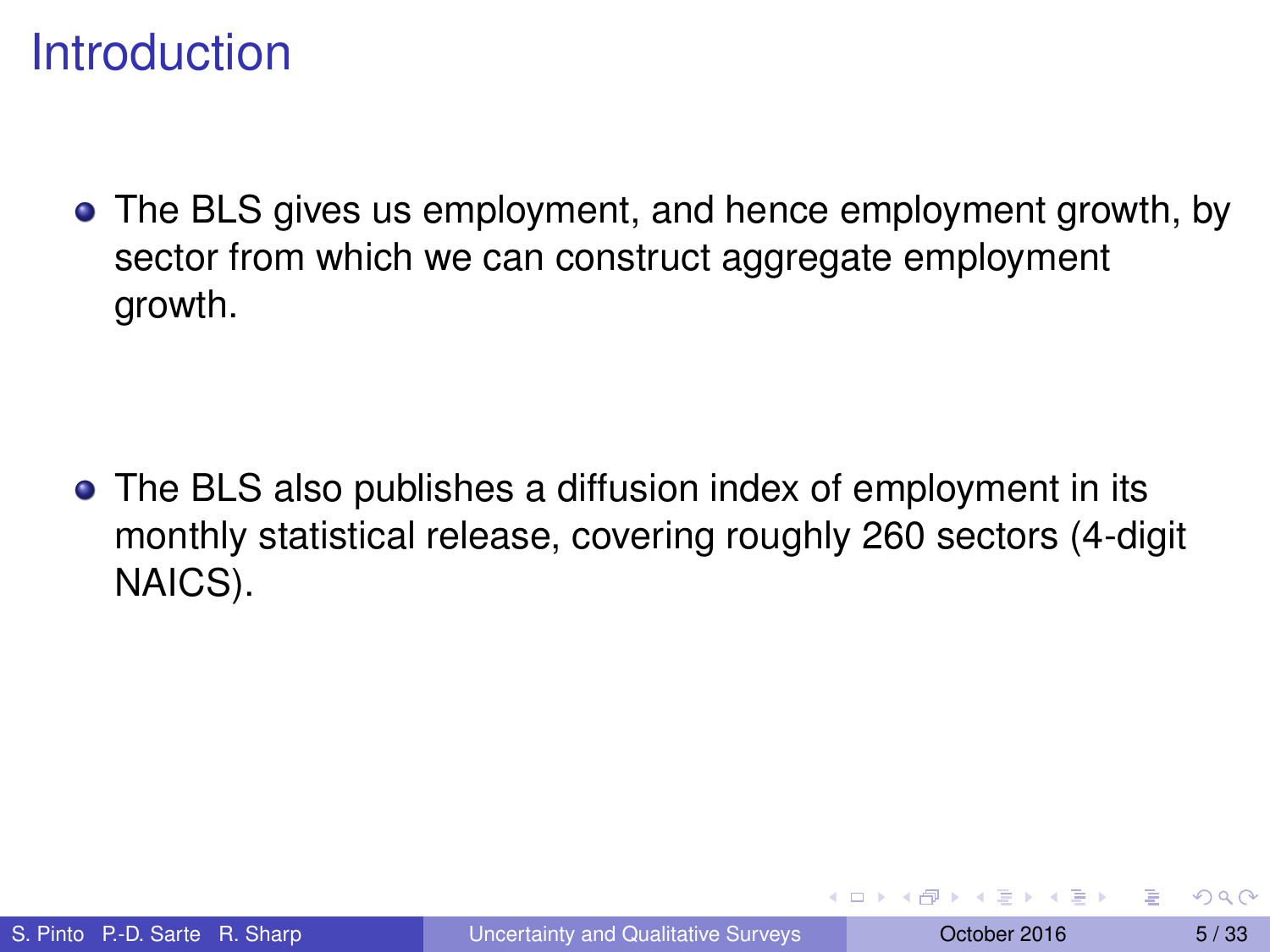The BLS gives us employment, and hence employment growth, by sector from which we can construct aggregate employment growth.

The BLS also publishes a diffusion index of employment in its monthly statistical release, covering roughly 260 sectors (4-digit NAICS).

**A BAK A BAK**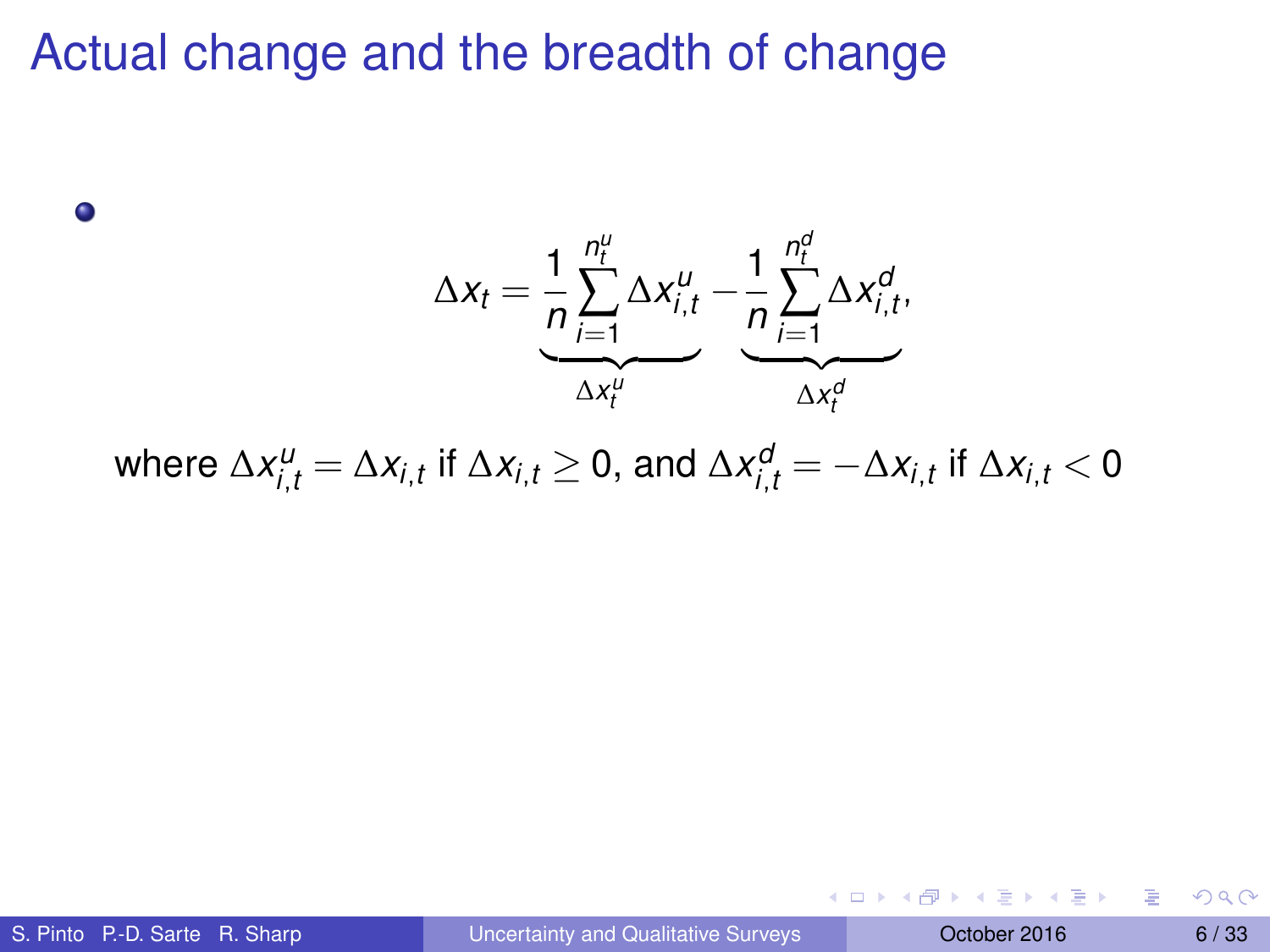$\Delta x_t = \frac{1}{R}$ *n n*<sup>*u*</sup></sup> *n*<sup>*u*</sup> *t i*=1  $\Delta x_{i,t}^u - \frac{1}{n}$  $\Delta x_t^u$ *n n d t* ∑ *i*=1  $\Delta x_{i,t}^d$  $\Delta x_t^d$ 

 $\Delta x^{\mu}_{i,t} = \Delta x_{i,t}$  if  $\Delta x_{i,t} \geq 0$ , and  $\Delta x^{\sigma}_{i,t} = -\Delta x_{i,t}$  if  $\Delta x_{i,t} < 0$ 

 $\bullet$ 

4 0 8 4 4 9 8 4 9 8 4 9 8

E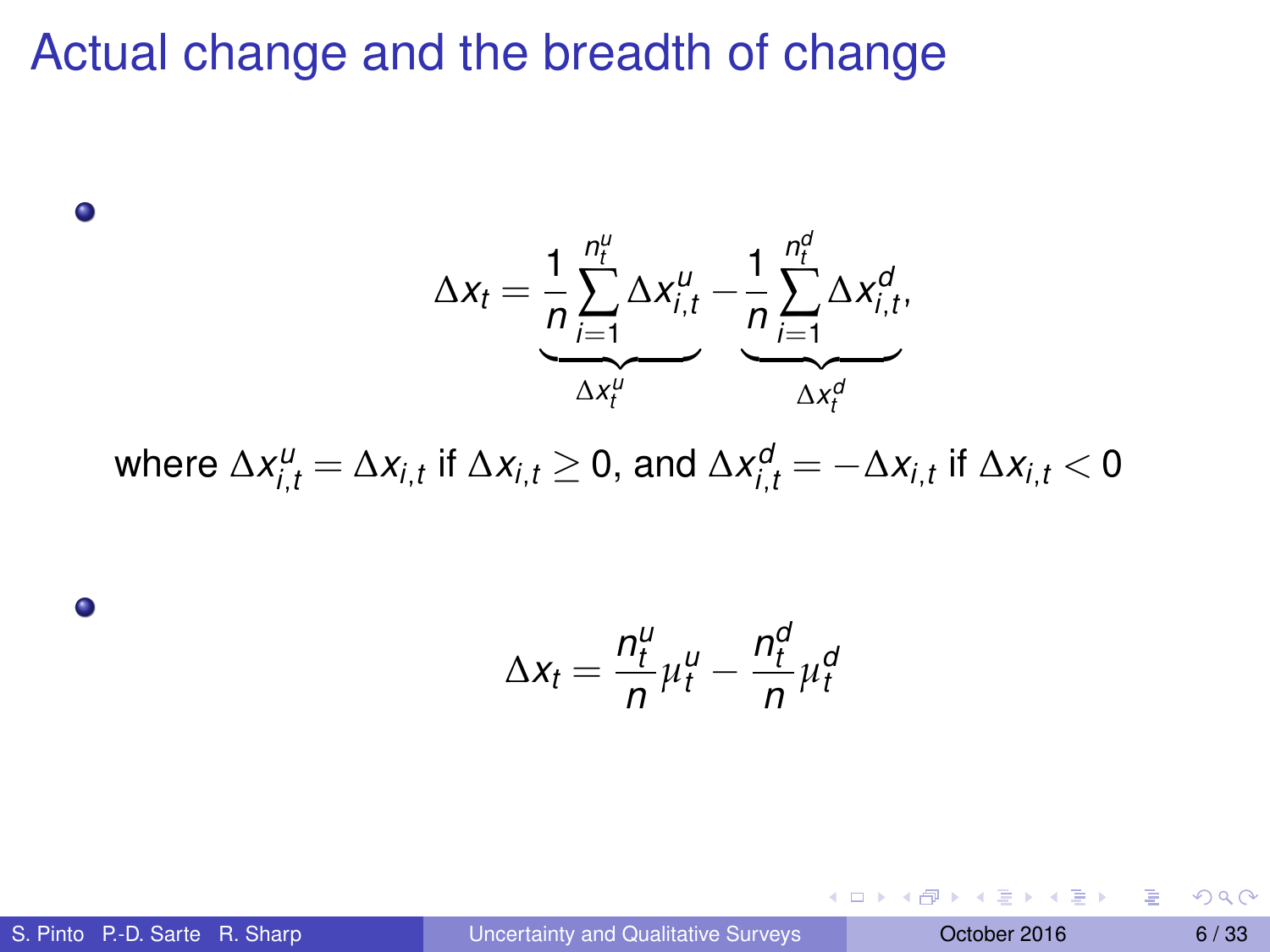$\Delta x_t = \frac{1}{R}$ *n n*<sup>*u*</sup></sup> *n*<sup>*u*</sup> *t i*=1  $\Delta x_{i,t}^u - \frac{1}{n}$  $\Delta x_t^u$ *n n d t* ∑ *i*=1  $\Delta x_{i,t}^d$  $\Delta x_t^d$ 

 $\Delta x^{\mu}_{i,t} = \Delta x_{i,t}$  if  $\Delta x_{i,t} \geq 0$ , and  $\Delta x^{\sigma}_{i,t} = -\Delta x_{i,t}$  if  $\Delta x_{i,t} < 0$ 

$$
\Delta x_t = \frac{n_t^u}{n} \mu_t^u - \frac{n_t^d}{n} \mu_t^d
$$

 $\bullet$ 

0

S. Pinto P.-D. Sarte R. Sharp [Uncertainty and Qualitative Surveys](#page-0-0) Cotober 2016 6/33

4 0 8 4 4 9 8 4 9 8 4 9 8

E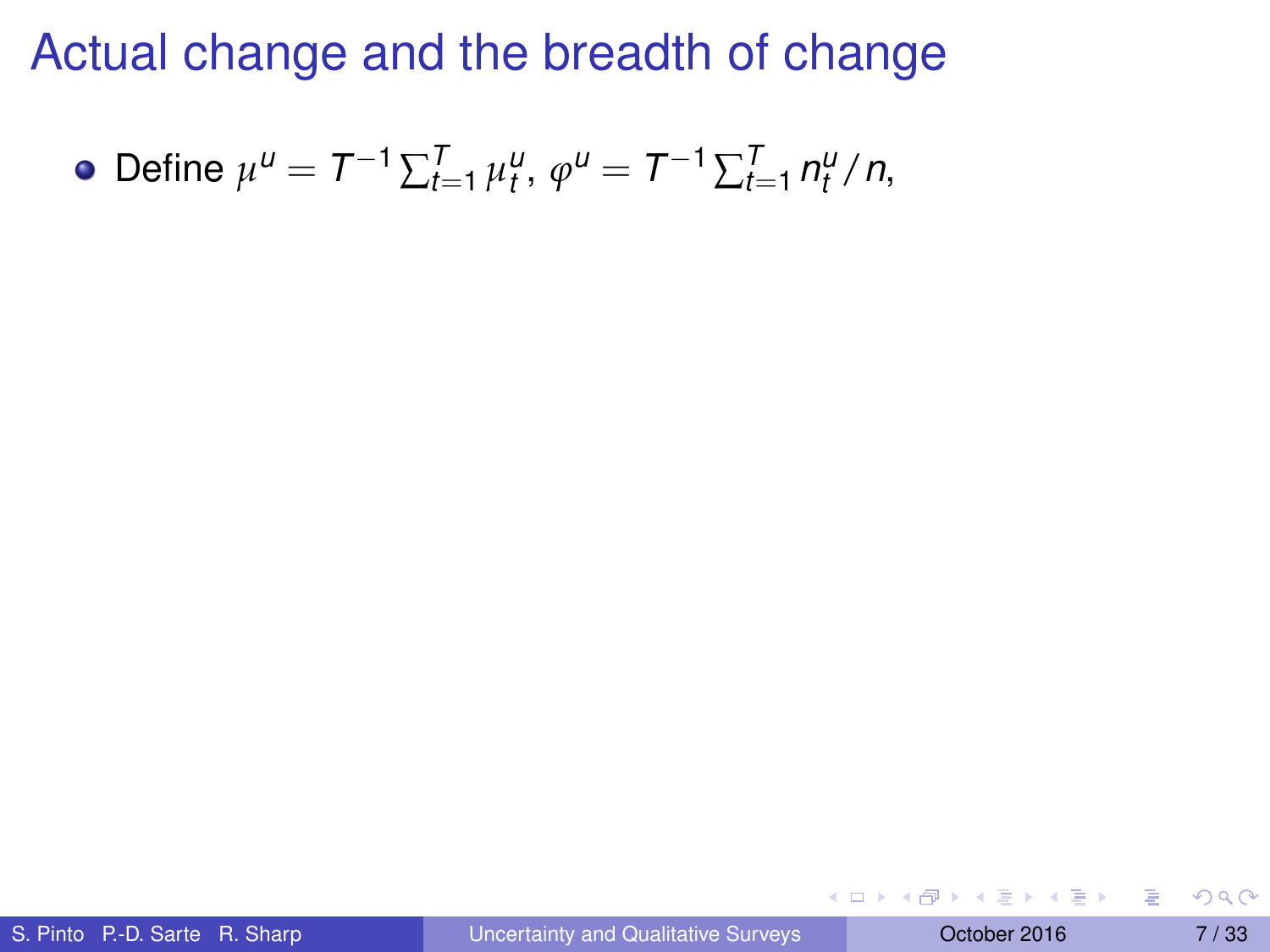• Define 
$$
\mu^U = T^{-1} \sum_{t=1}^T \mu_t^U
$$
,  $\varphi^U = T^{-1} \sum_{t=1}^T n_t^U / n$ ,

 $(0,1)$   $(0,1)$   $(0,1)$   $(1,1)$   $(1,1)$   $(1,1)$   $(1,1)$   $(1,1)$   $(1,1)$   $(1,1)$   $(1,1)$   $(1,1)$   $(1,1)$   $(1,1)$   $(1,1)$   $(1,1)$   $(1,1)$   $(1,1)$   $(1,1)$   $(1,1)$   $(1,1)$   $(1,1)$   $(1,1)$   $(1,1)$   $(1,1)$   $(1,1)$   $(1,1)$   $(1,1$ 

活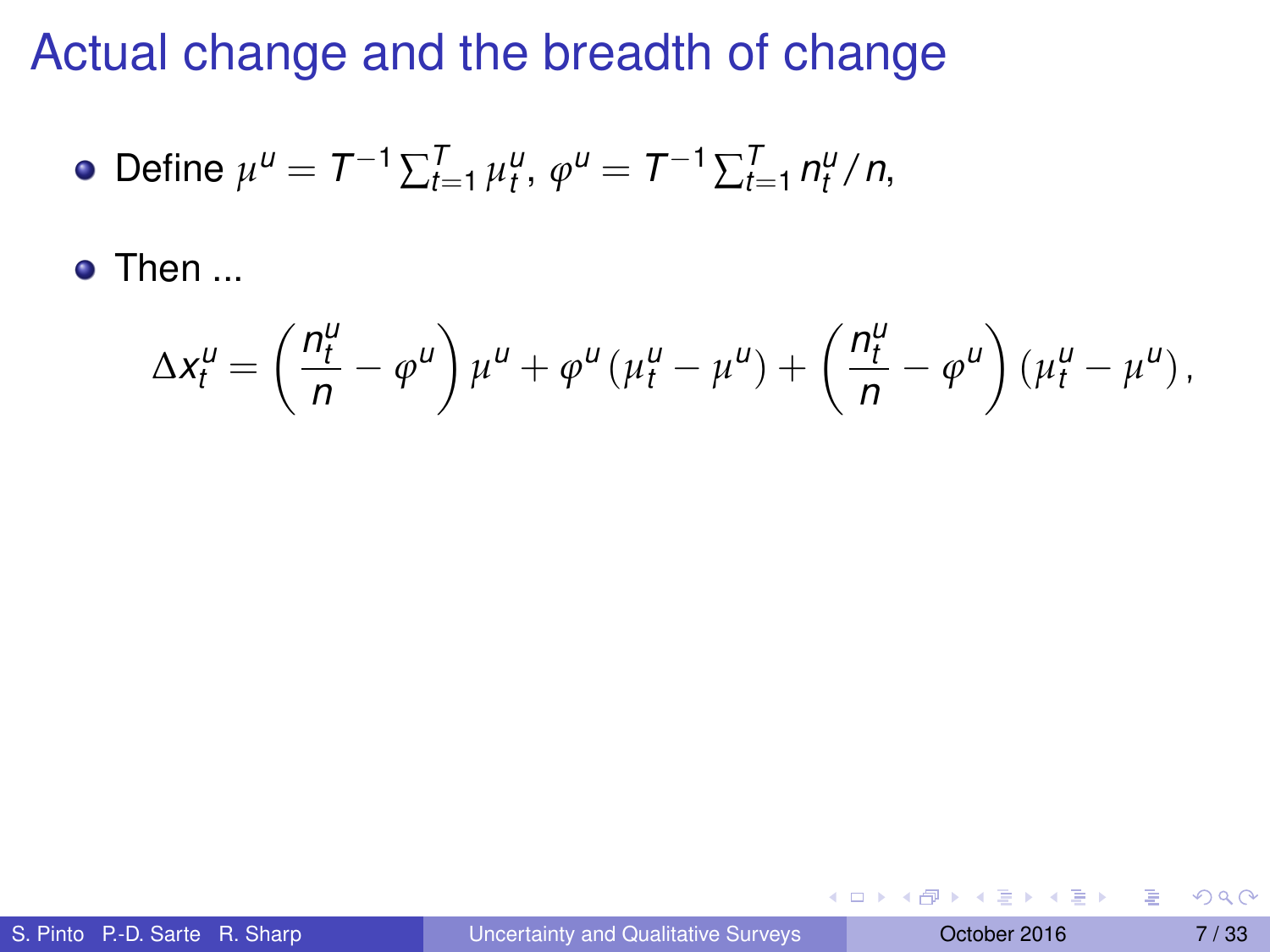• Define 
$$
\mu^U = T^{-1} \sum_{t=1}^T \mu_t^U
$$
,  $\varphi^U = T^{-1} \sum_{t=1}^T n_t^U / n$ ,

o Then ...

$$
\Delta x_t^{\mu} = \left(\frac{n_t^{\mu}}{n} - \varphi^{\mu}\right)\mu^{\mu} + \varphi^{\mu}(\mu_t^{\mu} - \mu^{\mu}) + \left(\frac{n_t^{\mu}}{n} - \varphi^{\mu}\right)(\mu_t^{\mu} - \mu^{\mu}),
$$

 $(0,1)$   $(0,1)$   $(0,1)$   $(1,1)$   $(1,1)$   $(1,1)$   $(1,1)$   $(1,1)$   $(1,1)$   $(1,1)$   $(1,1)$   $(1,1)$   $(1,1)$   $(1,1)$   $(1,1)$   $(1,1)$   $(1,1)$   $(1,1)$   $(1,1)$   $(1,1)$   $(1,1)$   $(1,1)$   $(1,1)$   $(1,1)$   $(1,1)$   $(1,1)$   $(1,1)$   $(1,1$ 

重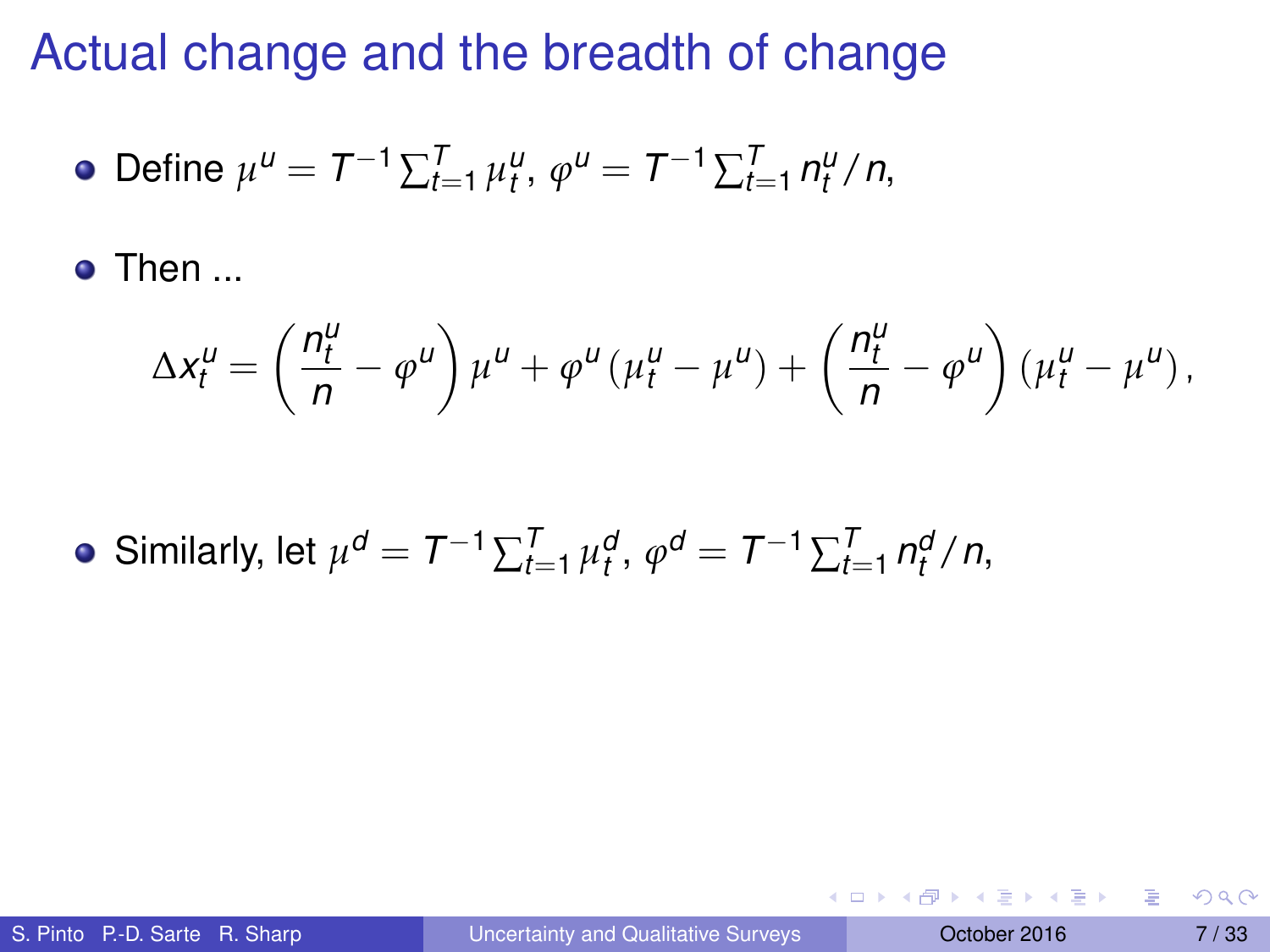• Define 
$$
\mu^U = T^{-1} \sum_{t=1}^T \mu_t^U
$$
,  $\varphi^U = T^{-1} \sum_{t=1}^T n_t^U / n$ ,

**o** Then ...

$$
\Delta x_t^{\mu} = \left(\frac{n_t^{\mu}}{n} - \varphi^{\mu}\right)\mu^{\mu} + \varphi^{\mu}(\mu_t^{\mu} - \mu^{\mu}) + \left(\frac{n_t^{\mu}}{n} - \varphi^{\mu}\right)(\mu_t^{\mu} - \mu^{\mu}),
$$

Similarly, let  $\mu^{d} = T^{-1} \sum_{t=1}^{T} \mu_{t}^{d}, \varphi^{d} = T^{-1} \sum_{t=1}^{T} n_{t}^{d} / n$ ,

в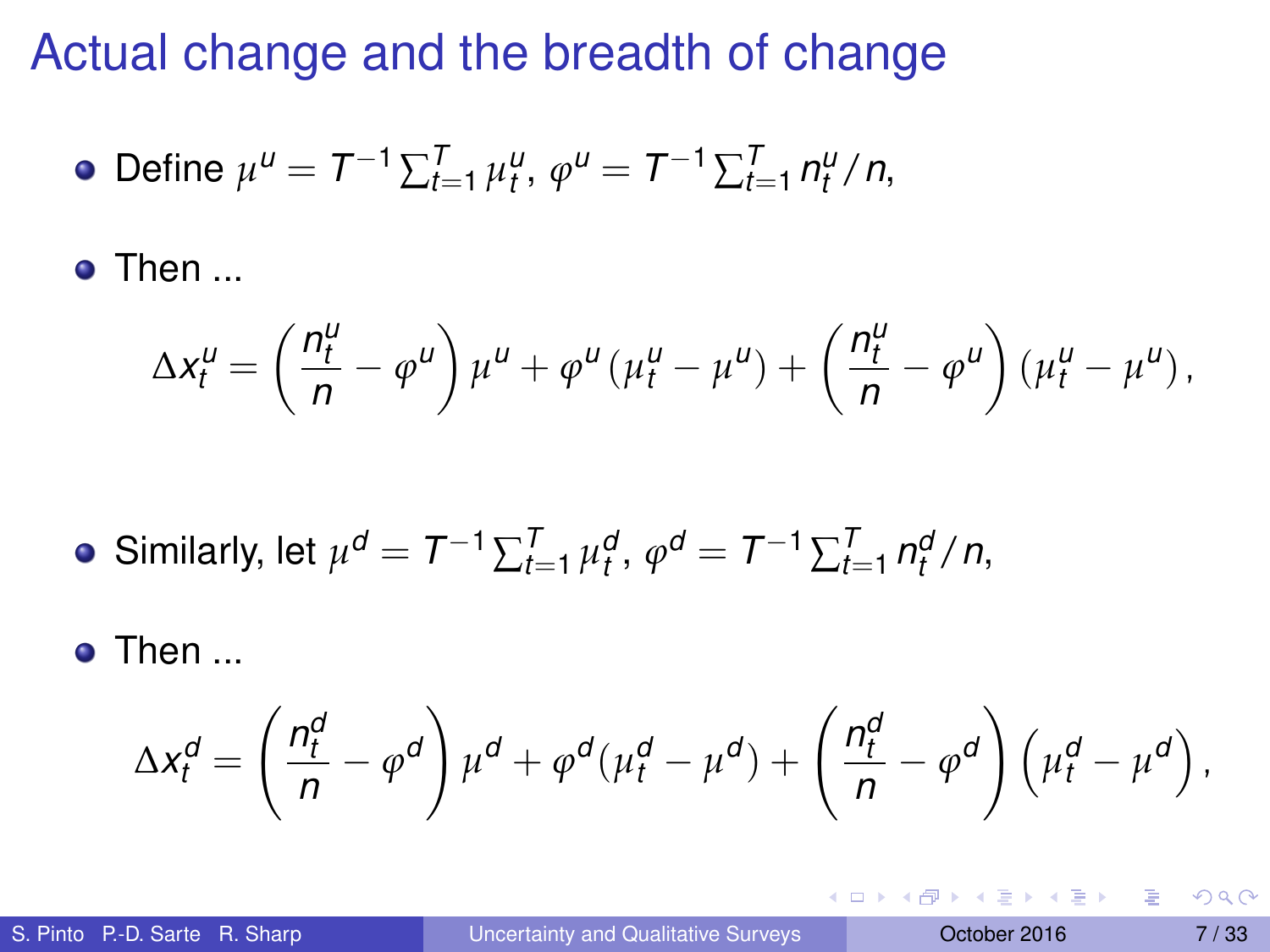• Define 
$$
\mu^U = T^{-1} \sum_{t=1}^T \mu_t^U
$$
,  $\varphi^U = T^{-1} \sum_{t=1}^T n_t^U / n$ ,

Then ...

$$
\Delta x_t^{\mu} = \left(\frac{n_t^{\mu}}{n} - \varphi^{\mu}\right)\mu^{\mu} + \varphi^{\mu}(\mu_t^{\mu} - \mu^{\mu}) + \left(\frac{n_t^{\mu}}{n} - \varphi^{\mu}\right)(\mu_t^{\mu} - \mu^{\mu}),
$$

• Similarly, let 
$$
\mu^d = T^{-1} \sum_{t=1}^T \mu_t^d
$$
,  $\varphi^d = T^{-1} \sum_{t=1}^T n_t^d / n$ ,

Then ...

$$
\Delta x_t^d = \left(\frac{n_t^d}{n} - \varphi^d\right)\mu^d + \varphi^d(\mu_t^d - \mu^d) + \left(\frac{n_t^d}{n} - \varphi^d\right)\left(\mu_t^d - \mu^d\right),
$$

重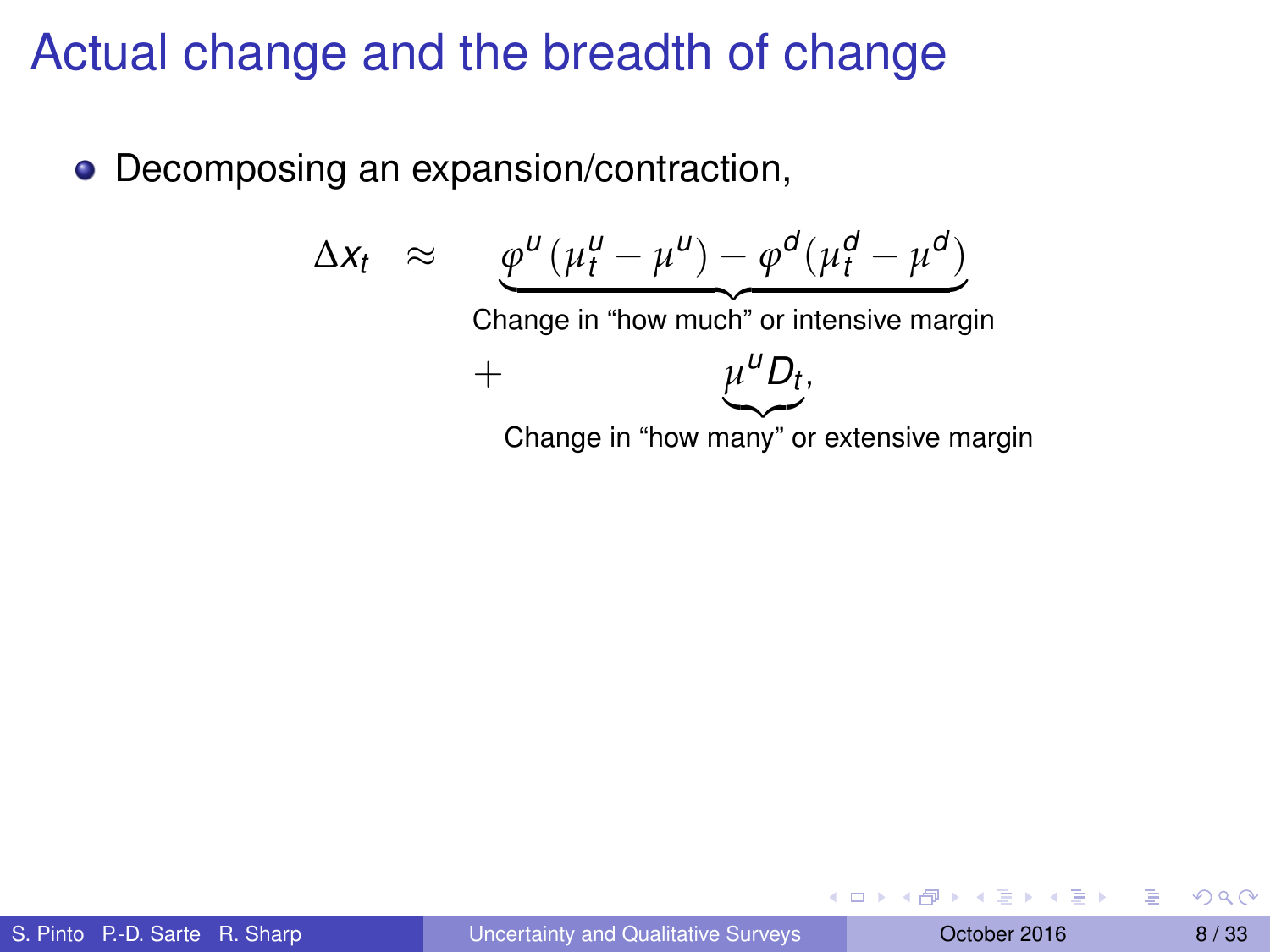• Decomposing an expansion/contraction,

$$
\Delta x_t \approx \underbrace{\varphi^u (\mu_t^u - \mu^u) - \varphi^d (\mu_t^d - \mu^d)}_{\text{Change in "how much" or intensive margin}} + \underbrace{\mu^u D_t}_{\text{Change in "how many" or extensive margin}}
$$

Þ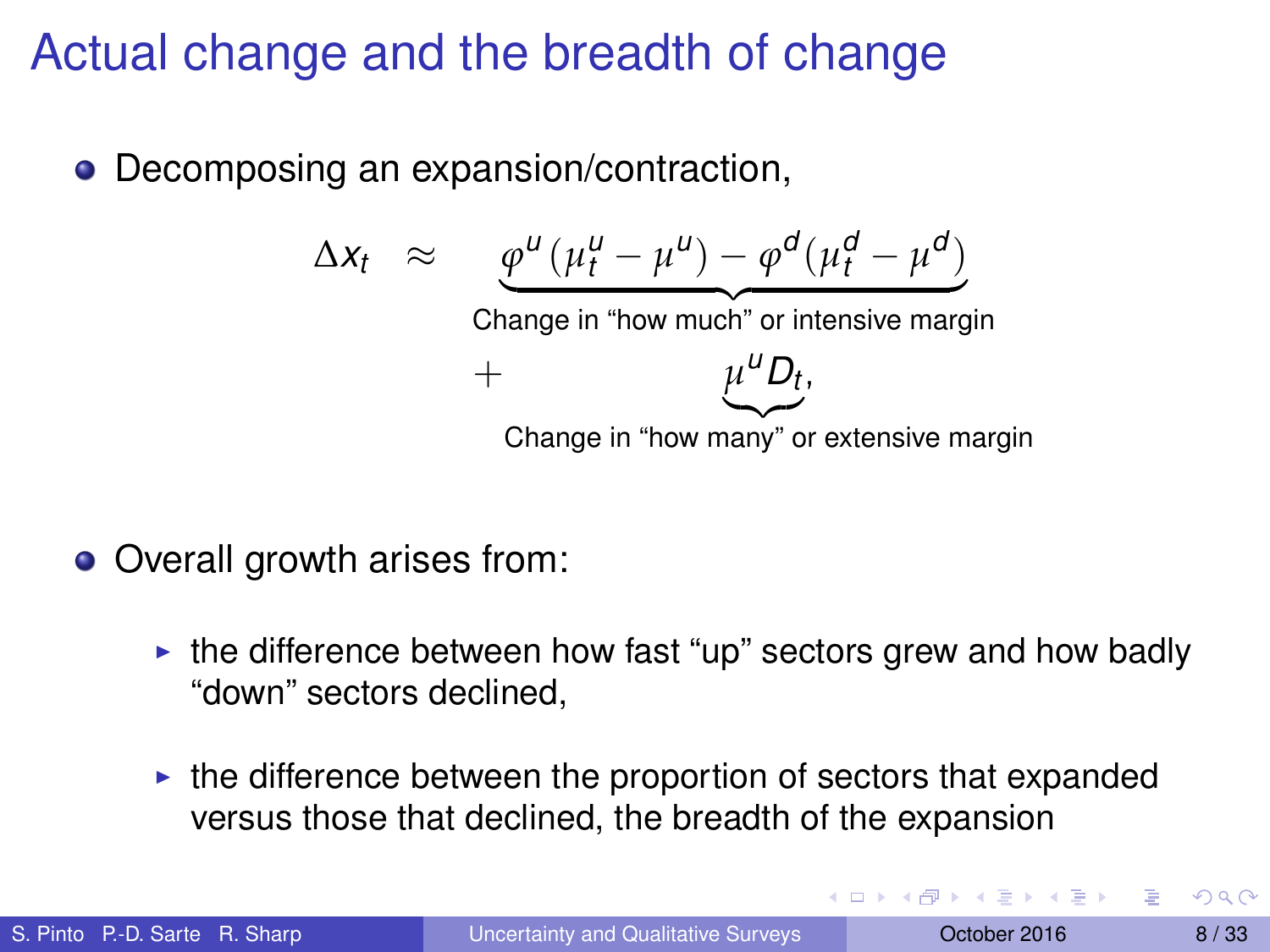• Decomposing an expansion/contraction,

$$
\Delta x_t \approx \underbrace{\varphi^u (\mu_t^u - \mu^u) - \varphi^d (\mu_t^d - \mu^d)}_{\text{Change in "how much" or intensive margin}} + \underbrace{\mu^u D_t}_{\text{Change in "how many" or extensive margin}}
$$

- Overall growth arises from:
	- $\triangleright$  the difference between how fast "up" sectors grew and how badly "down" sectors declined,
	- $\triangleright$  the difference between the proportion of sectors that expanded versus those that declined, the breadth of the expansion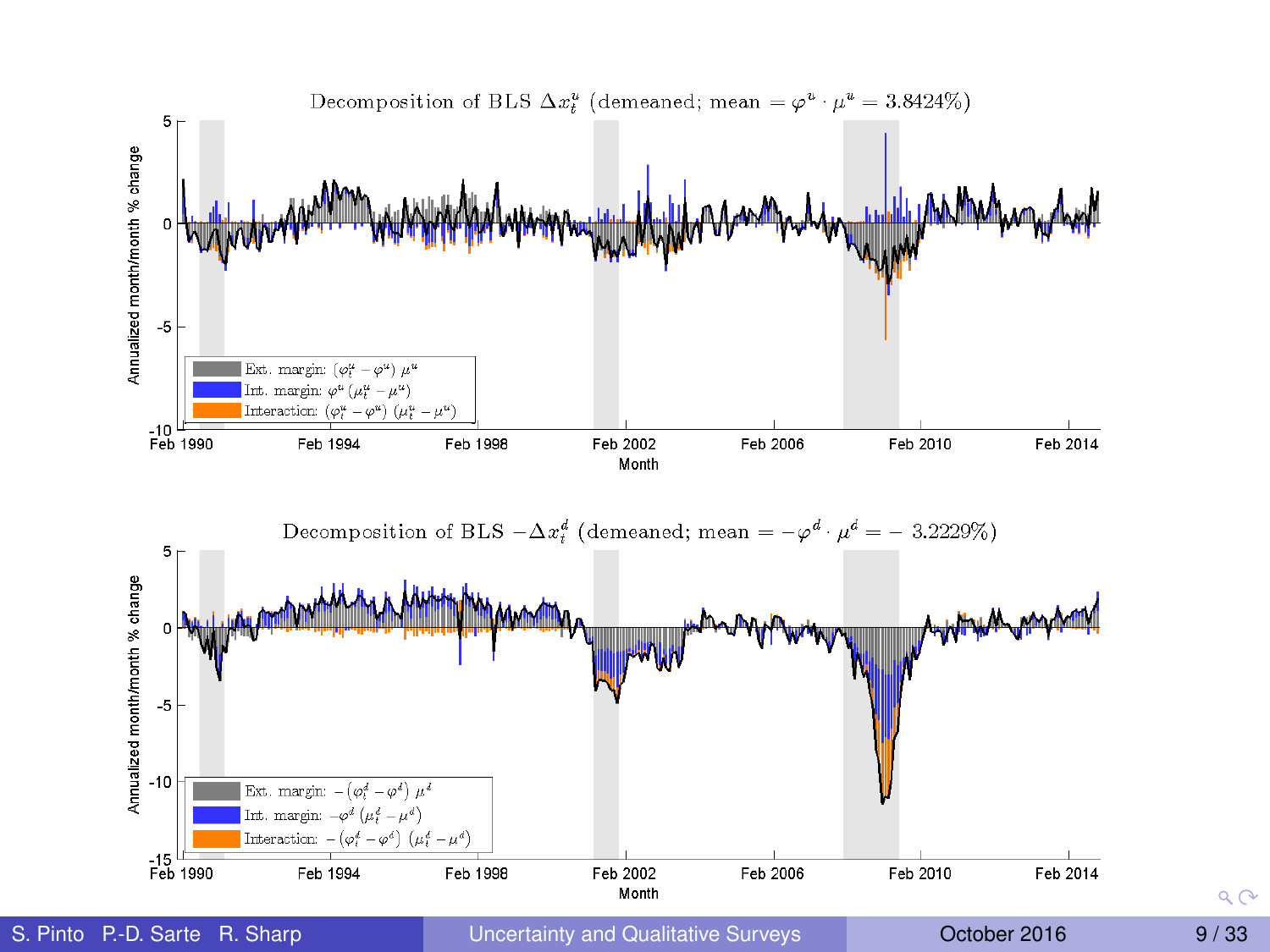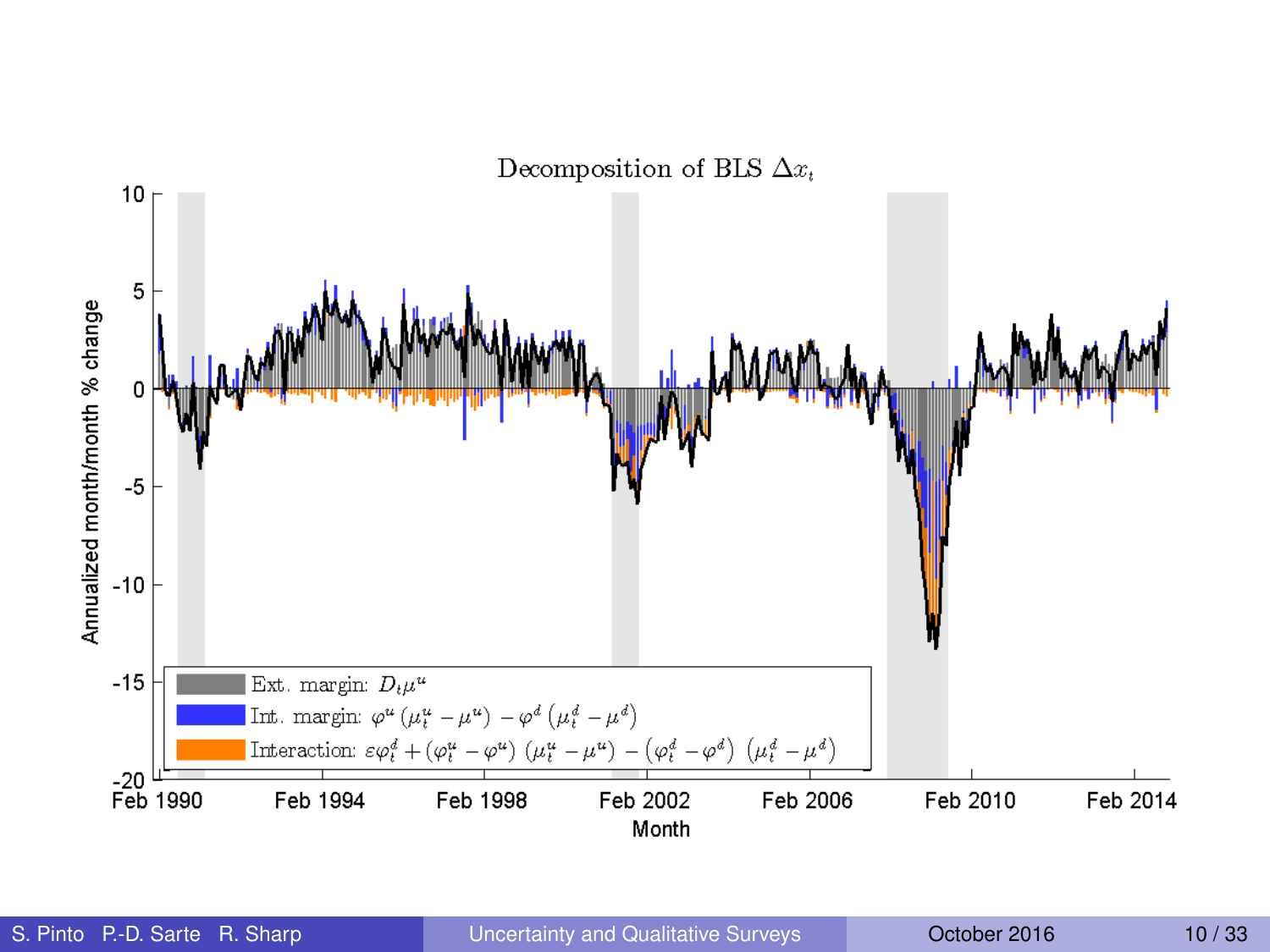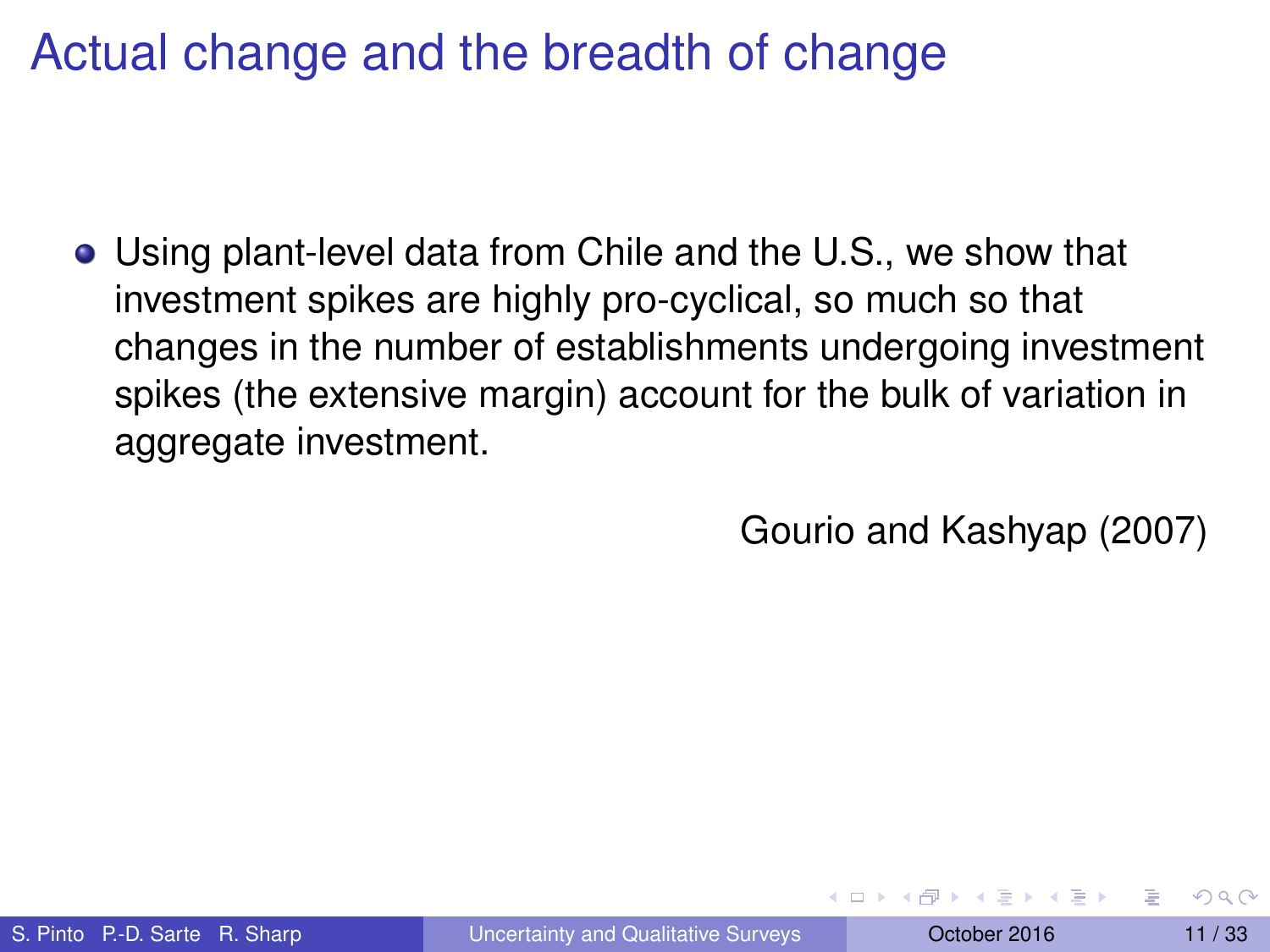Using plant-level data from Chile and the U.S., we show that investment spikes are highly pro-cyclical, so much so that changes in the number of establishments undergoing investment spikes (the extensive margin) account for the bulk of variation in aggregate investment.

Gourio and Kashyap (2007)

**All The South The S**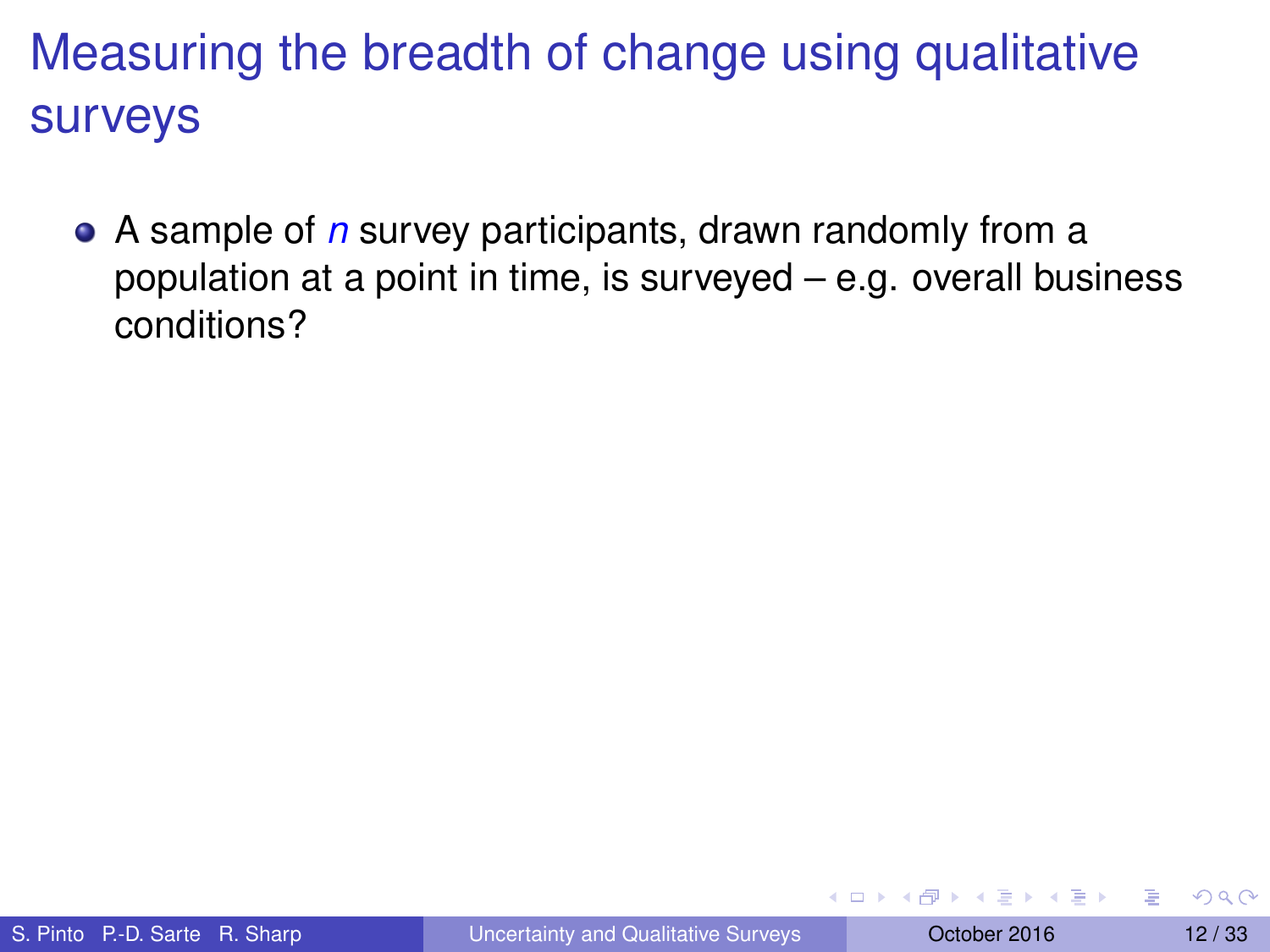A sample of *n* survey participants, drawn randomly from a population at a point in time, is surveyed – e.g. overall business conditions?

イロト イ押 トイラト イラトー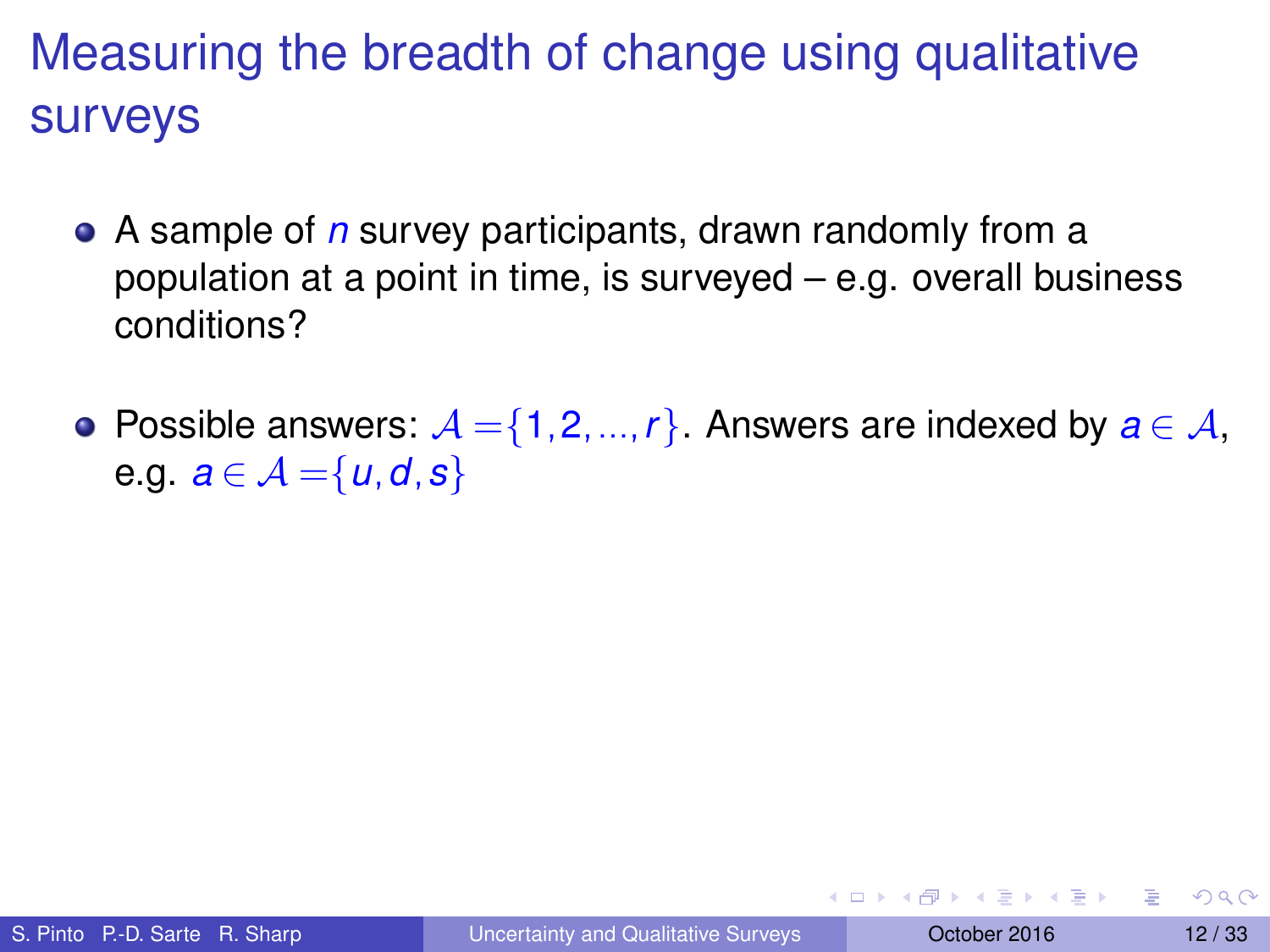- A sample of *n* survey participants, drawn randomly from a population at a point in time, is surveyed – e.g. overall business conditions?
- Possible answers:  $A = \{1, 2, ..., r\}$ . Answers are indexed by  $a \in A$ , e.g.  $a \in \mathcal{A} = \{u, d, s\}$

イロト イ押ト イヨト イヨトー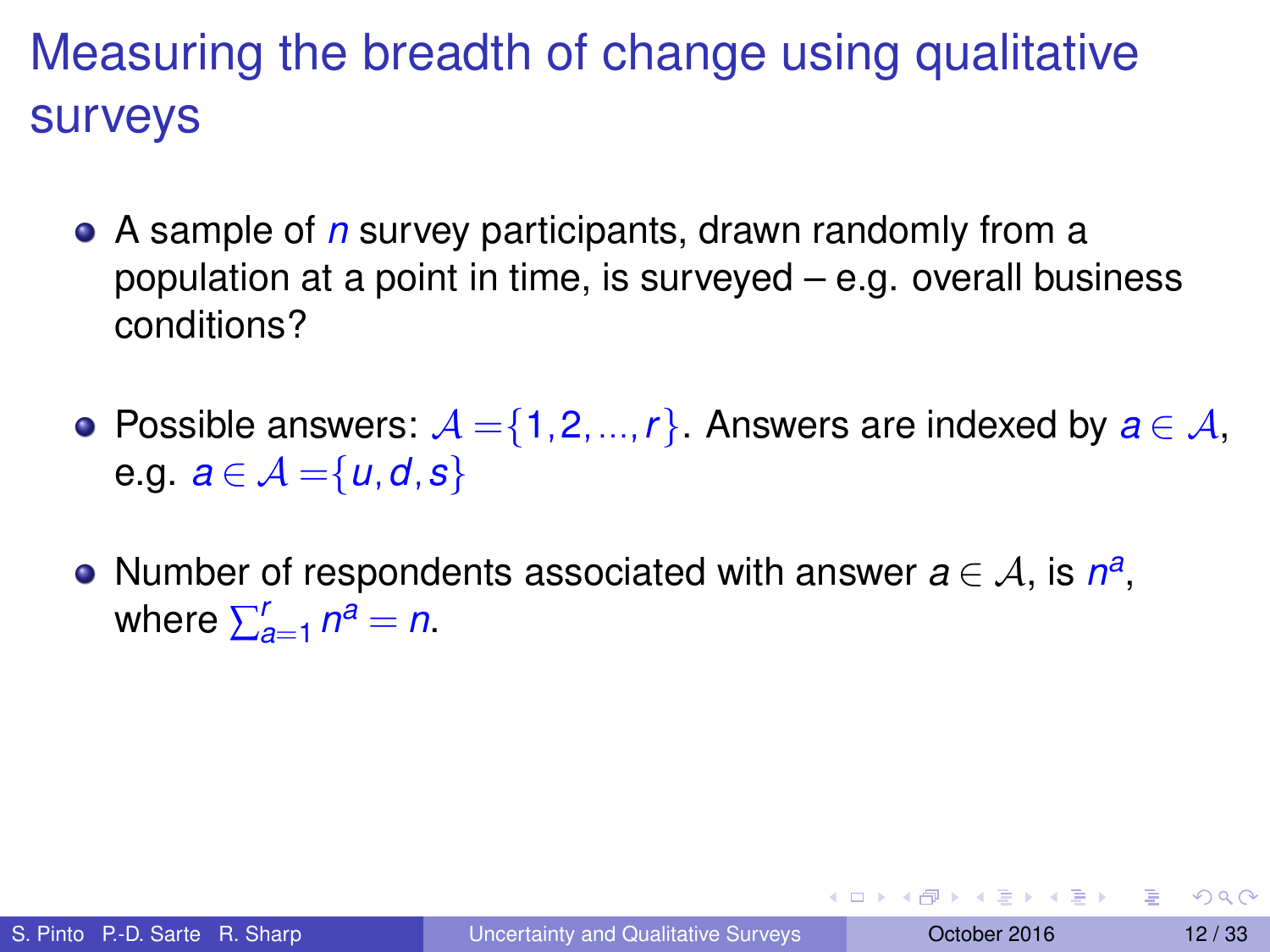- A sample of *n* survey participants, drawn randomly from a population at a point in time, is surveyed – e.g. overall business conditions?
- Possible answers:  $A = \{1, 2, ..., r\}$ . Answers are indexed by  $a \in A$ , e.g.  $a \in \mathcal{A} = \{u, d, s\}$
- Number of respondents associated with answer  $a \in \mathcal{A}$ , is  $n^a$ , where  $\sum_{a=1}^{r} n^a = n$ .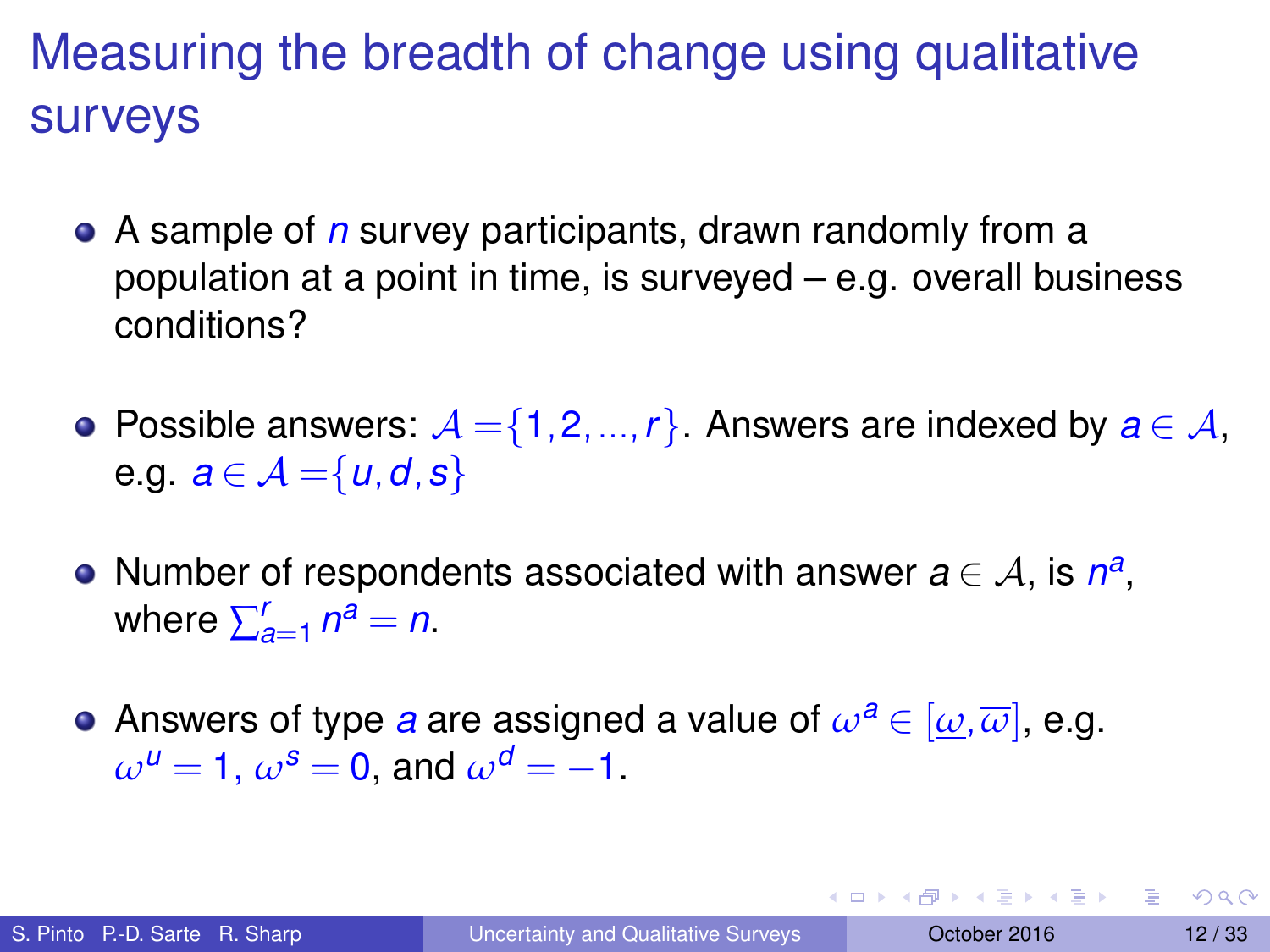- A sample of *n* survey participants, drawn randomly from a population at a point in time, is surveyed – e.g. overall business conditions?
- Possible answers:  $A = \{1, 2, ..., r\}$ . Answers are indexed by  $a \in A$ , e.g.  $a \in \mathcal{A} = \{u, d, s\}$
- Number of respondents associated with answer  $a \in \mathcal{A}$ , is  $n^a$ , where  $\sum_{a=1}^{r} n^a = n$ .
- Answers of type *a* are assigned a value of  $\omega^a \in [\omega, \overline{\omega}]$ , e.g.  $\omega^{u} = 1$ ,  $\omega^{s} = 0$ , and  $\omega^{d} = -1$ .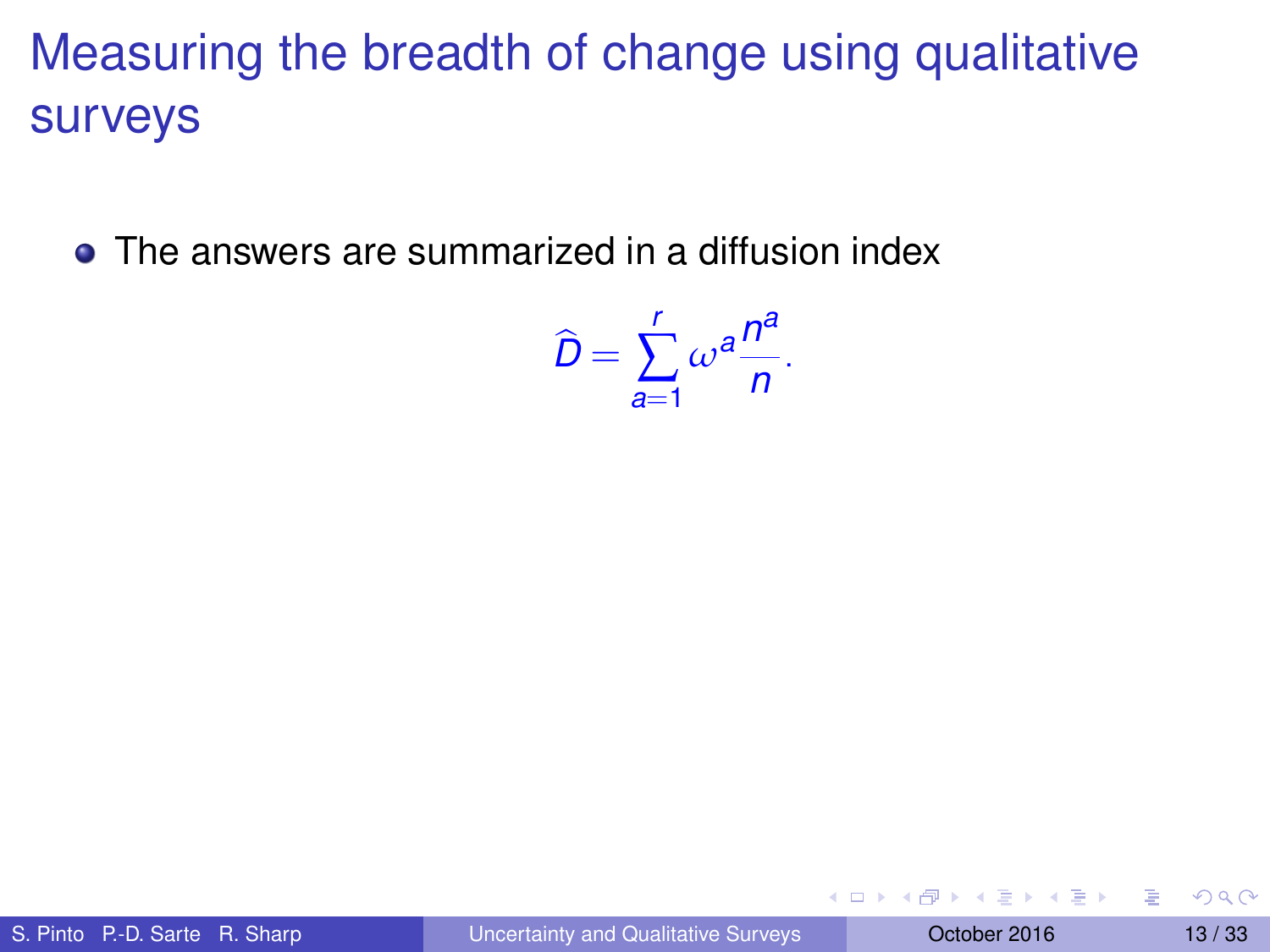• The answers are summarized in a diffusion index

$$
\widehat{D}=\sum_{a=1}^r\omega^a\frac{n^a}{n}.
$$

4 0 8 4 4 9 8 4 9 8 4 9 8

Þ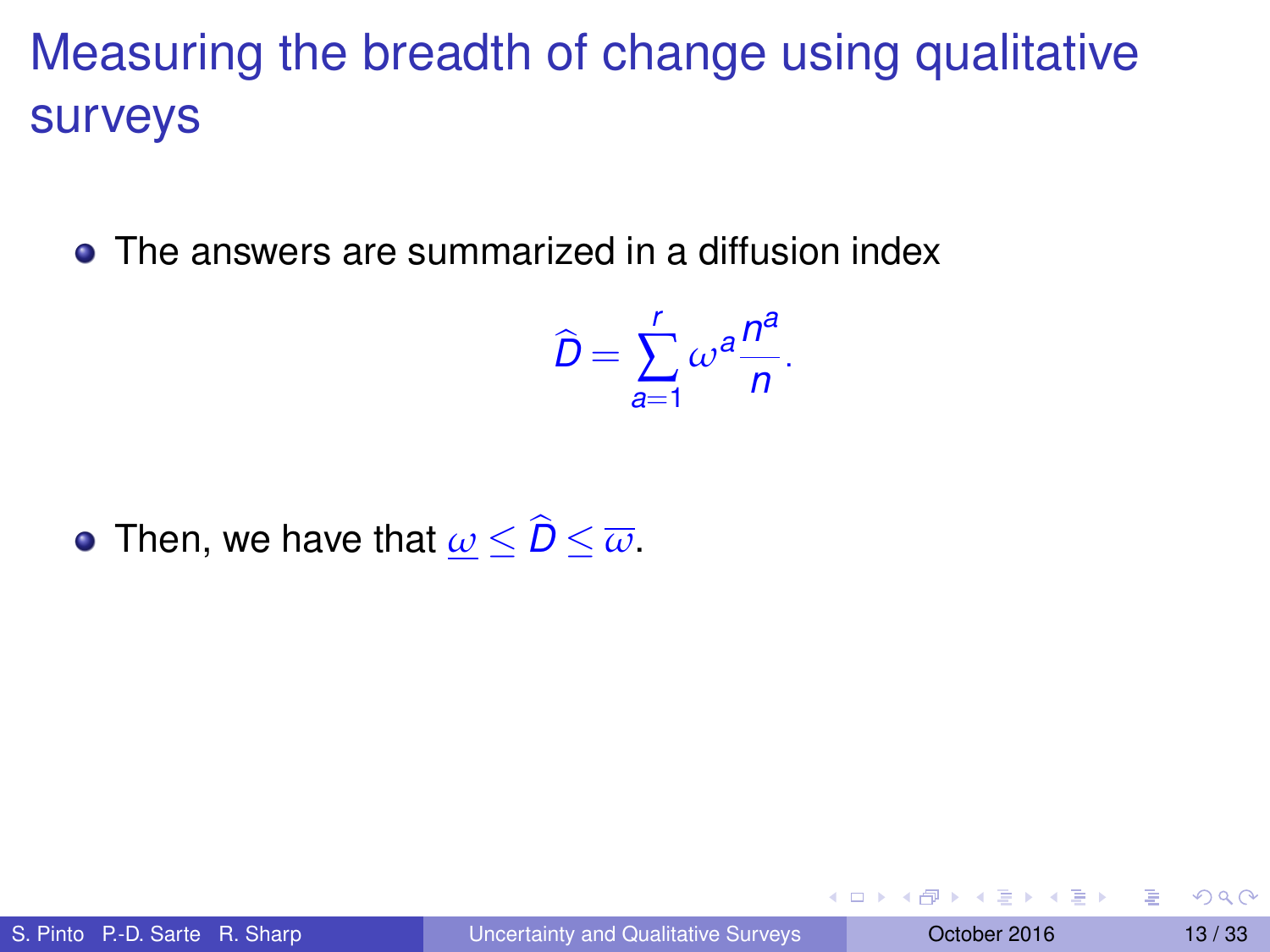• The answers are summarized in a diffusion index

$$
\widehat{D}=\sum_{a=1}^r\omega^a\frac{n^a}{n}.
$$

• Then, we have that  $\omega < \widehat{D} < \overline{\omega}$ .

イロト イ押 トイラト イラトー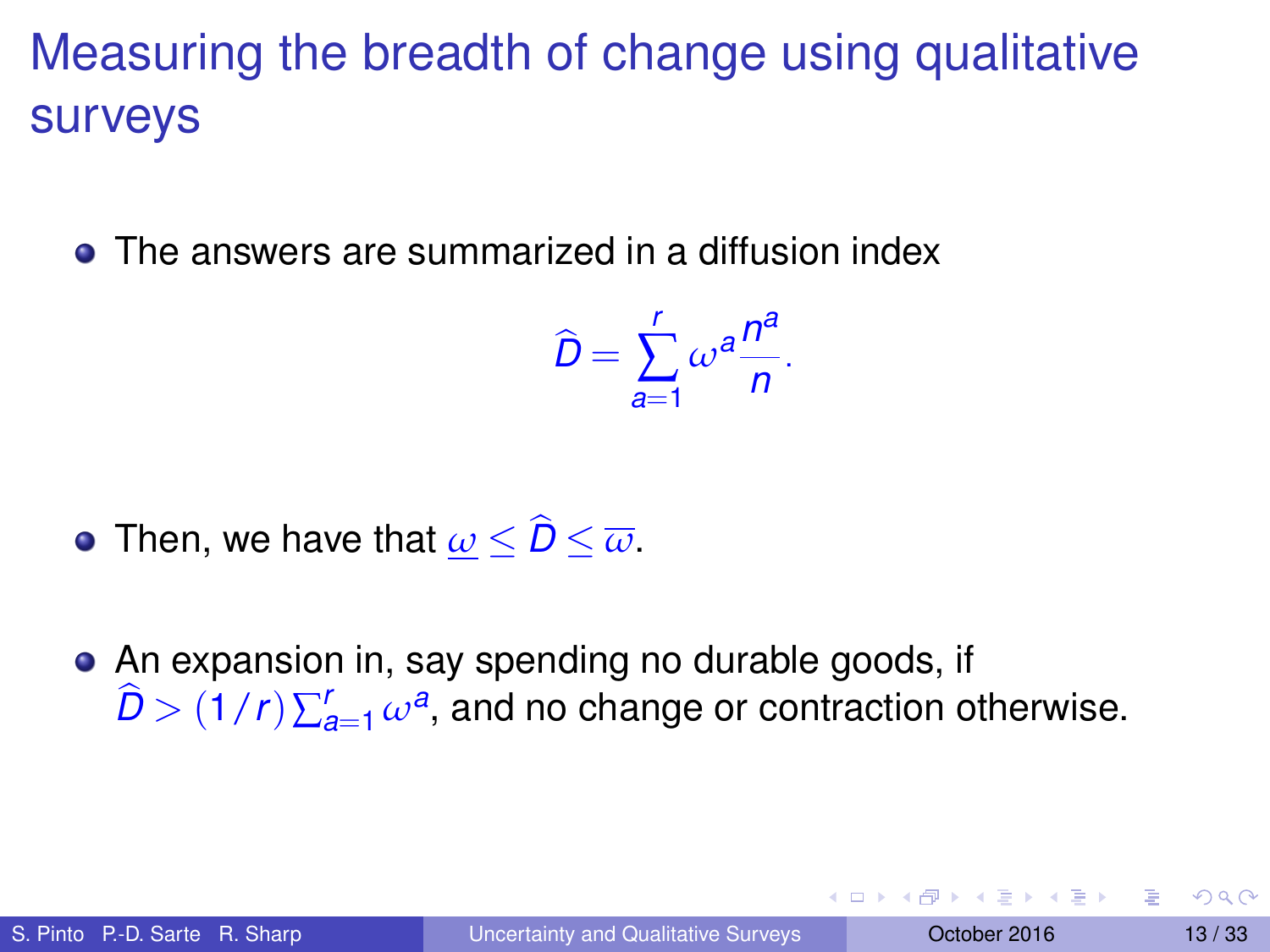• The answers are summarized in a diffusion index

$$
\widehat{D}=\sum_{a=1}^r\omega^a\frac{n^a}{n}.
$$

- Then, we have that  $\omega < \widehat{D} < \overline{\omega}$ .
- An expansion in, say spending no durable goods, if  $\widehat{D}$   $>$   $(1/r)\sum_{a=1}^r \omega^a$ , and no change or contraction otherwise.

イタト イミト イミトー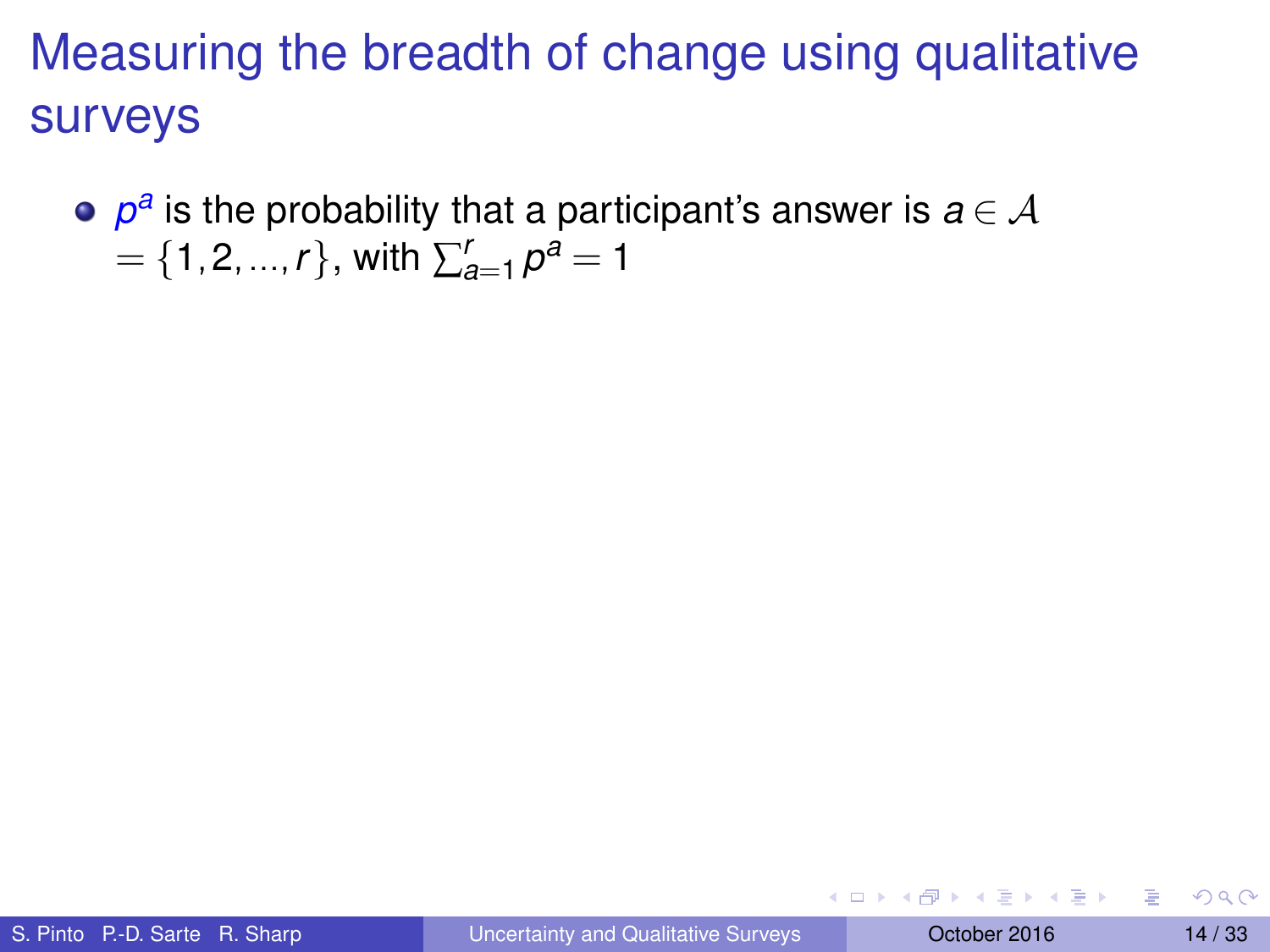$\rho^a$  is the probability that a participant's answer is  $a\!\in\!\mathcal{A}$  $=$  {1,2, ..., *r*}, with  $\sum_{a=1}^{r} p^a = 1$ 

イロト イ押 トイラト イラトー

Þ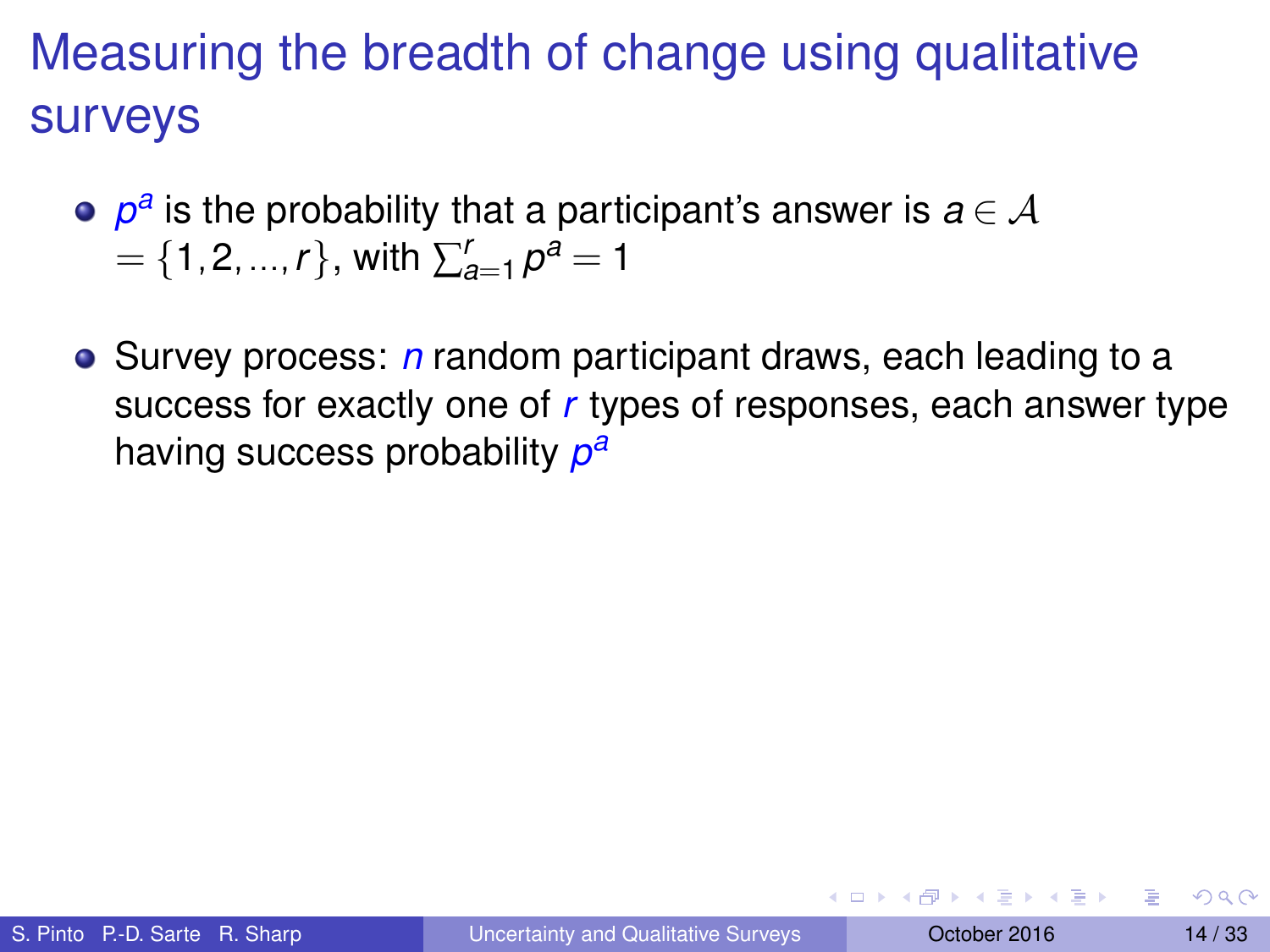- $\rho^a$  is the probability that a participant's answer is  $a\!\in\!\mathcal{A}$  $=$  {1,2, ..., *r*}, with  $\sum_{a=1}^{r} p^a = 1$
- **•** Survey process: *n* random participant draws, each leading to a success for exactly one of *r* types of responses, each answer type having success probability *p a*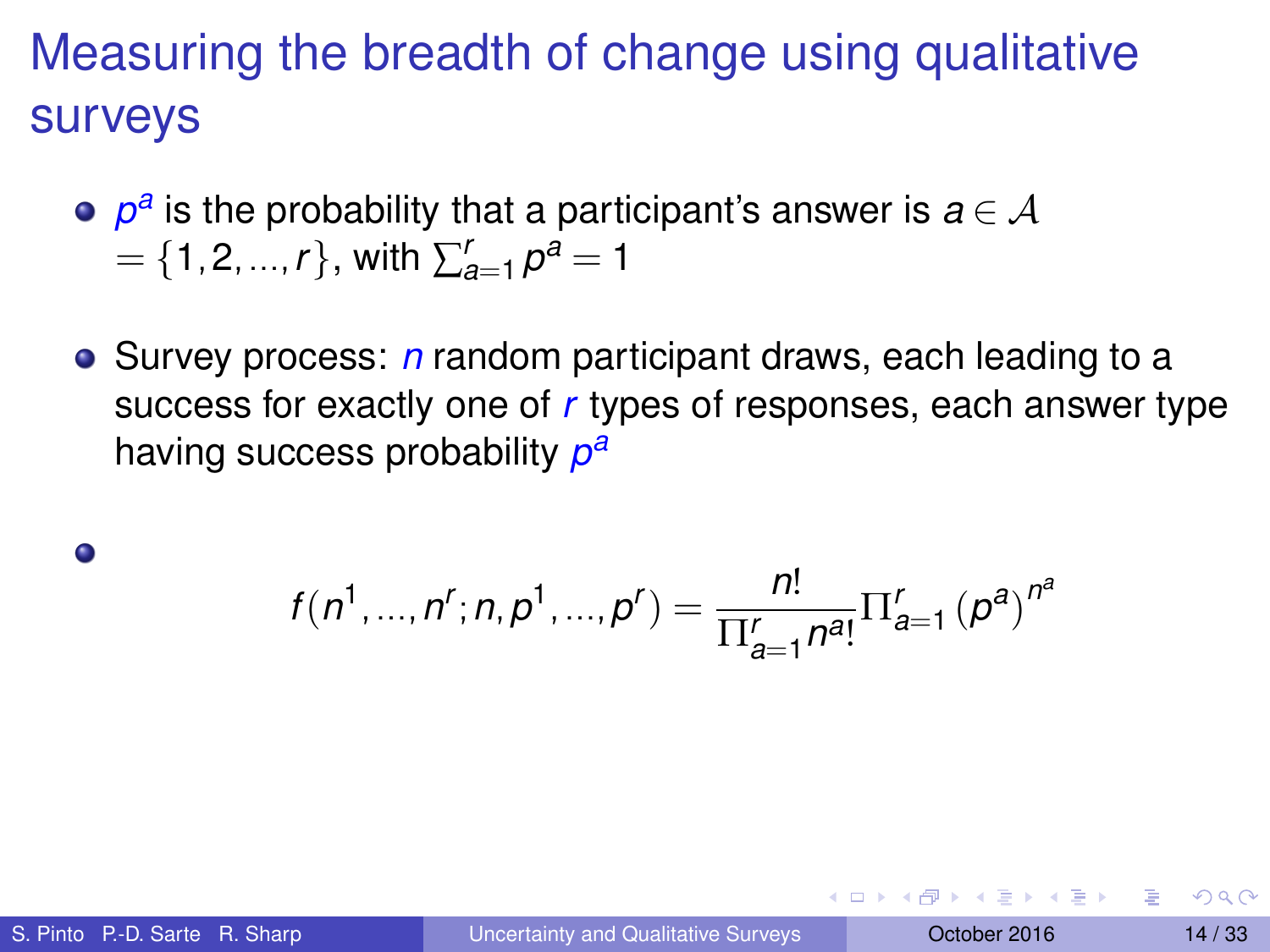- $\rho^a$  is the probability that a participant's answer is  $a\!\in\!\mathcal{A}$  $=$  {1,2, ..., *r*}, with  $\sum_{a=1}^{r} p^a = 1$
- **•** Survey process: *n* random participant draws, each leading to a success for exactly one of *r* types of responses, each answer type having success probability *p a*

$$
f(n1, ..., nr; n, p1, ..., pr) = \frac{n!}{\prod_{a=1}^{r} n^{a}!} \prod_{a=1}^{r} (pa)^{na}
$$

 $\bullet$ 

**A BAK BA**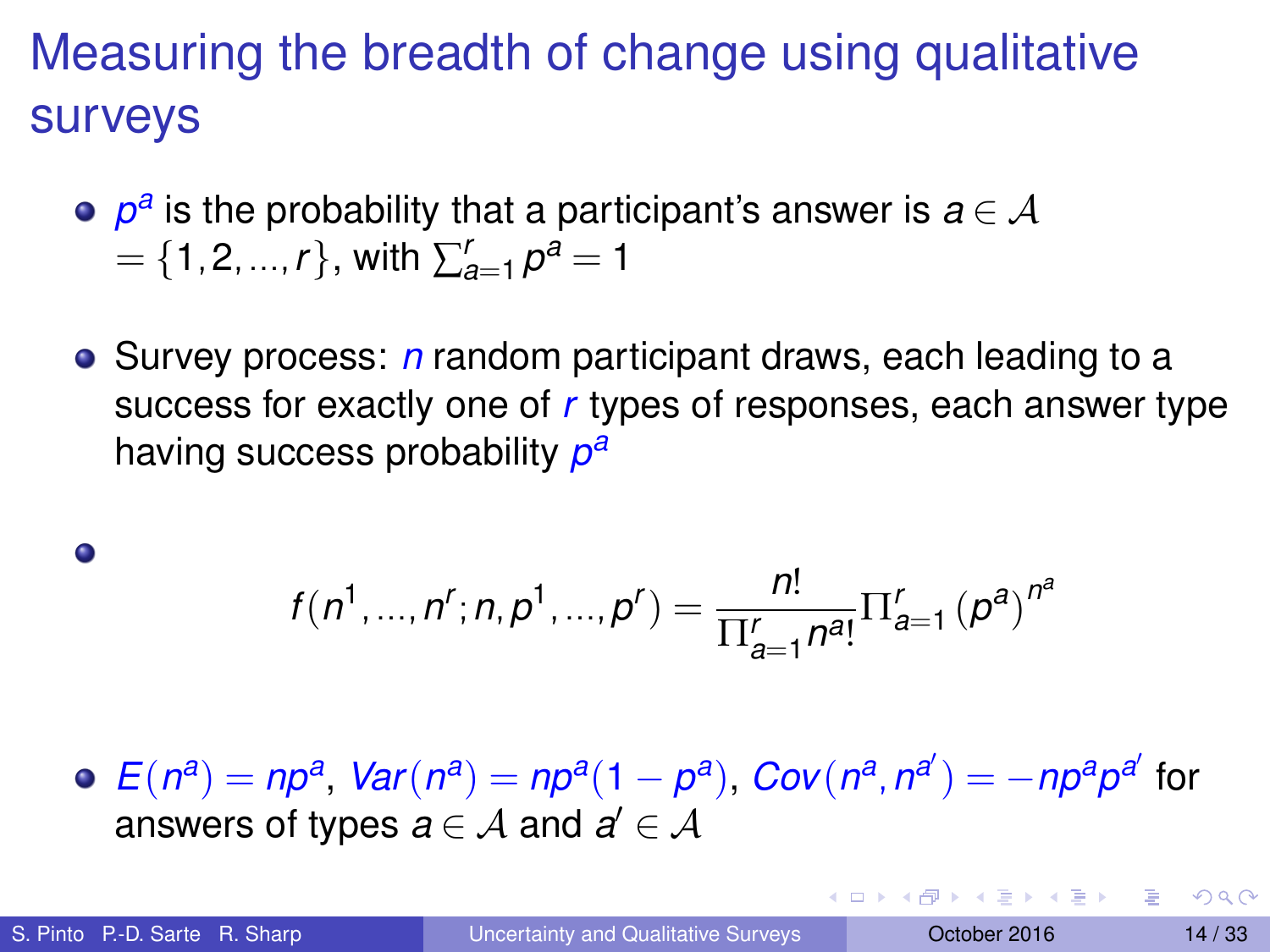- $\rho^a$  is the probability that a participant's answer is  $a\!\in\!\mathcal{A}$  $=$  {1,2, ..., *r*}, with  $\sum_{a=1}^{r} p^a = 1$
- **•** Survey process: *n* random participant draws, each leading to a success for exactly one of *r* types of responses, each answer type having success probability *p a*

$$
f(n1, ..., nr; n, p1, ..., pr) = \frac{n!}{\prod_{a=1}^{r} n^{a}!} \prod_{a=1}^{r} (pa)^{na}
$$

 $E(n^a) = np^a$ ,  $Var(n^a) = np^a(1 - p^a)$ ,  $Cov(n^a, n^{a'}) = -np^a p^{a'}$  for answers of types  $a \in \mathcal{A}$  and  $a' \in \mathcal{A}$ 

 $\bullet$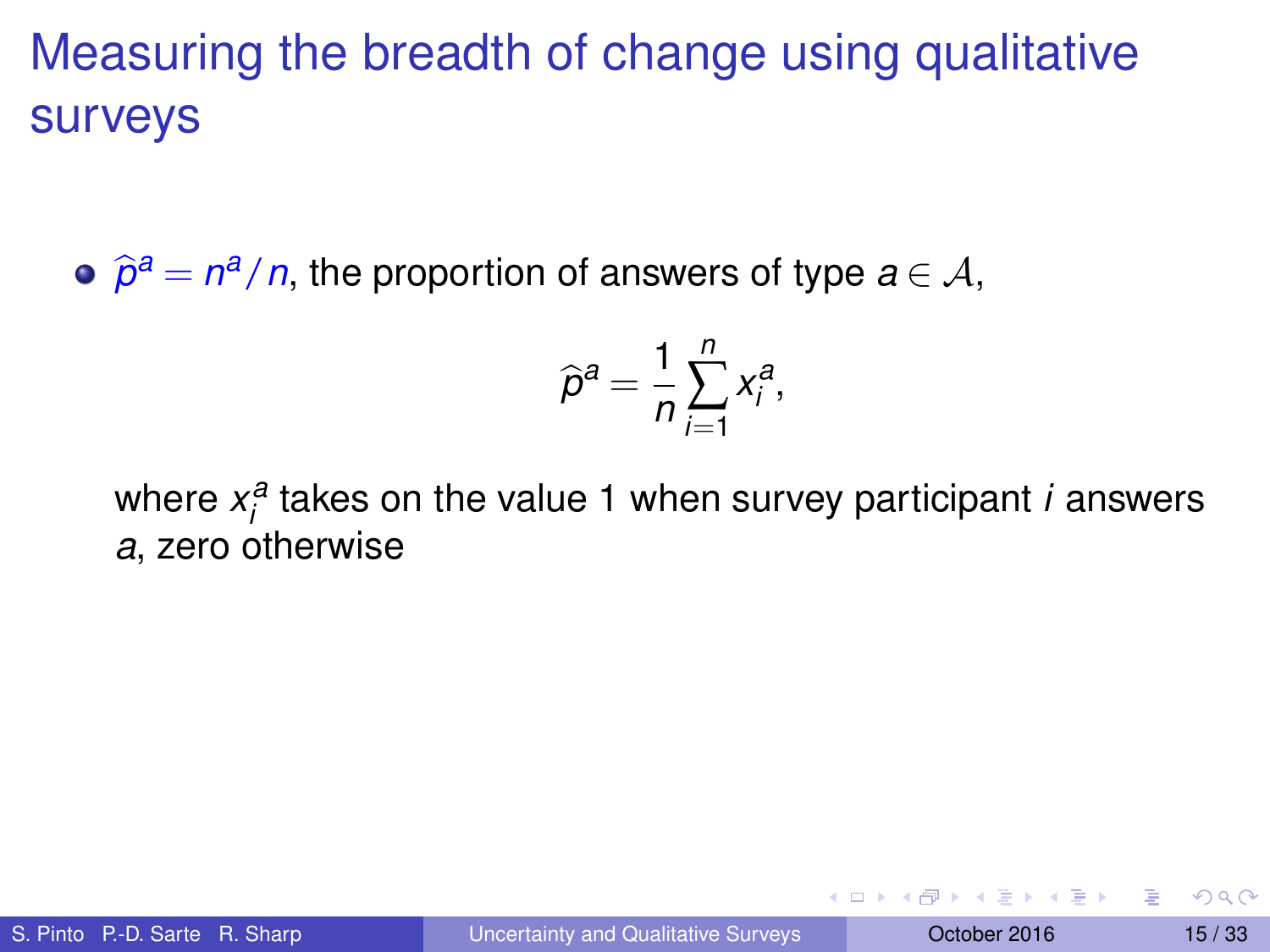$\widehat{\rho}^a = n^a/n$ , the proportion of answers of type  $a \in \mathcal{A}$ ,

$$
\widehat{p}^a = \frac{1}{n} \sum_{i=1}^n x_i^a,
$$

where  $x_i^a$  takes on the value 1 when survey participant *i* answers *a*, zero otherwise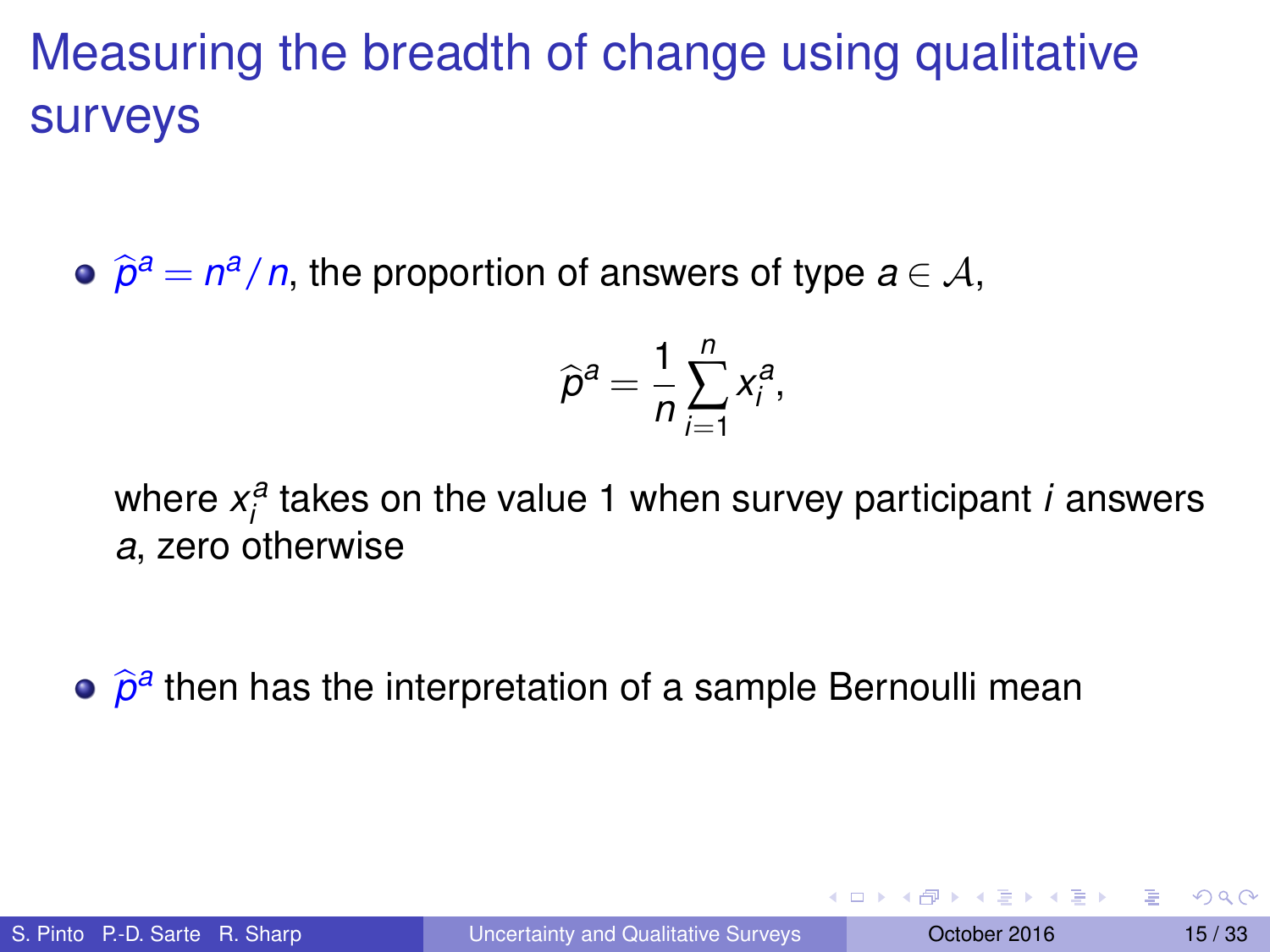$\widehat{\rho}^a = n^a/n$ , the proportion of answers of type  $a \in \mathcal{A}$ ,

$$
\widehat{p}^a = \frac{1}{n} \sum_{i=1}^n x_i^a,
$$

where  $x_i^a$  takes on the value 1 when survey participant *i* answers *a*, zero otherwise

 $\widehat{\rho}^{\mathsf{a}}$  then has the interpretation of a sample Bernoulli mean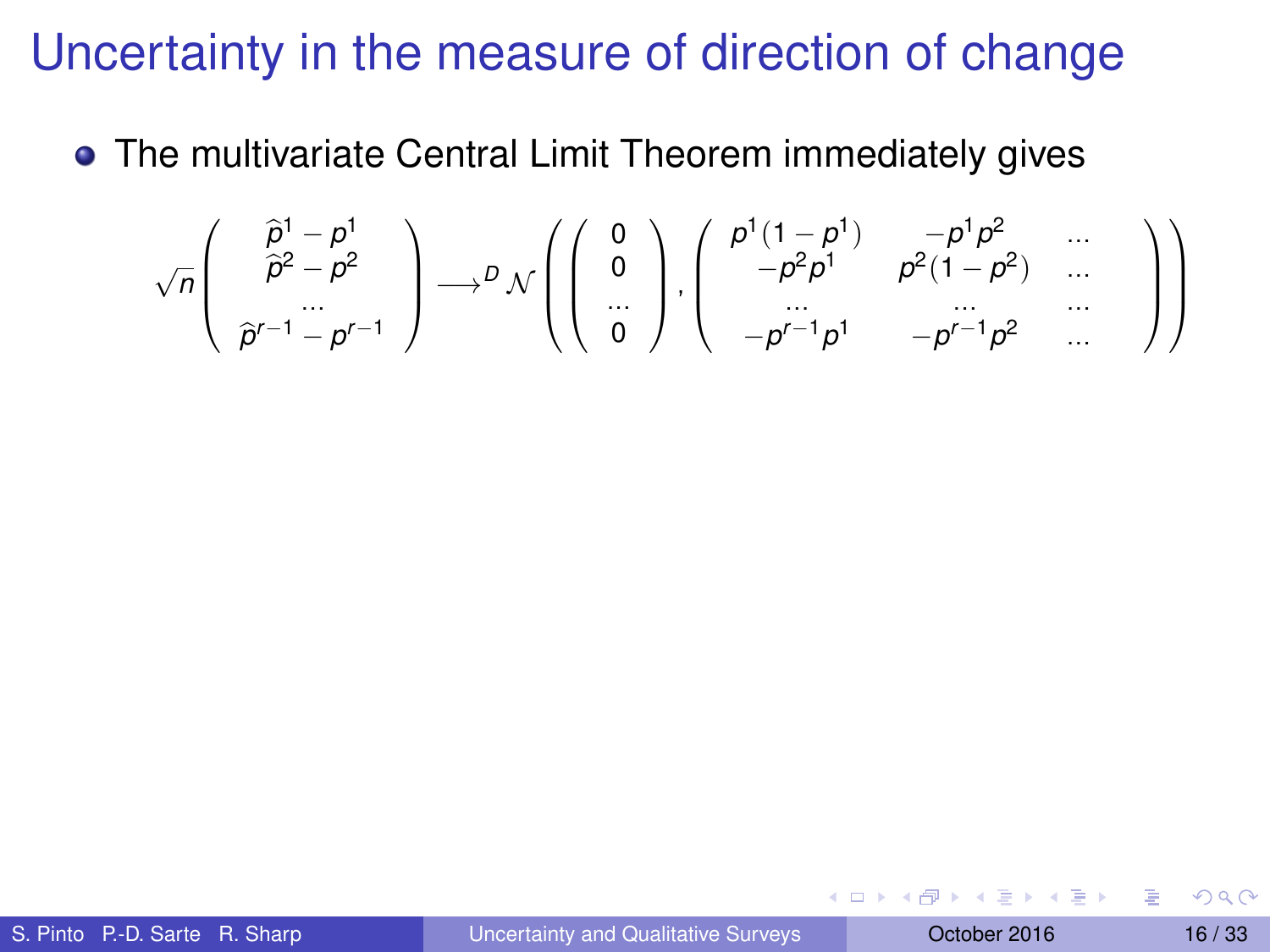#### Uncertainty in the measure of direction of change

• The multivariate Central Limit Theorem immediately gives

$$
\sqrt{n}\left(\begin{array}{c}\widehat{p}^1-p^1\\\widehat{p}^2-p^2\\\widehat{p}^{r-1}-p^{r-1}\end{array}\right)\longrightarrow^D\mathcal{N}\left(\left(\begin{array}{c}0\\\widehat{0}\\\cdots\\\widehat{0}\end{array}\right),\left(\begin{array}{cc}\widehat{p}^1(1-p^1)&-p^1p^2&\cdots\\\ -p^2p^1&p^2(1-p^2)&\cdots\\\ -p^{r-1}p^1&-p^{r-1}p^2&\cdots\\\end{array}\right)\right)
$$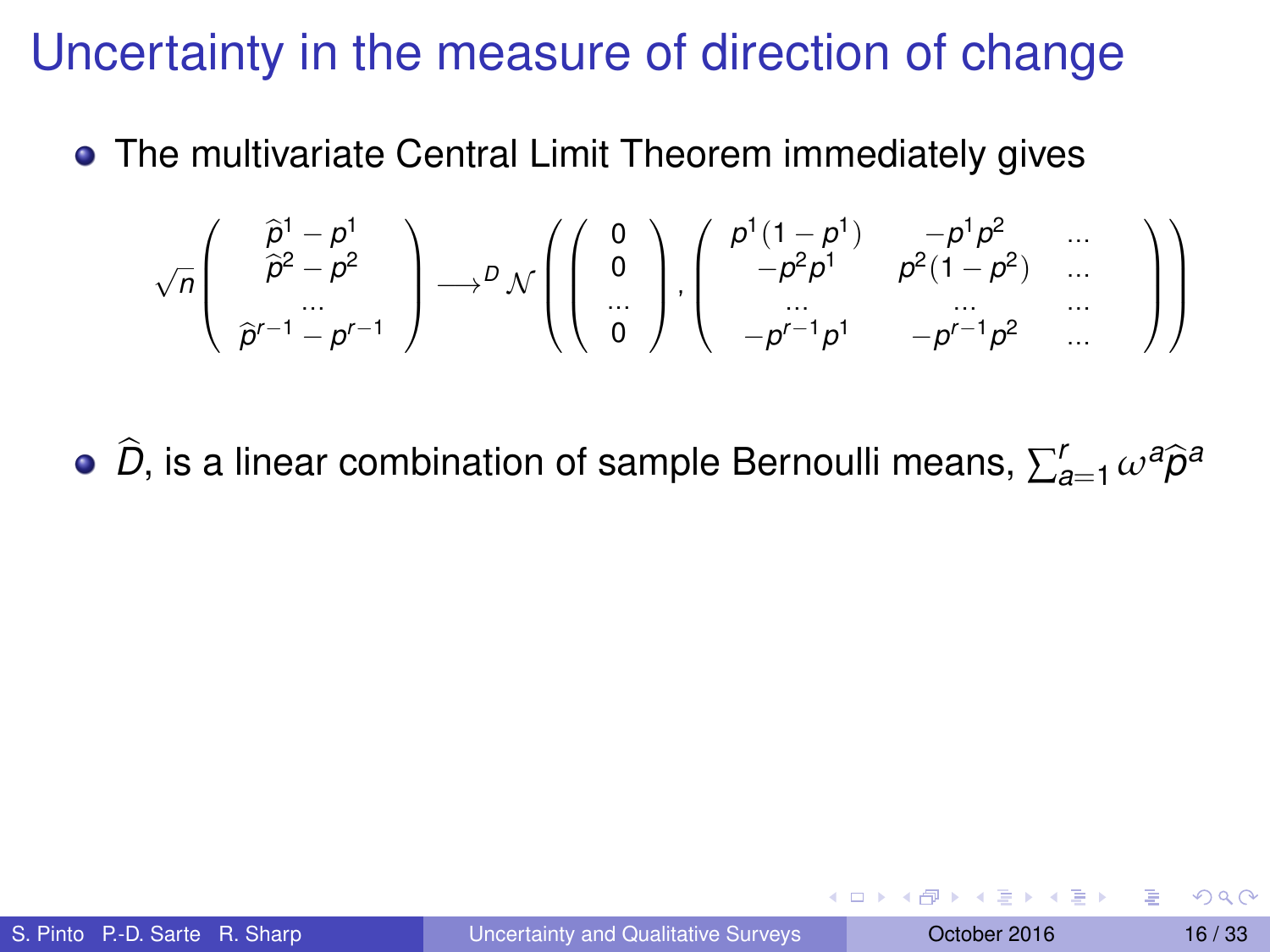#### Uncertainty in the measure of direction of change

• The multivariate Central Limit Theorem immediately gives

$$
\sqrt{n}\left(\begin{array}{c}\widehat{p}^1-p^1\\\widehat{p}^2-p^2\\\widehat{p}^{r-1}-p^{r-1}\end{array}\right)\longrightarrow^D\mathcal{N}\left(\left(\begin{array}{c}0\\\widehat{0}\\\cdots\\\widehat{0}\end{array}\right),\left(\begin{array}{cc}\widehat{p}^1(1-p^1)&-p^1p^2&\cdots\\\phantom{-p^2p^1}&p^2(1-p^2)&\cdots\\\phantom{-p^1p^1}&-p^{r-1}p^2&\cdots\\\phantom{-p^1p^1}&-p^{r-1}p^2&\cdots\end{array}\right)\right)
$$

 $\widehat{D}$ , is a linear combination of sample Bernoulli means,  $\sum_{a=1}^r \omega^a \widehat{\rho}^a$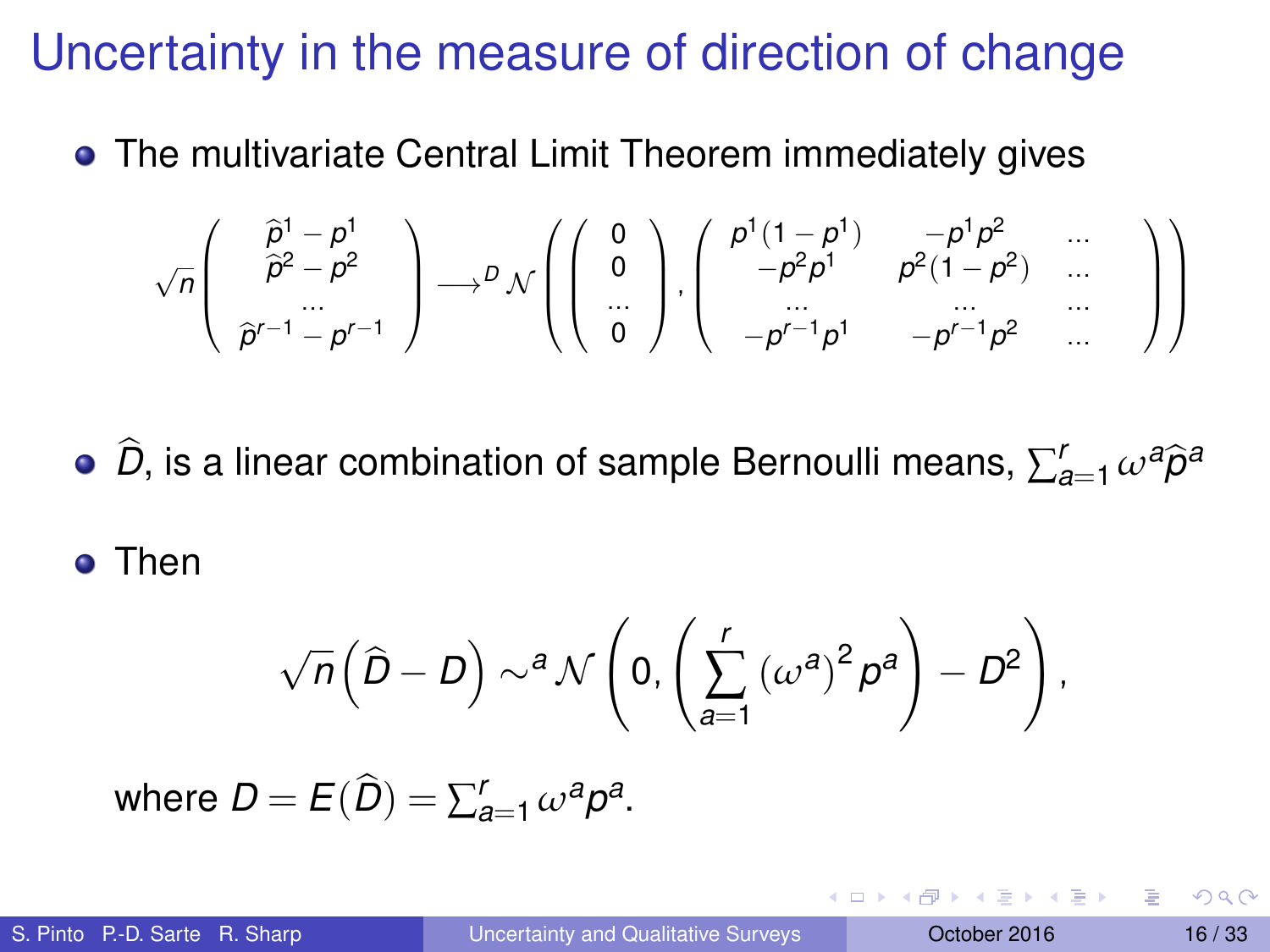#### Uncertainty in the measure of direction of change

• The multivariate Central Limit Theorem immediately gives

$$
\sqrt{n}\left(\begin{array}{c}\widehat{p}^1-p^1\\\widehat{p}^2-p^2\\\widehat{p}^{r-1}-p^{r-1}\end{array}\right)\longrightarrow^D\mathcal{N}\left(\left(\begin{array}{c}0\\\widehat{0}\\\cdots\\\widehat{0}\end{array}\right),\left(\begin{array}{cc}\widehat{p}^1(1-p^1)&-p^1p^2&\cdots\\\ -p^2p^1&p^2(1-p^2)&\cdots\\\ -p^{r-1}p^1&-p^{r-1}p^2&\cdots\\\end{array}\right)\right)
$$

 $\widehat{D}$ , is a linear combination of sample Bernoulli means,  $\sum_{a=1}^r \omega^a \widehat{\rho}^a$ 

**o** Then

$$
\sqrt{n}\left(\widehat{D}-D\right)\sim^{a} \mathcal{N}\left(0,\left(\sum_{a=1}^{r}{\left(\omega^{a}\right)^{2}\rho^{a}}\right)-D^{2}\right),
$$

where  $D = E(\widehat{D}) = \sum_{a=1}^{r} \omega^a p^a$ .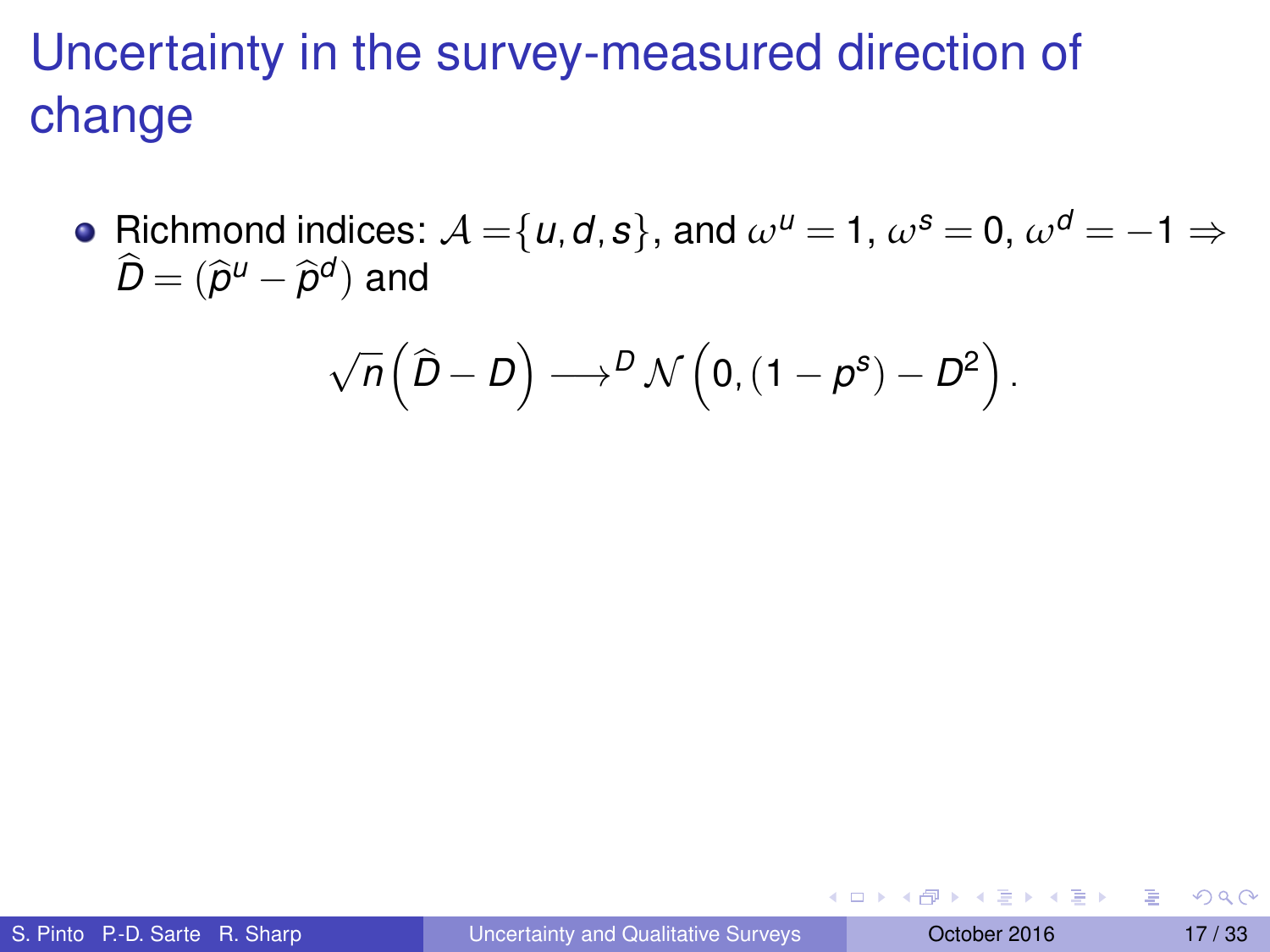# Uncertainty in the survey-measured direction of change

• Richmond indices:  $A = \{u, d, s\}$ , and  $\omega^u = 1$ ,  $\omega^s = 0$ ,  $\omega^d = -1 \Rightarrow$  $\widehat{D} = (\widehat{p}^{\mu} - \widehat{p}^{\sigma})$  and

$$
\sqrt{n}\left(\widehat{D}-D\right)\longrightarrow^{D}\mathcal{N}\left(0,\left(1-\rho^{s}\right)-D^{2}\right).
$$

∍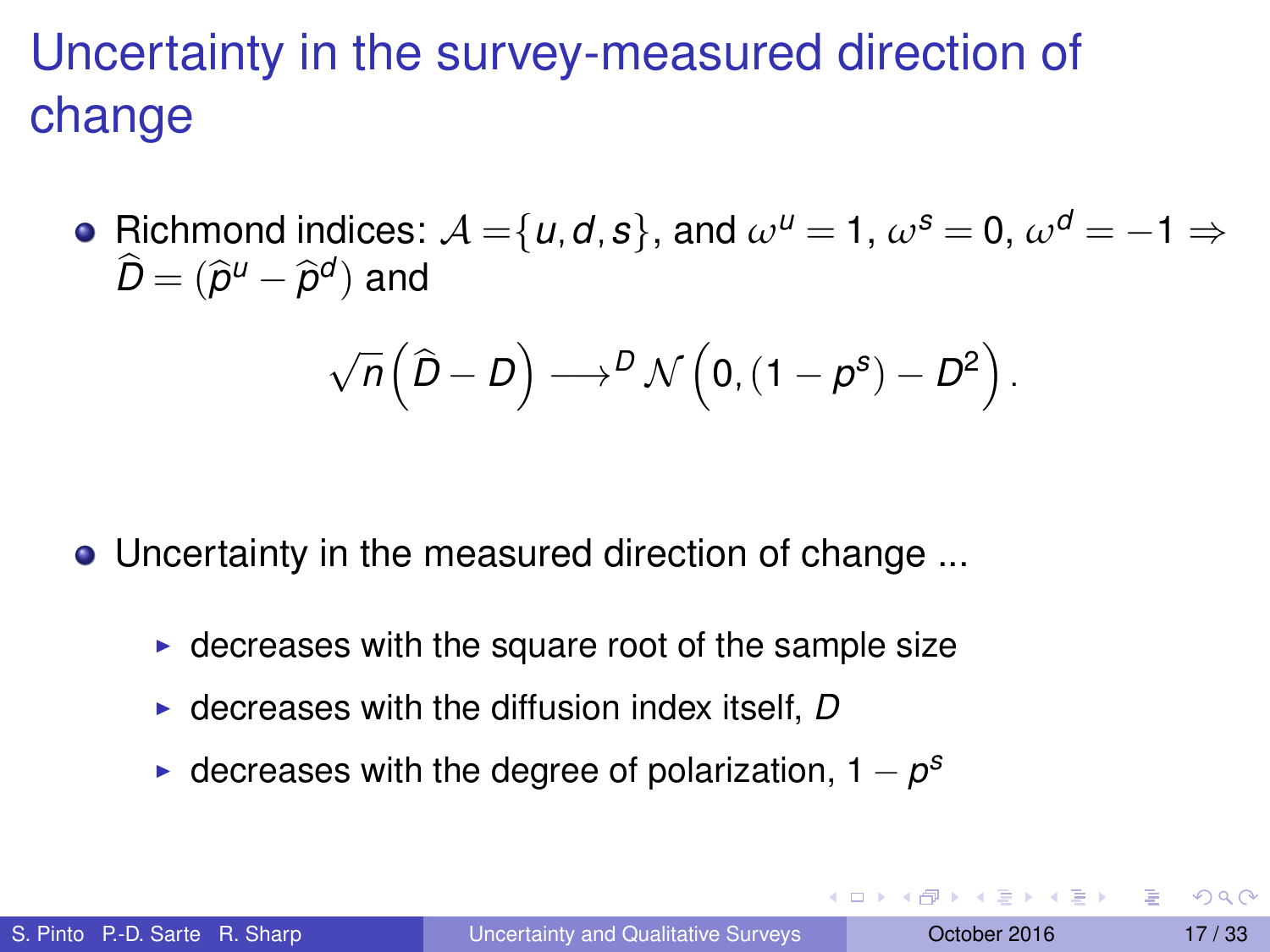# Uncertainty in the survey-measured direction of change

• Richmond indices:  $A = \{u, d, s\}$ , and  $\omega^u = 1$ ,  $\omega^s = 0$ ,  $\omega^d = -1 \Rightarrow$  $\widehat{D} = (\widehat{p}^{\mu} - \widehat{p}^{\sigma})$  and

$$
\sqrt{n}\left(\widehat{D}-D\right)\longrightarrow^{D}\mathcal{N}\left(0,(1-\rho^{s})-D^{2}\right).
$$

Uncertainty in the measured direction of change ...

- $\triangleright$  decreases with the square root of the sample size
- $\triangleright$  decreases with the diffusion index itself, *D*
- $\triangleright$  decreases with the degree of polarization, 1  $-p^s$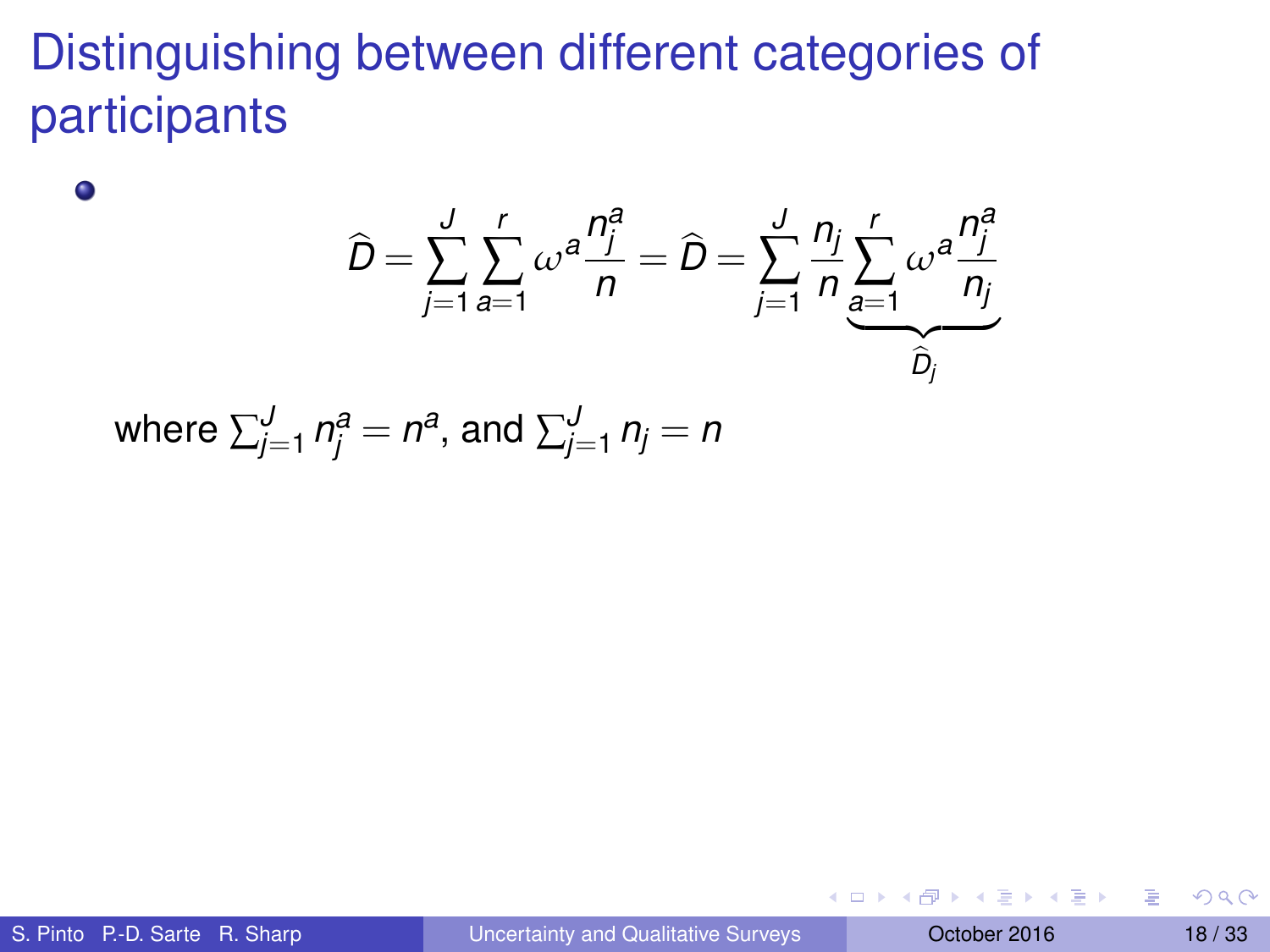# Distinguishing between different categories of participants

$$
\widehat{D} = \sum_{j=1}^{J} \sum_{a=1}^{r} \omega^a \frac{n_j^a}{n} = \widehat{D} = \sum_{j=1}^{J} \frac{n_j}{n} \sum_{\substack{a=1 \ b_j}}^{r} \omega^a \frac{n_j^a}{n_j}
$$
  
where  $\sum_{j=1}^{J} n_j^a = n^a$ , and  $\sum_{j=1}^{J} n_j = n$ 

 $\bullet$ 

в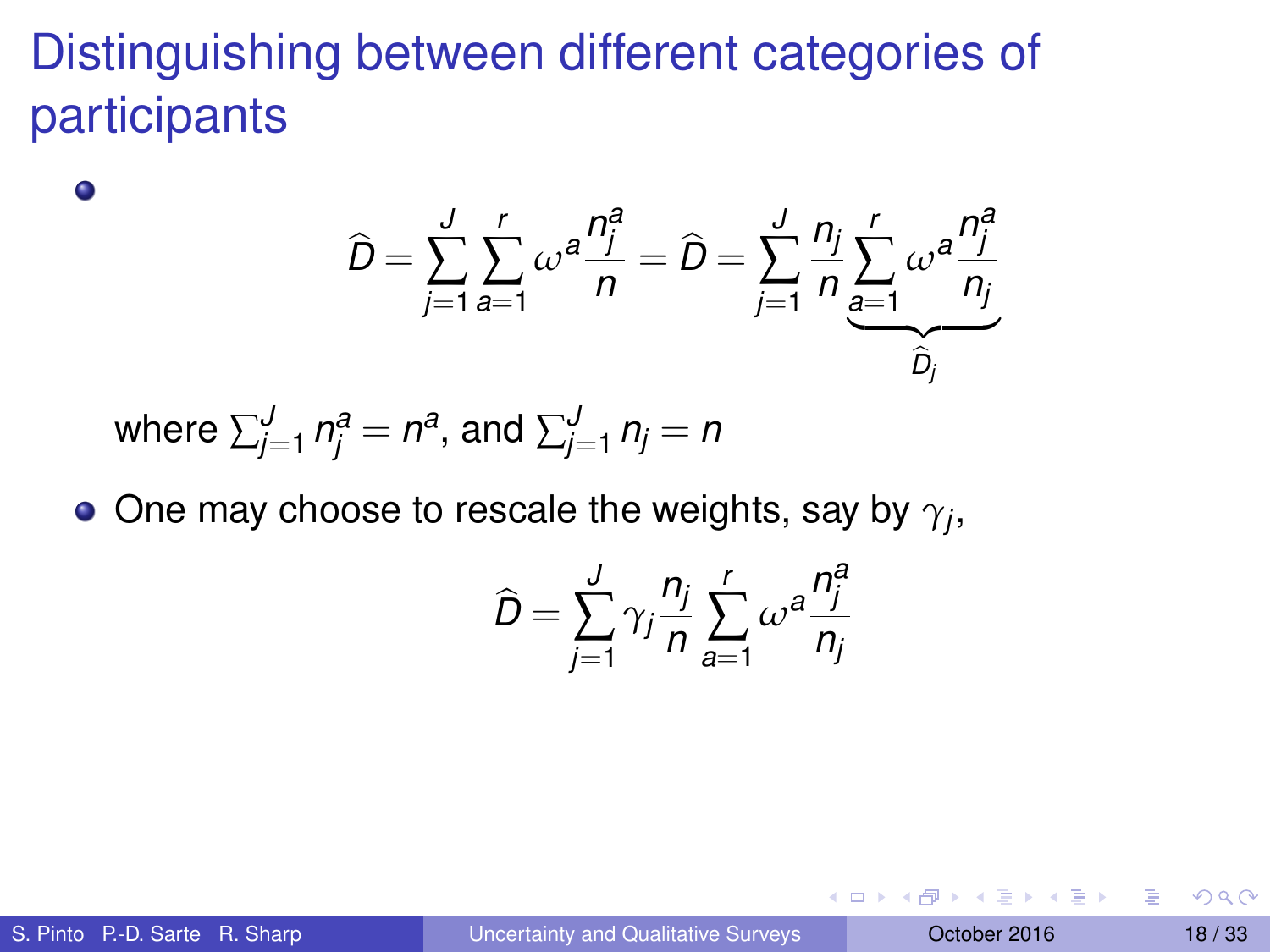# Distinguishing between different categories of participants

$$
\widehat{D} = \sum_{j=1}^{J} \sum_{a=1}^{r} \omega^a \frac{n_j^a}{n} = \widehat{D} = \sum_{j=1}^{J} \frac{n_j}{n} \sum_{\substack{a=1 \ b_j}}^{r} \omega^a \frac{n_j^a}{n_j}
$$

where 
$$
\sum_{j=1}^{J} n_j^a = n^a
$$
, and  $\sum_{j=1}^{J} n_j = n$ 

One may choose to rescale the weights, say by  $\gamma_j,$ 

$$
\widehat{D} = \sum_{j=1}^{J} \gamma_j \frac{n_j}{n} \sum_{a=1}^{r} \omega^a \frac{n_j^a}{n_j}
$$

 $\bullet$ 

 $(0,1)$   $(0,1)$   $(0,1)$   $(1,1)$   $(1,1)$   $(1,1)$   $(1,1)$   $(1,1)$   $(1,1)$   $(1,1)$   $(1,1)$   $(1,1)$   $(1,1)$   $(1,1)$ 

Þ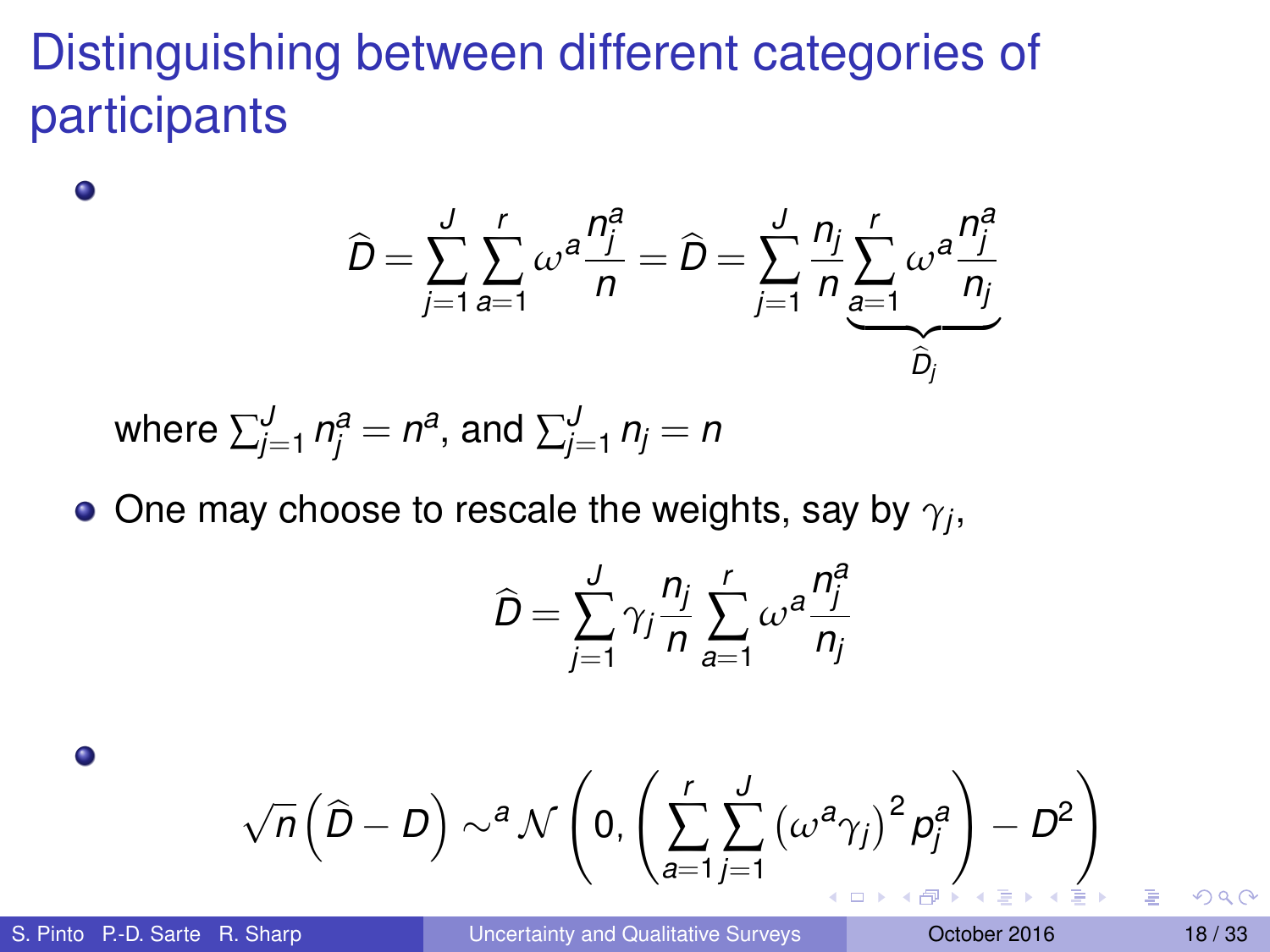# Distinguishing between different categories of participants

$$
\widehat{D} = \sum_{j=1}^{J} \sum_{a=1}^{r} \omega^a \frac{n_j^a}{n} = \widehat{D} = \sum_{j=1}^{J} \frac{n_j}{n} \sum_{\substack{a=1 \ b_j}}^{r} \omega^a \frac{n_j^a}{n_j}
$$
  
where  $\sum_{j=1}^{J} n_j^a = n^a$ , and  $\sum_{j=1}^{J} n_j = n$ 

• One may choose to rescale the weights, say by 
$$
\gamma_j
$$
,

$$
\widehat{D} = \sum_{j=1}^{J} \gamma_j \frac{n_j}{n} \sum_{a=1}^{r} \omega^a \frac{n_j^a}{n_j}
$$

$$
\sqrt{n}\left(\widehat{D}-D\right)\sim^a\mathcal{N}\left(0,\left(\sum_{a=1}^r\sum_{j=1}^J\left(\omega^a\gamma_j\right)^2\beta_j^a\right)-D^2\right)
$$

 $\bullet$ 

 $\bullet$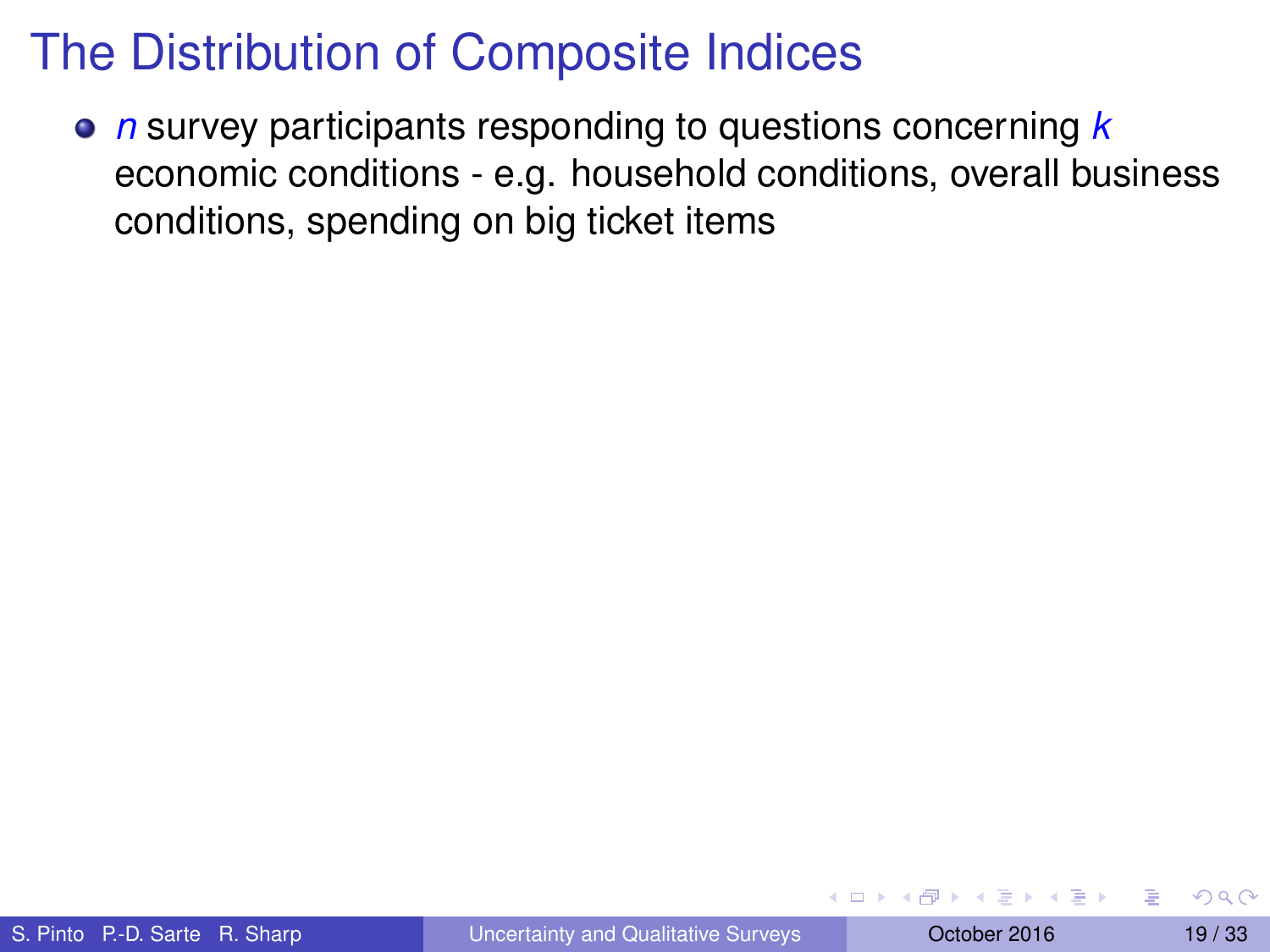*n* survey participants responding to questions concerning *k* economic conditions - e.g. household conditions, overall business conditions, spending on big ticket items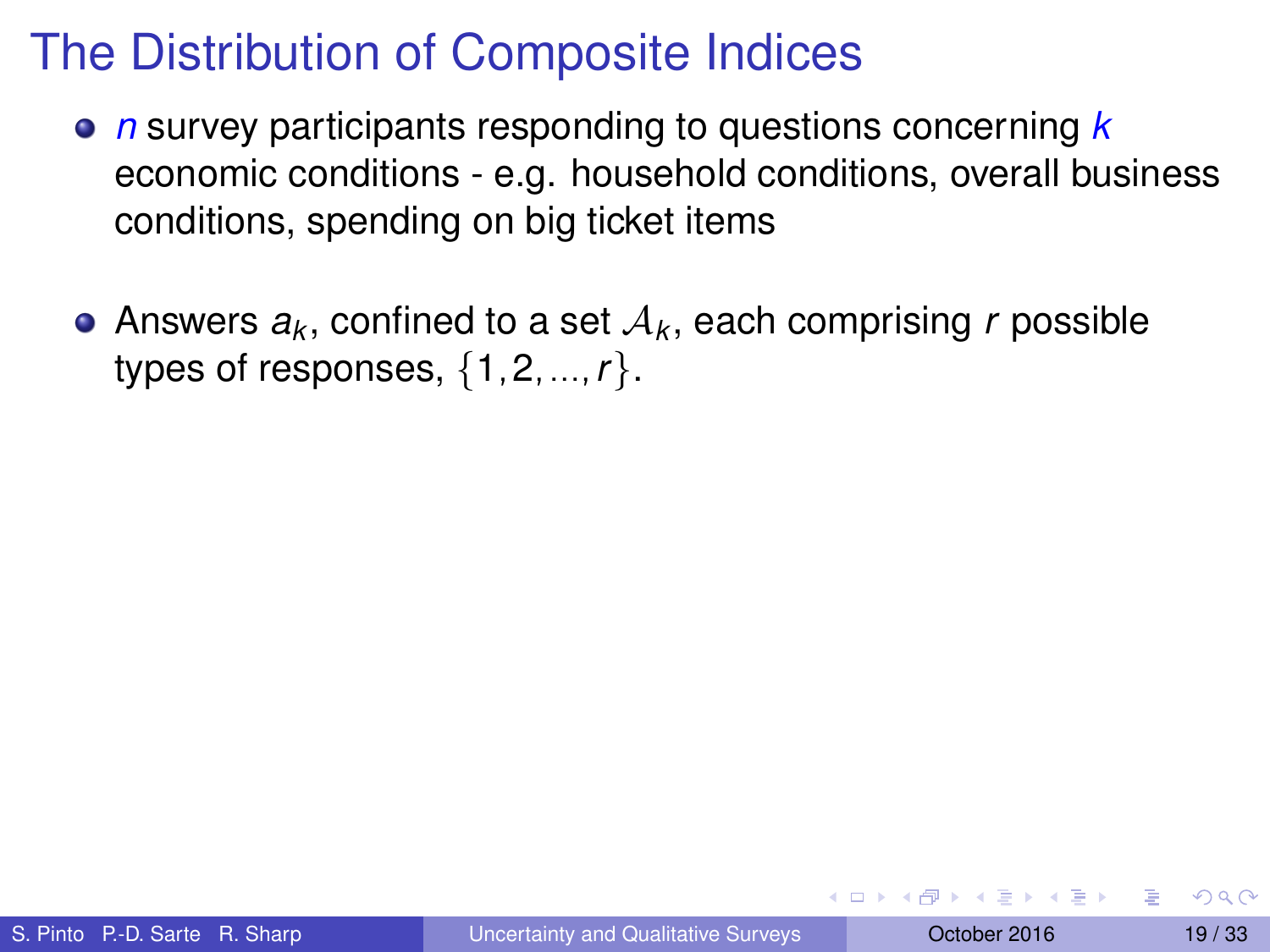- *n* survey participants responding to questions concerning *k* economic conditions - e.g. household conditions, overall business conditions, spending on big ticket items
- Answers  $a_k$ , confined to a set  $\mathcal{A}_k$ , each comprising  $r$  possible types of responses, {1,2,...,*r*}.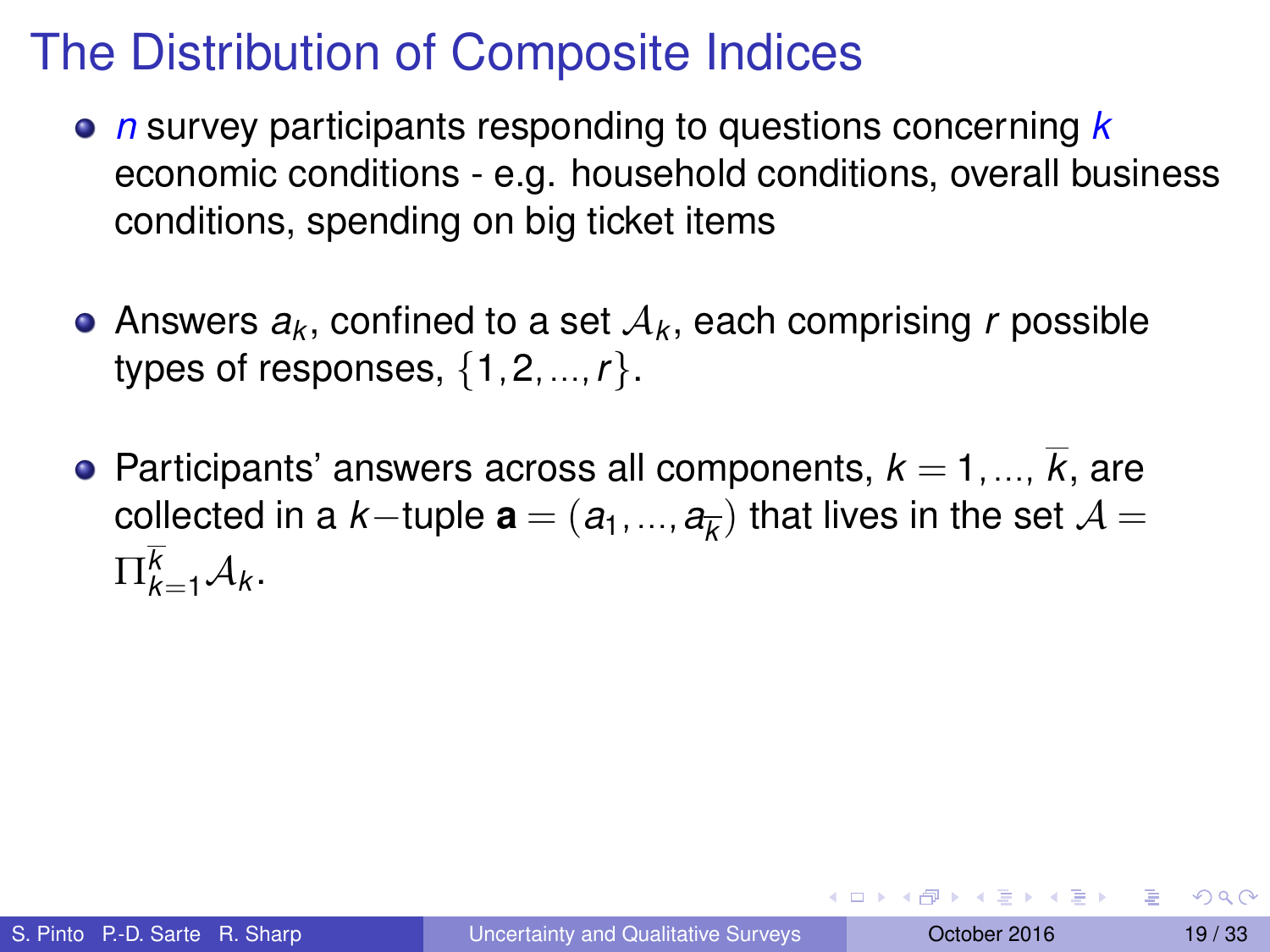- *n* survey participants responding to questions concerning *k* economic conditions - e.g. household conditions, overall business conditions, spending on big ticket items
- Answers  $a_k$ , confined to a set  $\mathcal{A}_k$ , each comprising  $r$  possible types of responses, {1,2,...,*r*}.
- Participants' answers across all components,  $k = 1, ..., \overline{k}$ , are  $\mathsf{collected}$  in a  $k-$ tuple  $\mathbf{a} = (a_1,...,a_{\overline{k}})$  that lives in the set  $\mathcal{A} =$  $\Pi_{k=1}^k A_k$ .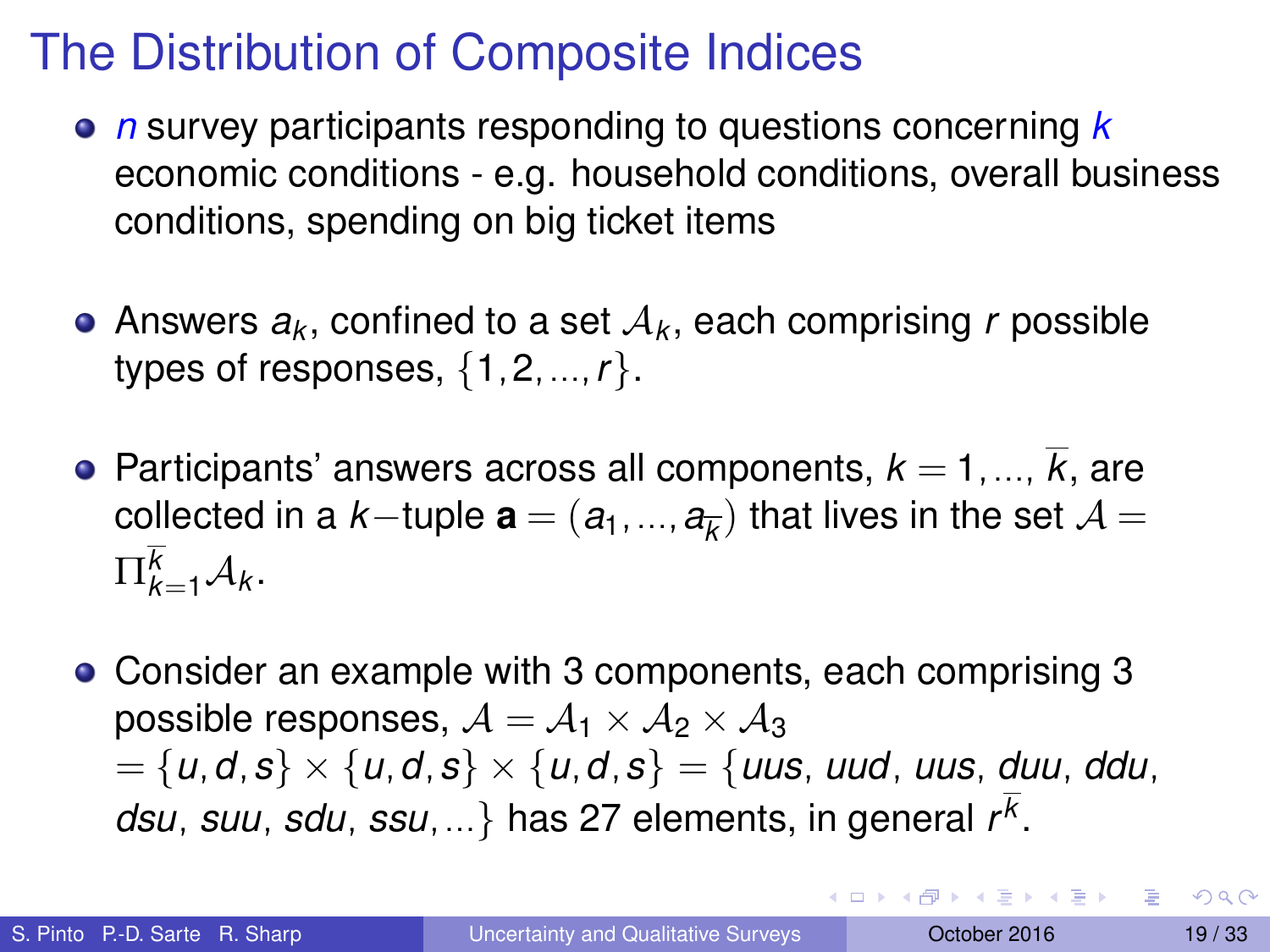- *n* survey participants responding to questions concerning *k* economic conditions - e.g. household conditions, overall business conditions, spending on big ticket items
- Answers  $a_k$ , confined to a set  $\mathcal{A}_k$ , each comprising  $r$  possible types of responses, {1,2,...,*r*}.
- **•** Participants' answers across all components,  $k = 1, ..., k$ , are  $\mathsf{collected}$  in a  $k-$ tuple  $\mathbf{a} = (a_1,...,a_{\overline{k}})$  that lives in the set  $\mathcal{A} =$  $\Pi_{k=1}^k A_k$ .
- Consider an example with 3 components, each comprising 3 possible responses,  $A = A_1 \times A_2 \times A_3$ = {*u*,*d*,*s*} × {*u*,*d*,*s*} × {*u*,*d*,*s*} = {*uus*, *uud*, *uus*, *duu*, *ddu*, *dsu*, *suu*, *sdu*, *ssu*,...} has 27 elements, in general *r k* .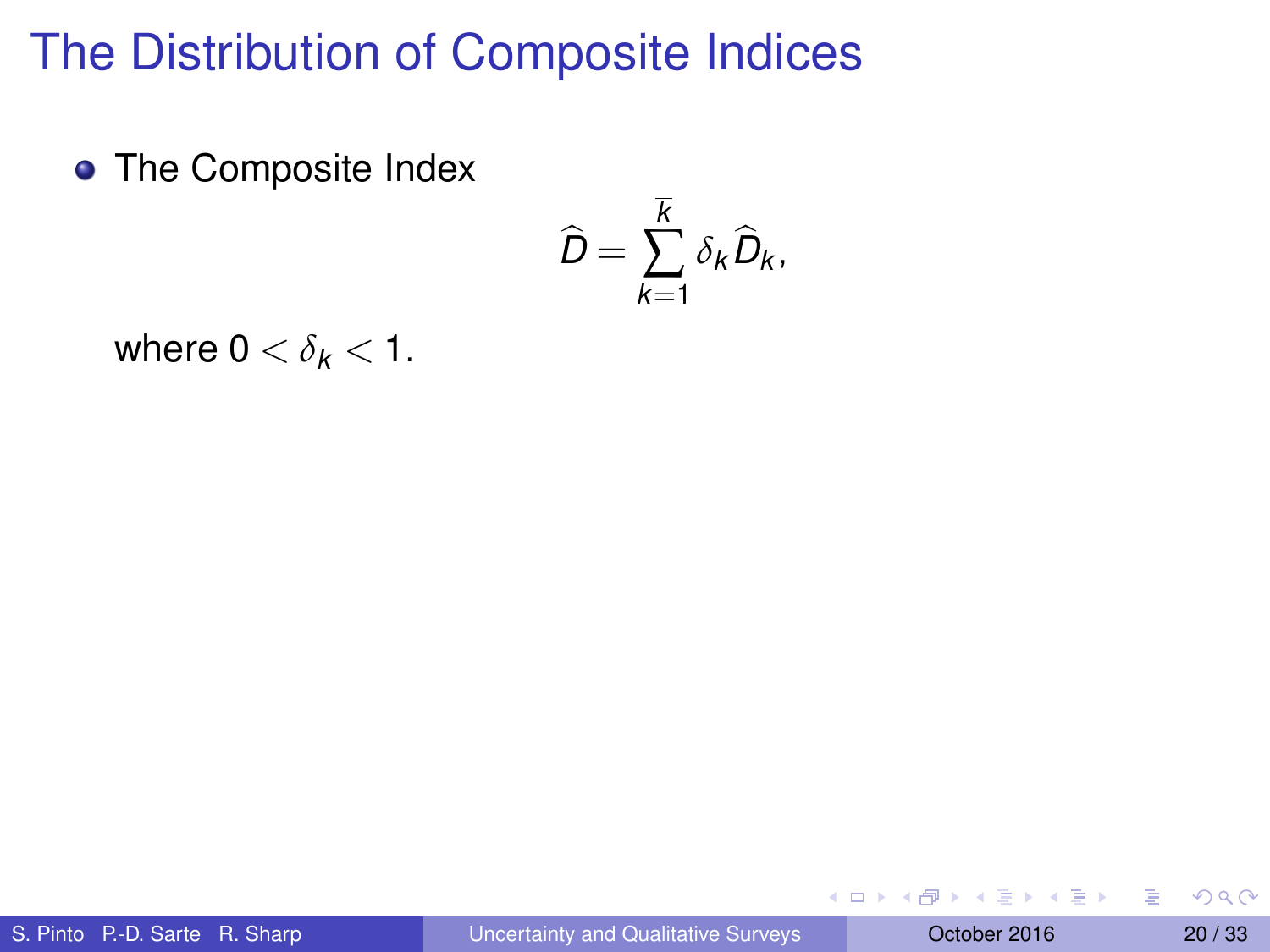• The Composite Index

$$
\widehat{D}=\sum_{k=1}^{\overline{k}}\delta_k\widehat{D}_k,
$$

where  $0 < \delta_k < 1$ .

 $(0,1)$   $(0,1)$   $(0,1)$   $(1,1)$   $(1,1)$   $(1,1)$   $(1,1)$   $(1,1)$   $(1,1)$   $(1,1)$   $(1,1)$   $(1,1)$   $(1,1)$   $(1,1)$   $(1,1)$   $(1,1)$   $(1,1)$   $(1,1)$   $(1,1)$   $(1,1)$   $(1,1)$   $(1,1)$   $(1,1)$   $(1,1)$   $(1,1)$   $(1,1)$   $(1,1)$   $(1,1$ 

в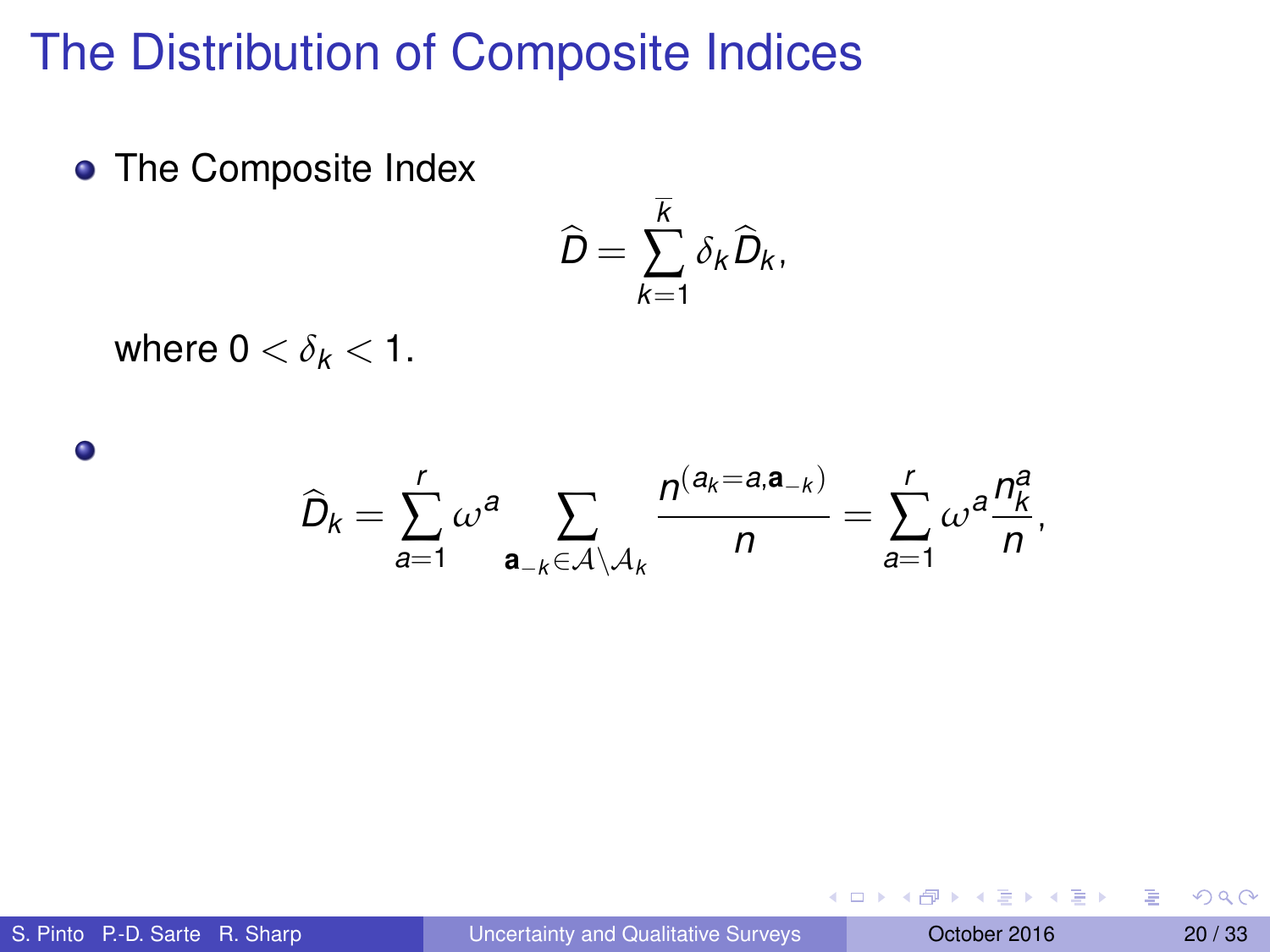• The Composite Index

$$
\widehat{D}=\sum_{k=1}^{\overline{k}}\delta_k\widehat{D}_k,
$$

where  $0 < \delta_k < 1$ .

 $D_k =$ *r* ∑ *a*=1 *ω <sup>a</sup>* ∑ **a**−*k*∈A\A*<sup>k</sup>*  $n$ <sup>(a<sub>*k*</sub>=a,a−*k*)</sup>  $\frac{1}{n}$  = *r* ∑ *a*=1  $\omega^a \frac{n_k^a}{n}$  $\frac{\pi}{n}$ ,

 $\bullet$ 

4 0 8 4 5 8 4 5 8 4 5 8 1

в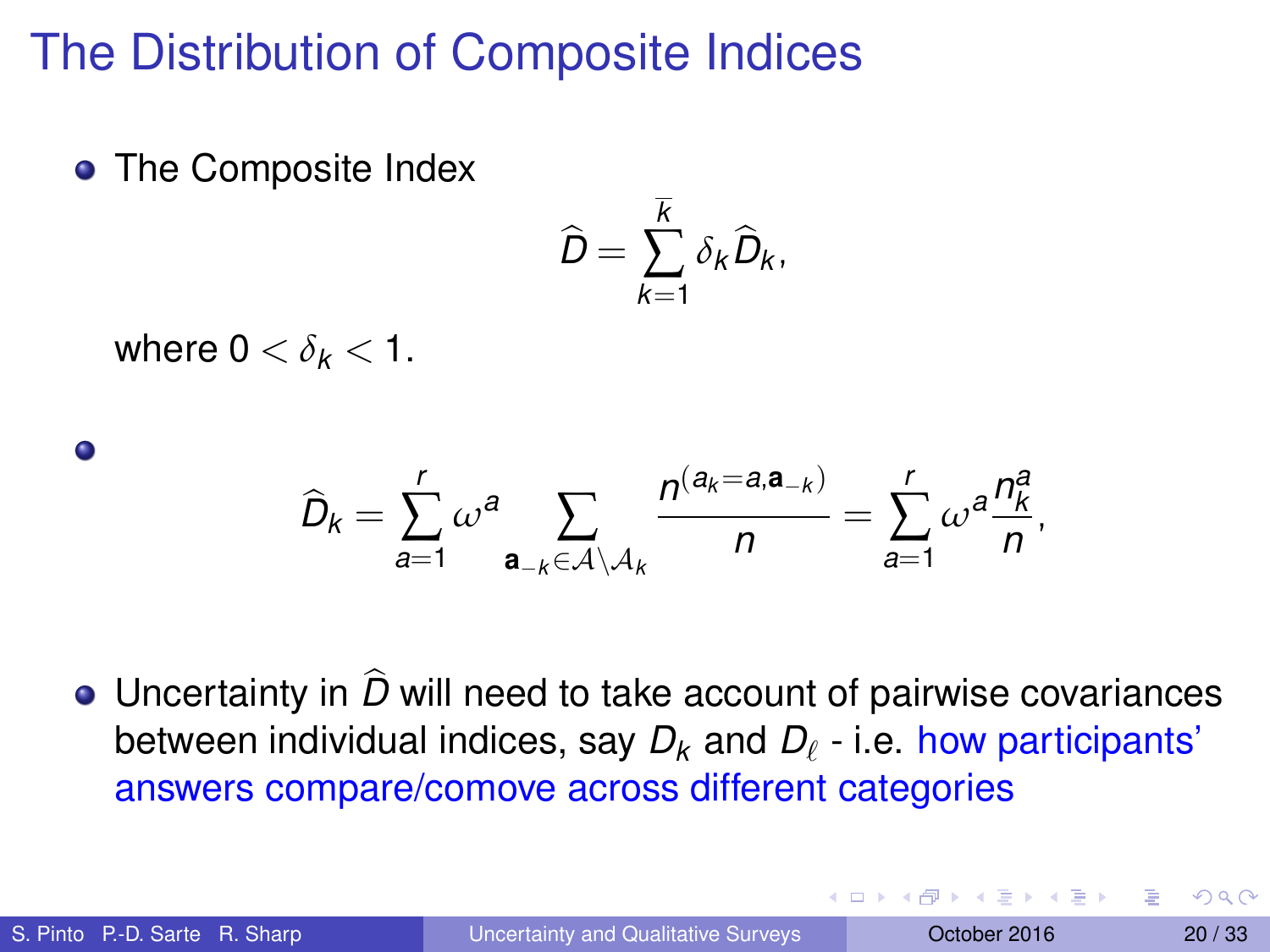• The Composite Index

$$
\widehat{D}=\sum_{k=1}^{\overline{k}}\delta_k\widehat{D}_k,
$$

where  $0 < \delta_k < 1$ .

 $\bullet$ 

$$
\widehat{D}_k = \sum_{a=1}^r \omega^a \sum_{\mathbf{a}_{-k} \in \mathcal{A} \setminus \mathcal{A}_k} \frac{n^{(a_k = a, \mathbf{a}_{-k})}}{n} = \sum_{a=1}^r \omega^a \frac{n_k^a}{n},
$$

 $\bullet$  Uncertainty in  $\widehat{D}$  will need to take account of pairwise covariances between individual indices, say  $D_k$  and  $D_\ell$  - i.e. how participants' answers compare/comove across different categories

**A THE REAL PROPERTY** 

 $\Omega$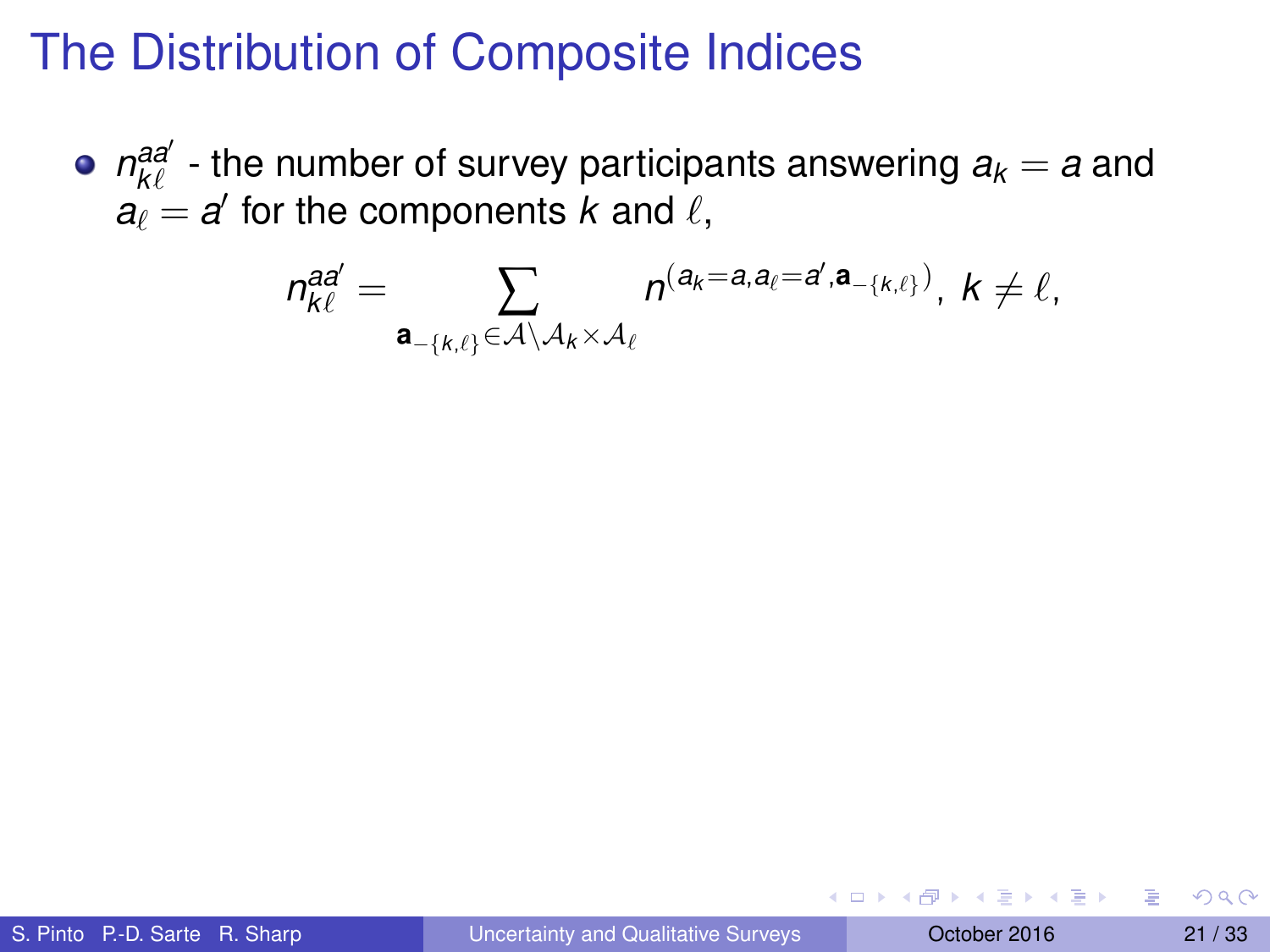$m_{k\ell}^{aa'}$  - the number of survey participants answering  $a_k = a$  and  $a_{\ell} = a'$  for the components *k* and  $\ell$ ,

$$
\eta_{k\ell}^{\text{ad}'}=\sum_{\mathbf{a}_{-\{k,\ell\}}\in\mathcal{A}\setminus\mathcal{A}_k\times\mathcal{A}_\ell}n^{(a_k=a,a_\ell=d',\mathbf{a}_{-\{k,\ell\}})},\;k\neq\ell,
$$

医骨盆 医骨盆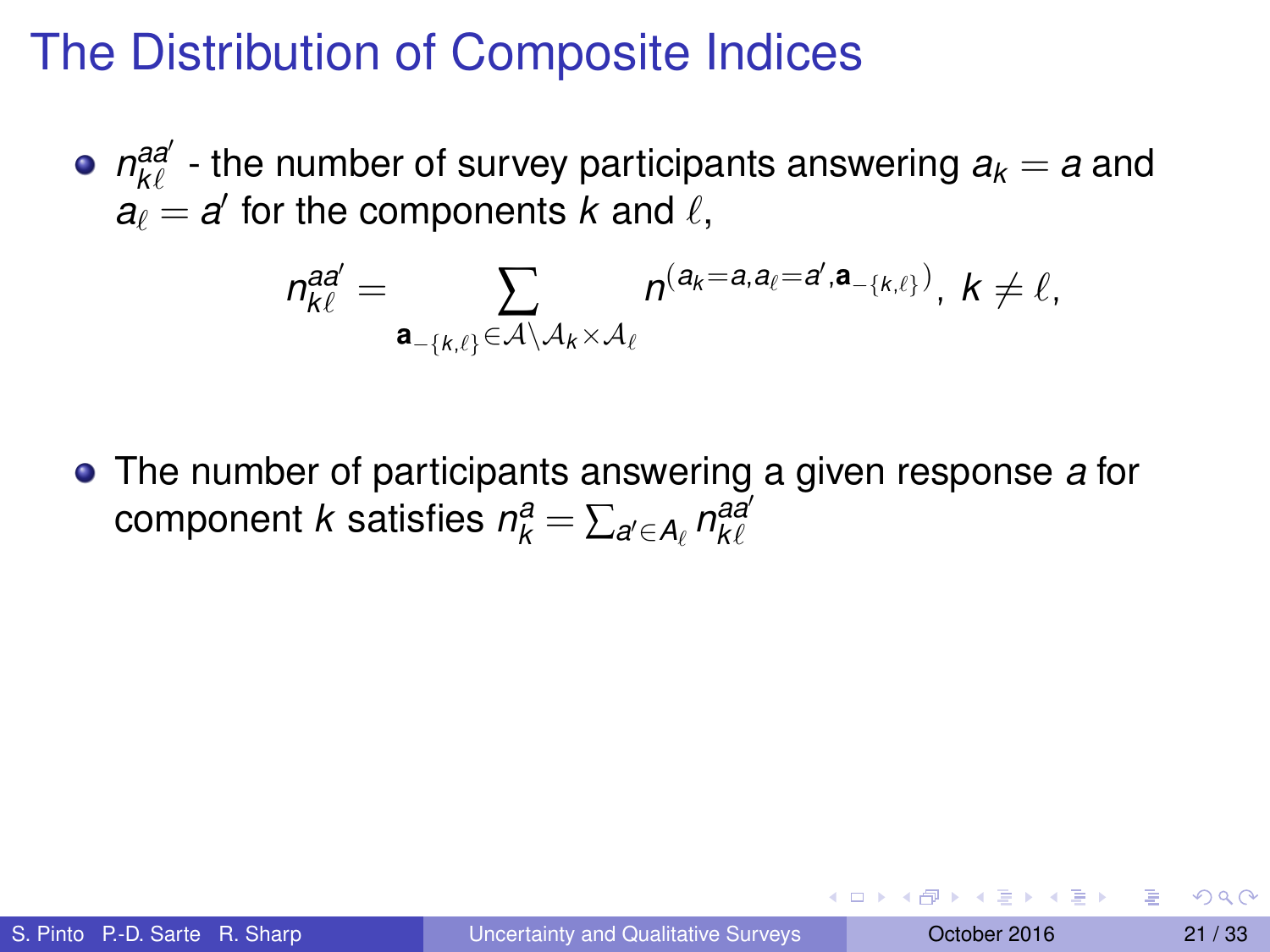$m_{k\ell}^{aa'}$  - the number of survey participants answering  $a_k = a$  and  $a_{\ell} = a'$  for the components *k* and  $\ell$ ,

$$
n_{k\ell}^{\text{aa}'}=\sum_{\mathbf{a}_{-\{k,\ell\}}\in\mathcal{A}\setminus\mathcal{A}_k\times\mathcal{A}_\ell}n^{(a_k=a,a_\ell=a',\mathbf{a}_{-\{k,\ell\}})},\;k\neq\ell,
$$

The number of participants answering a given response *a* for  $\alpha$  component *k* satisfies  $n_k^a = \sum_{a' \in A_\ell} n_{k\ell}^{aa'}$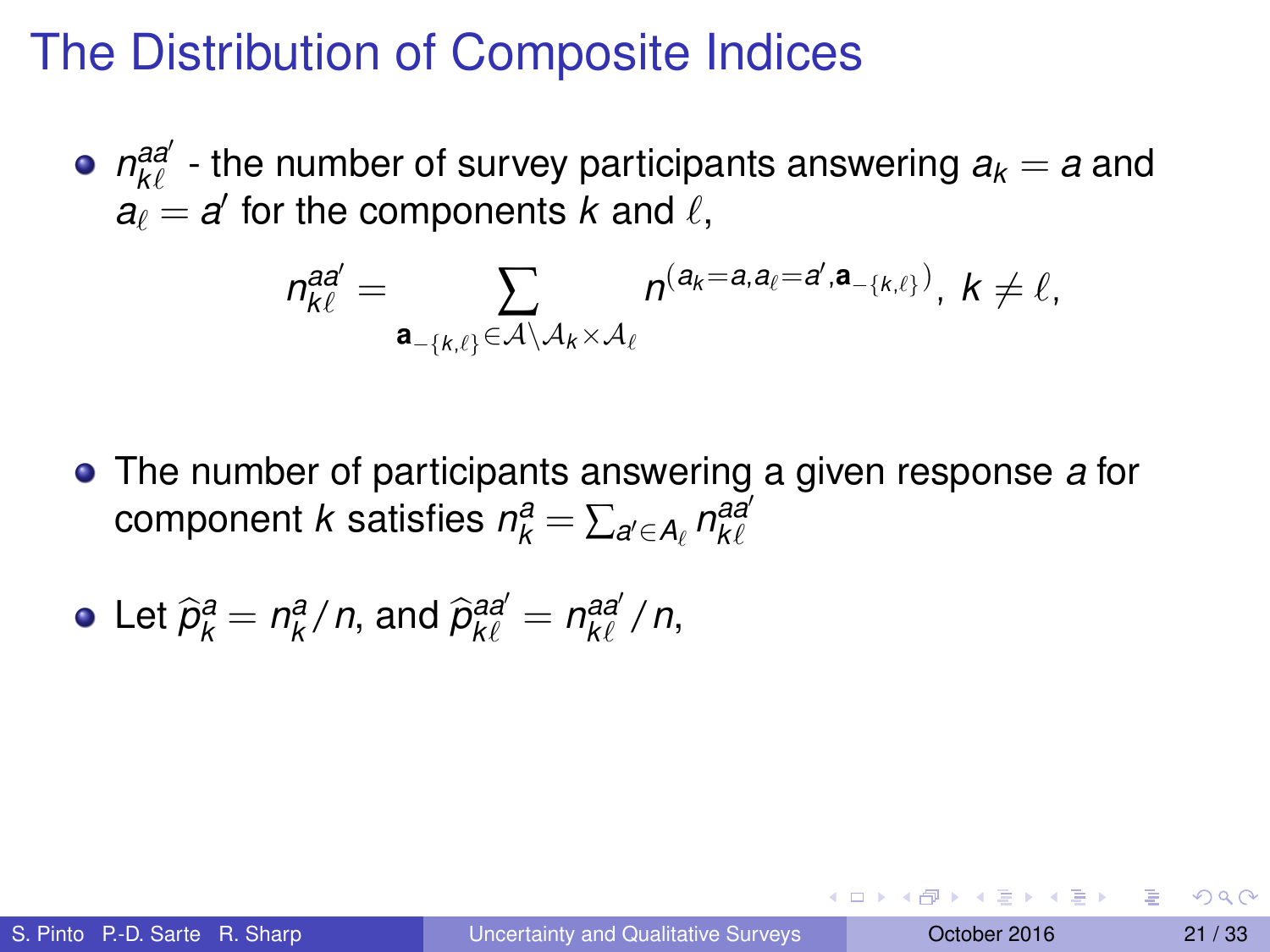$m_{k\ell}^{aa'}$  - the number of survey participants answering  $a_k = a$  and  $a_{\ell} = a'$  for the components *k* and  $\ell$ ,

$$
n_{k\ell}^{\text{aa}'}=\sum_{\mathbf{a}_{-\{k,\ell\}}\in\mathcal{A}\setminus\mathcal{A}_k\times\mathcal{A}_\ell}n^{(a_k=a,a_\ell=a',\mathbf{a}_{-\{k,\ell\}})},\;k\neq\ell,
$$

The number of participants answering a given response *a* for  $\alpha$  component *k* satisfies  $n_k^a = \sum_{a' \in A_\ell} n_{k\ell}^{aa'}$ 

• Let 
$$
\hat{p}_k^a = n_k^a/n
$$
, and  $\hat{p}_{k\ell}^{aa'} = n_{k\ell}^{aa'}/n$ ,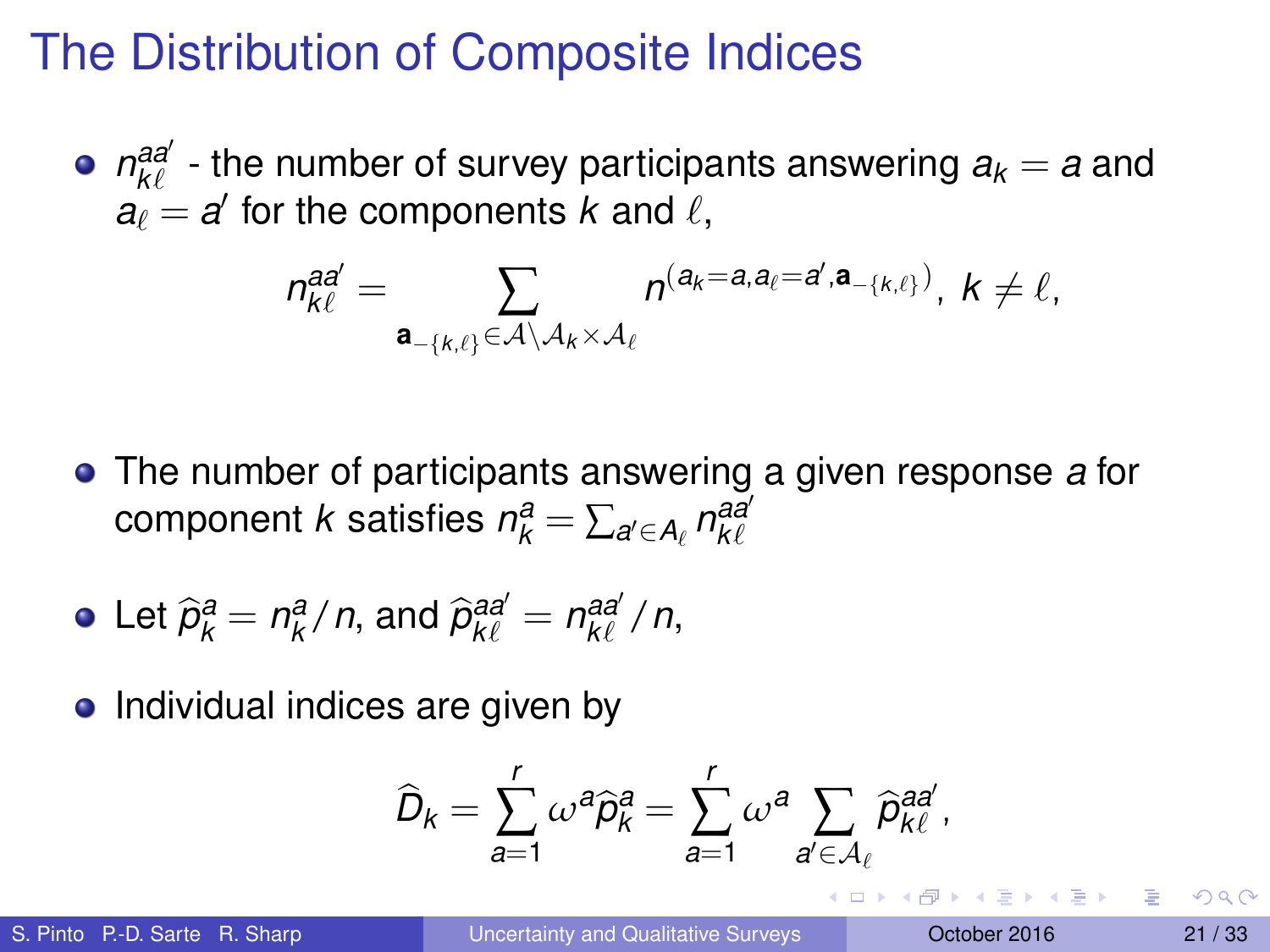$m_{k\ell}^{aa'}$  - the number of survey participants answering  $a_k = a$  and  $a_{\ell} = a'$  for the components *k* and  $\ell$ ,

$$
n_{k\ell}^{\text{aa}'}=\sum_{\mathbf{a}_{-\{k,\ell\}}\in\mathcal{A}\setminus\mathcal{A}_k\times\mathcal{A}_\ell}n^{(a_k=a,a_\ell=a',\mathbf{a}_{-\{k,\ell\}})},\;k\neq\ell,
$$

The number of participants answering a given response *a* for  $\alpha$  component *k* satisfies  $n_k^a = \sum_{a' \in A_\ell} n_{k\ell}^{aa'}$ 

• Let 
$$
\hat{p}_k^a = n_k^a/n
$$
, and  $\hat{p}_{k\ell}^{aa'} = n_{k\ell}^{aa'}/n$ ,

• Individual indices are given by

$$
\widehat{D}_k = \sum_{a=1}^r \omega^a \widehat{p}_k^a = \sum_{a=1}^r \omega^a \sum_{a' \in \mathcal{A}_{\ell}} \widehat{p}_{k\ell}^{aa'},
$$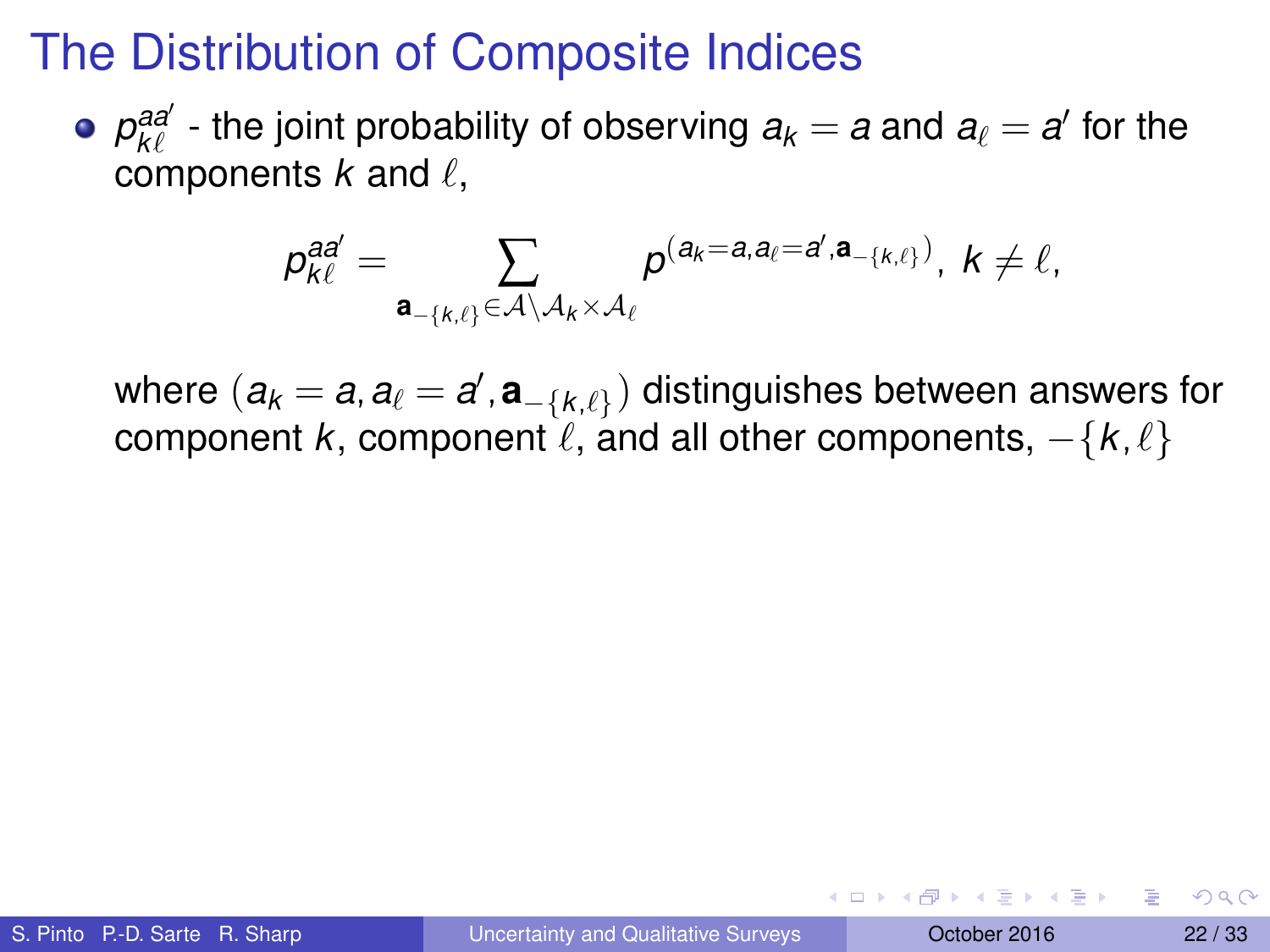$p^{aa'}_{k\ell}$  - the joint probability of observing  $a_k = a$  and  $a_\ell = a'$  for the components  $k$  and  $\ell$ ,

$$
p_{k\ell}^{aa'}=\sum_{\mathbf{a}_{-\{k,\ell\}}\in\mathcal{A}\setminus\mathcal{A}_k\times\mathcal{A}_\ell}p^{(a_k=a,a_\ell=a',\mathbf{a}_{-\{k,\ell\}})},\;k\neq\ell,
$$

where  $(\boldsymbol{a}_k = \boldsymbol{a}, \boldsymbol{a}_\ell = \boldsymbol{a}', \boldsymbol{a}_{-\{k,\ell\}})$  distinguishes between answers for component *k*, component  $\ell$ , and all other components,  $-\{k, \ell\}$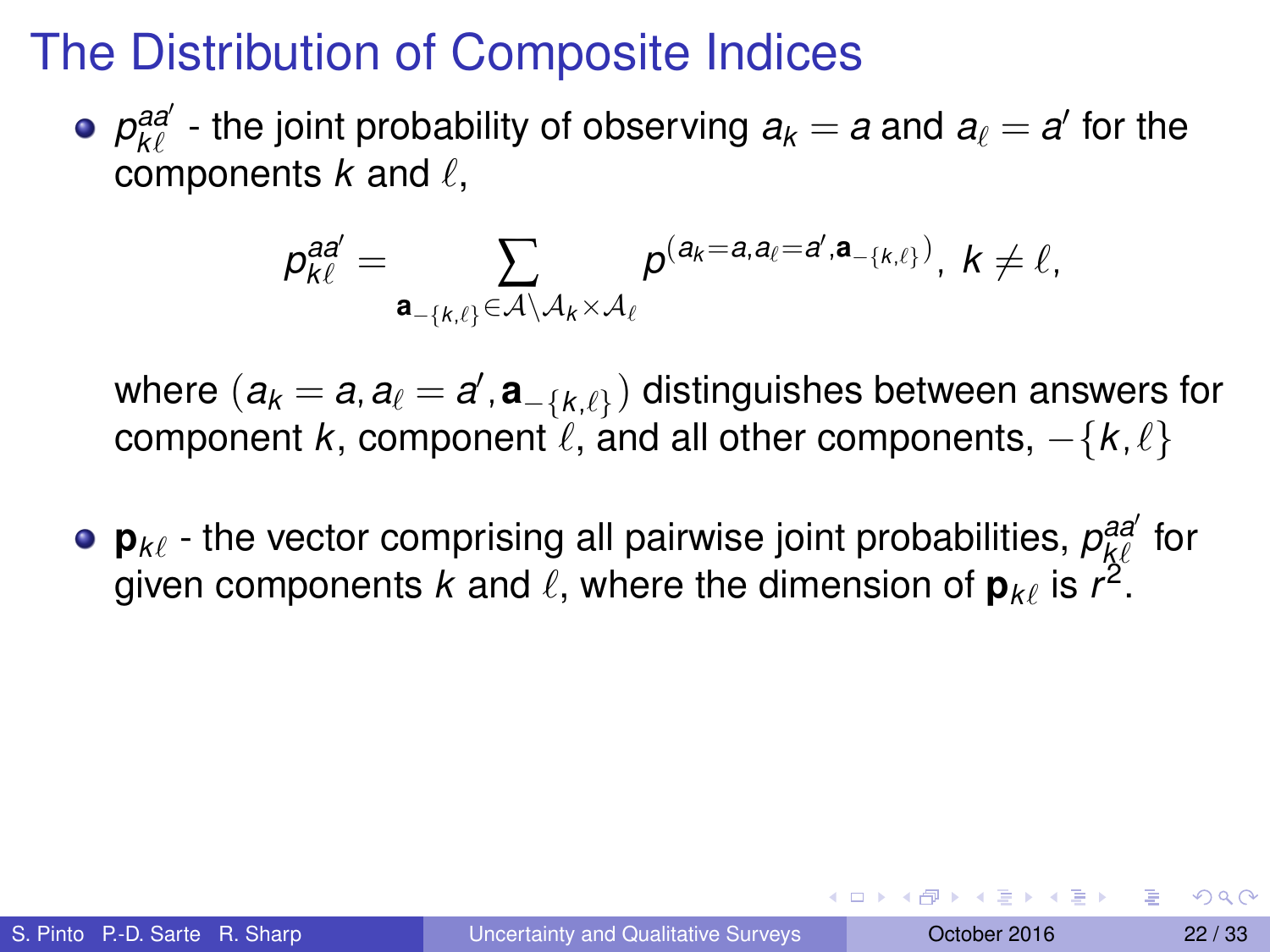$p^{aa'}_{k\ell}$  - the joint probability of observing  $a_k = a$  and  $a_\ell = a'$  for the components  $k$  and  $\ell$ ,

$$
p_{k\ell}^{aa'}=\sum_{\mathbf{a}_{-\{k,\ell\}}\in\mathcal{A}\setminus\mathcal{A}_k\times\mathcal{A}_\ell}p^{(a_k=a,a_\ell=a',\mathbf{a}_{-\{k,\ell\}})},\;k\neq\ell,
$$

where  $(\boldsymbol{a}_k = \boldsymbol{a}, \boldsymbol{a}_\ell = \boldsymbol{a}', \boldsymbol{a}_{-\{k,\ell\}})$  distinguishes between answers for component *k*, component  $\ell$ , and all other components,  $-\{k, \ell\}$ 

 $\mathsf{p}_{k\ell}$  - the vector comprising all pairwise joint probabilities,  $\rho_{k\ell}^{aa'}$  for given components  $k$  and  $\ell$ , where the dimension of  $\mathbf{p}_{k\ell}$  is  $r^2$ .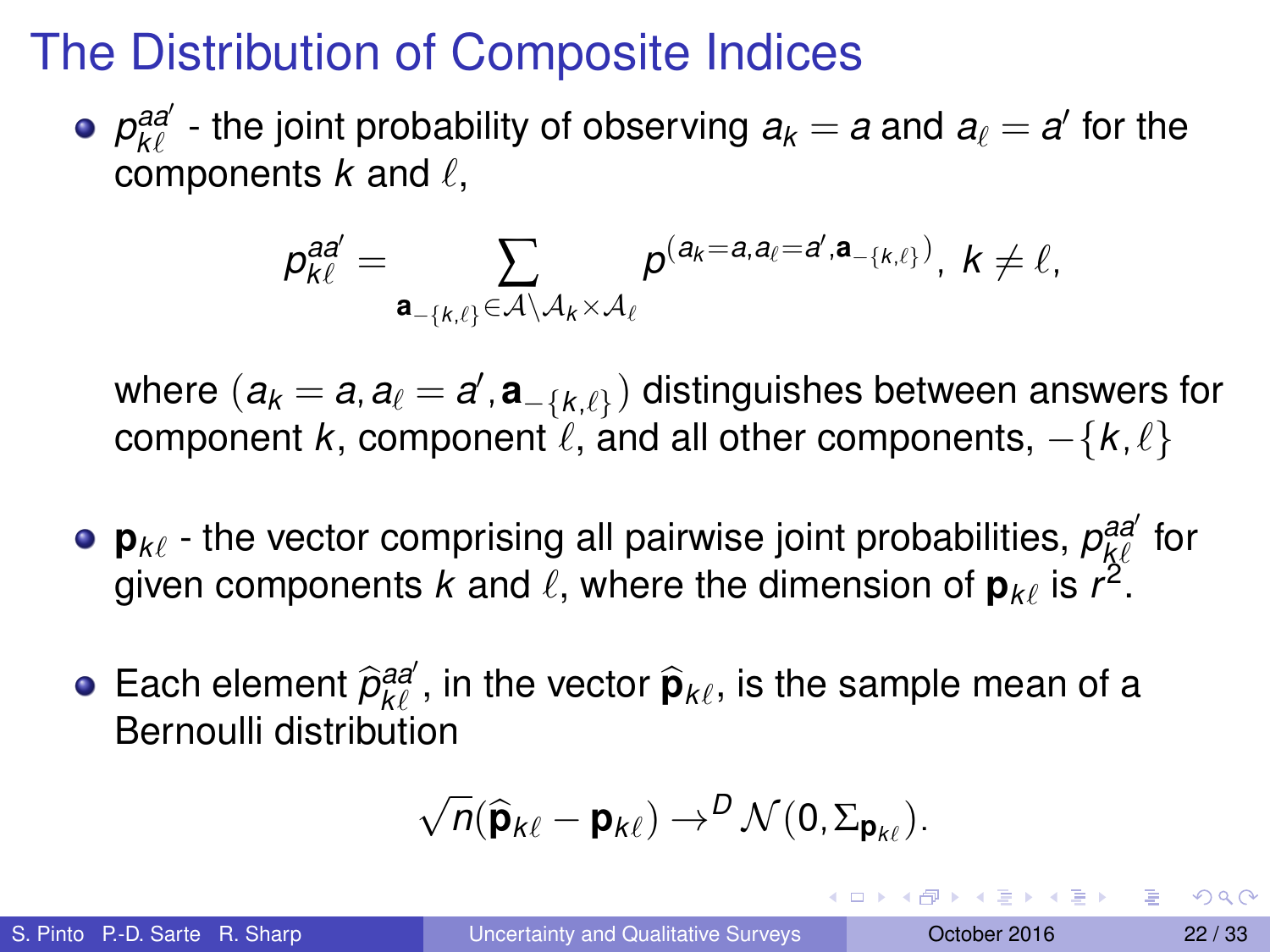$p^{aa'}_{k\ell}$  - the joint probability of observing  $a_k = a$  and  $a_\ell = a'$  for the components  $k$  and  $\ell$ ,

$$
p_{k\ell}^{aa'}=\sum_{\mathbf{a}_{-\{k,\ell\}}\in\mathcal{A}\setminus\mathcal{A}_k\times\mathcal{A}_\ell}p^{(a_k=a,a_\ell=a',\mathbf{a}_{-\{k,\ell\}})},\;k\neq\ell,
$$

where  $(\boldsymbol{a}_k = \boldsymbol{a}, \boldsymbol{a}_\ell = \boldsymbol{a}', \boldsymbol{a}_{-\{k,\ell\}})$  distinguishes between answers for component  $k$ , component  $\ell$ , and all other components,  $-\{k, \ell\}$ 

- $\mathsf{p}_{k\ell}$  the vector comprising all pairwise joint probabilities,  $\rho_{k\ell}^{aa'}$  for given components  $k$  and  $\ell$ , where the dimension of  $\mathbf{p}_{k\ell}$  is  $r^2$ .
- Each element  $\widehat{p}_{k\ell}^{aa'}$ , in the vector  $\widehat{\mathbf{p}}_{k\ell}$ , is the sample mean of a Bernoulli distribution

$$
\sqrt{n}(\widehat{\boldsymbol{p}}_{k\ell}-\boldsymbol{p}_{k\ell})\rightarrow^D \mathcal{N}(0,\Sigma_{\boldsymbol{p}_{k\ell}}).
$$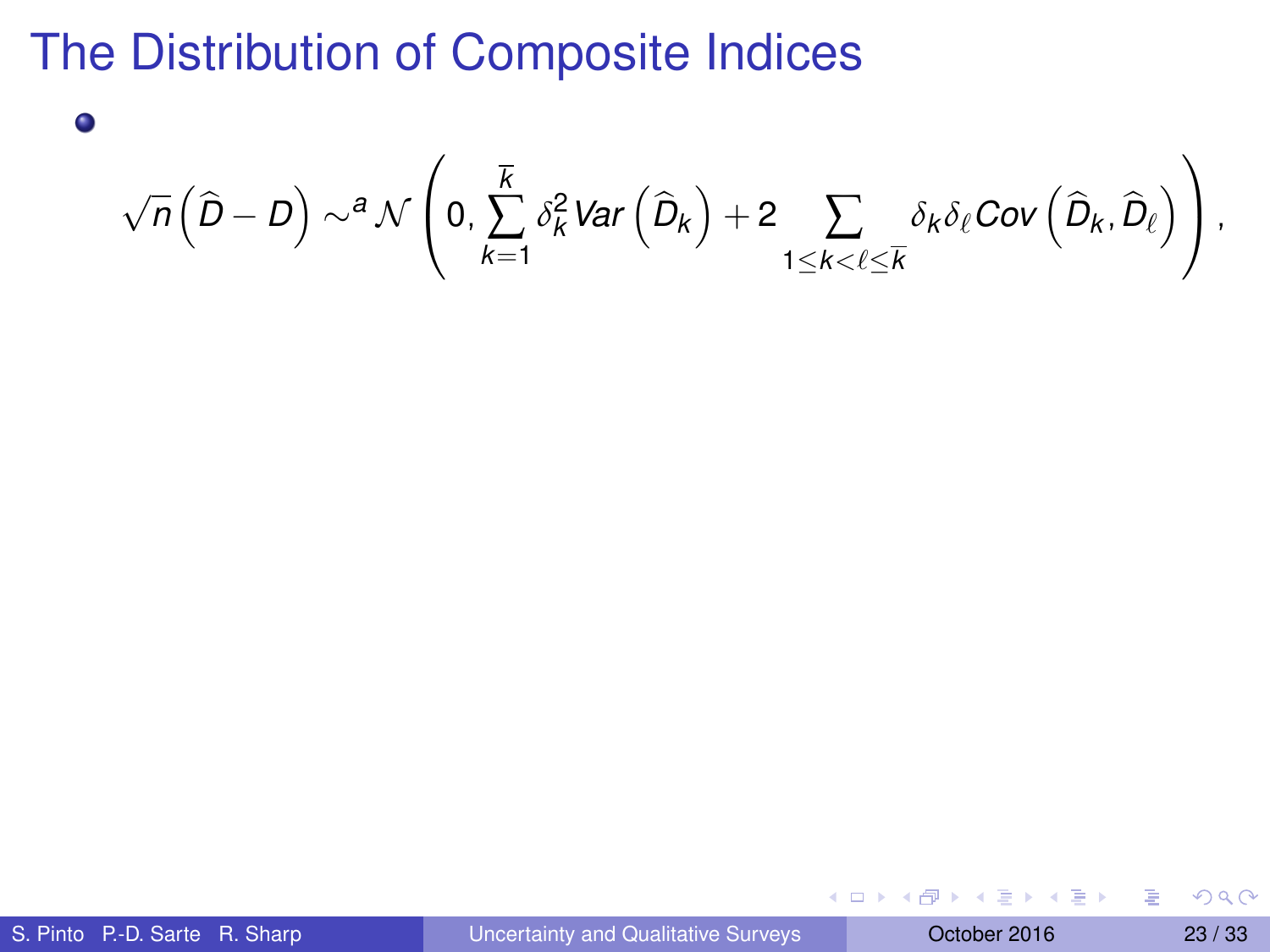$$
\sqrt{n}\left(\widehat{D}-D\right)\sim^a\mathcal{N}\left(0,\sum_{k=1}^{\overline{K}}\delta^2_k\text{Var}\left(\widehat{D}_k\right)+2\sum_{1\leq k<\ell\leq \overline{K}}\delta_k\delta_\ell\text{Cov}\left(\widehat{D}_k,\widehat{D}_\ell\right)\right),
$$

|  | S. Pinto P.-D. Sarte R. Sharp |  |  |
|--|-------------------------------|--|--|
|--|-------------------------------|--|--|

 $\bullet$ 

 $(0,1)$   $(0,1)$   $(0,1)$   $(1,1)$   $(1,1)$   $(1,1)$   $(1,1)$   $(1,1)$   $(1,1)$   $(1,1)$   $(1,1)$   $(1,1)$   $(1,1)$   $(1,1)$   $(1,1)$   $(1,1)$   $(1,1)$   $(1,1)$   $(1,1)$   $(1,1)$   $(1,1)$   $(1,1)$   $(1,1)$   $(1,1)$   $(1,1)$   $(1,1)$   $(1,1)$   $(1,1$ 

活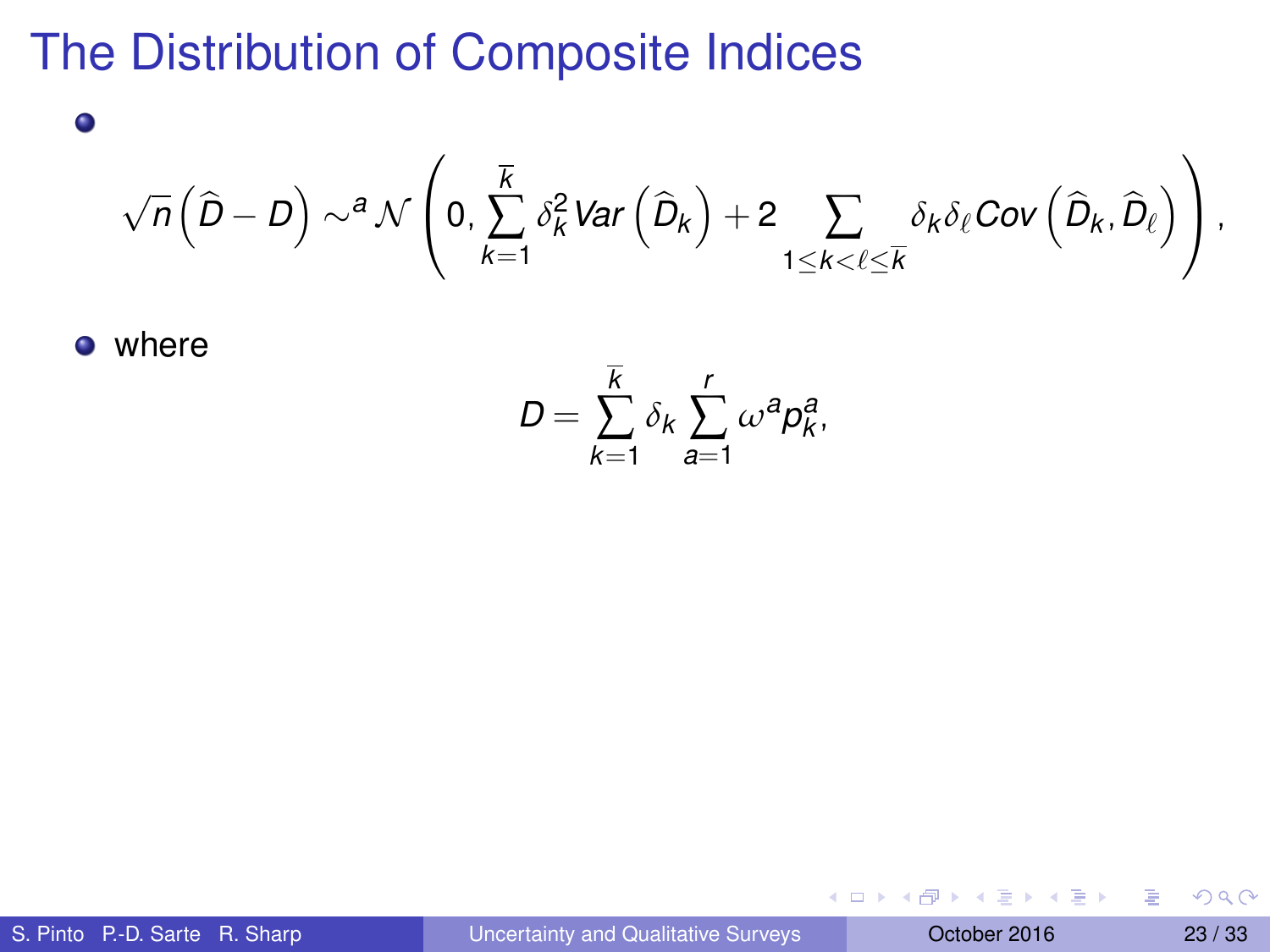$$
\sqrt{n}\left(\widehat{D}-D\right)\sim^a\mathcal{N}\left(0,\sum_{k=1}^{\overline{K}}\delta^2_k\text{Var}\left(\widehat{D}_k\right)+2\sum_{1\leq k<\ell\leq \overline{K}}\delta_k\delta_\ell\text{Cov}\left(\widehat{D}_k,\widehat{D}_\ell\right)\right),
$$

**o** where

 $\bullet$ 

$$
D=\sum_{k=1}^{\overline{k}}\delta_k\sum_{a=1}^r\omega^a p_k^a,
$$

 $(0,1)$   $(0,1)$   $(0,1)$   $(1,1)$   $(1,1)$   $(1,1)$   $(1,1)$   $(1,1)$   $(1,1)$   $(1,1)$   $(1,1)$   $(1,1)$   $(1,1)$   $(1,1)$   $(1,1)$   $(1,1)$   $(1,1)$   $(1,1)$   $(1,1)$   $(1,1)$   $(1,1)$   $(1,1)$   $(1,1)$   $(1,1)$   $(1,1)$   $(1,1)$   $(1,1)$   $(1,1$ 

活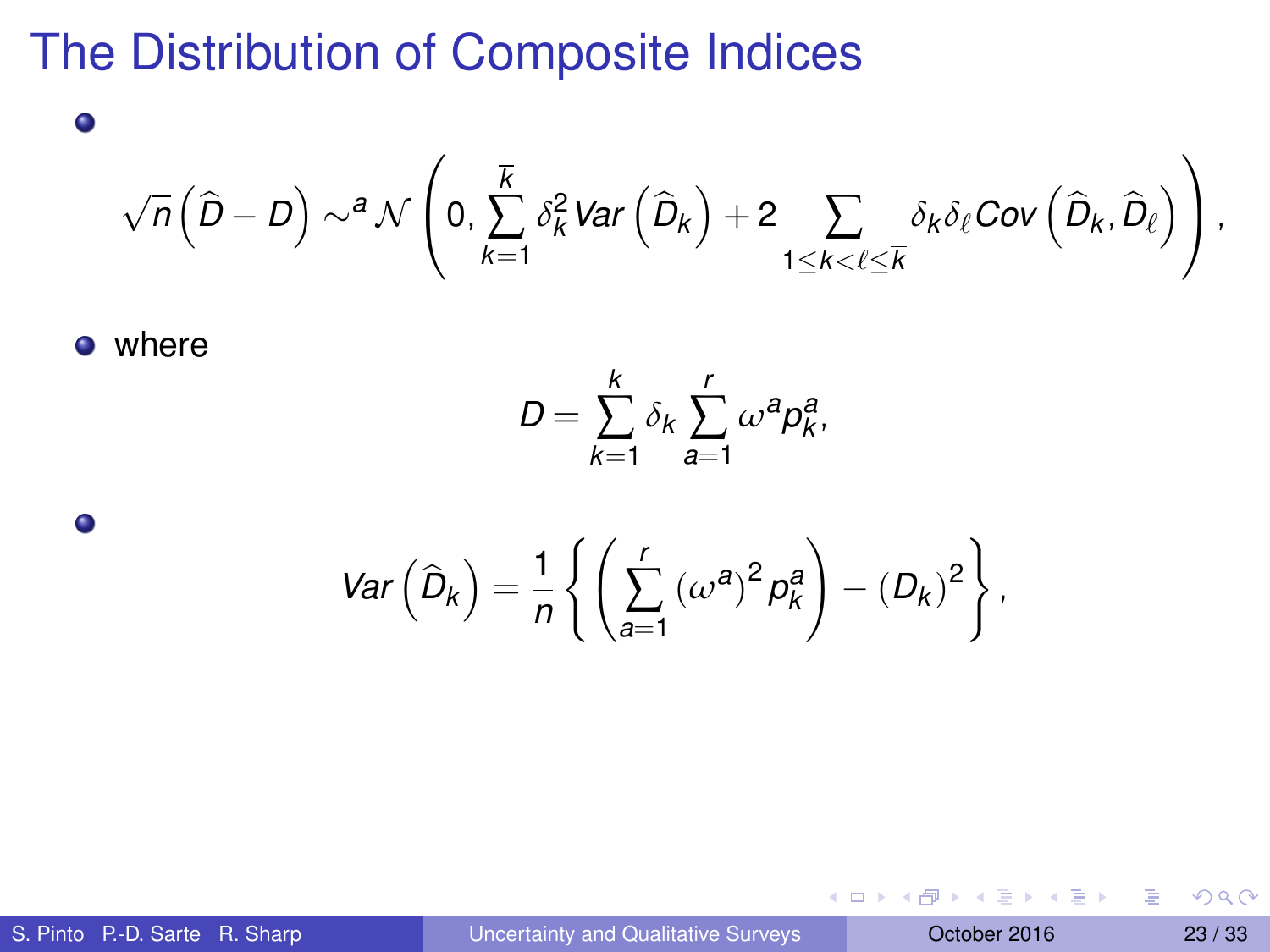#### √  $\overline{n}\left( \widehat{D}-D\right) \sim ^{\bm{a}}\mathcal{N}$  $\sqrt{ }$  $\Big\{\begin{array}{c} 0, \end{array}$ *k* ∑ *k*=1  $\delta_k^2$ Var  $\left( \widehat{D}_k \right) + 2 \sum_{k=1}^N \delta_k^2$ 1≤*k*<`≤*k*  $\delta_k\delta_\ell$ Cov  $\left(\widehat{D}_k,\widehat{D}_\ell\right)$  $\setminus$  $\vert \cdot$

**o** where

 $\bullet$ 

 $\bullet$ 

$$
D=\sum_{k=1}^{\overline{k}}\delta_k\sum_{a=1}^r\omega^a p_k^a,
$$

$$
Var\left(\widehat{D}_k\right) = \frac{1}{n} \left\{ \left( \sum_{a=1}^r \left( \omega^a \right)^2 p_k^a \right) - \left( D_k \right)^2 \right\},\,
$$

в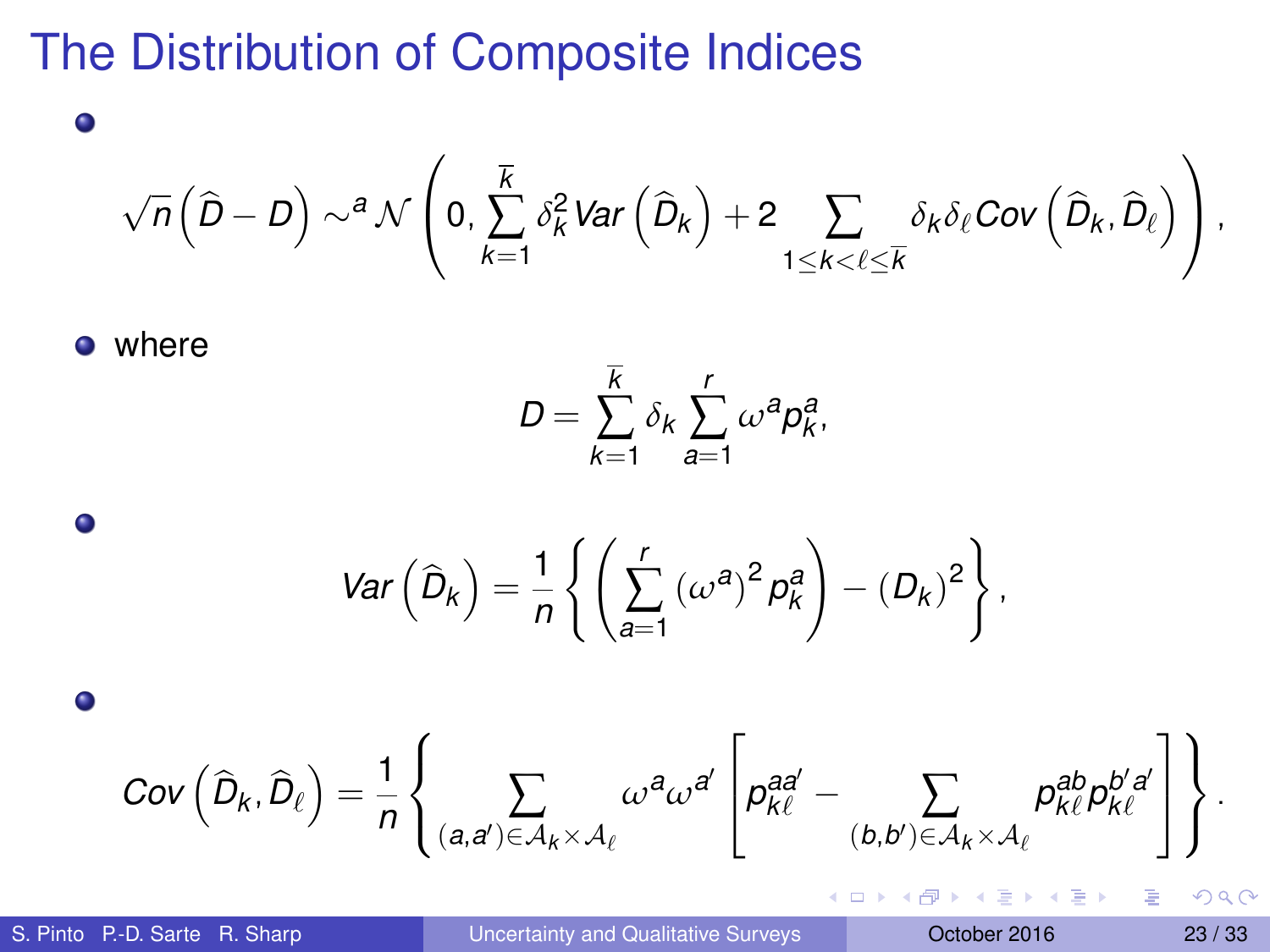#### √  $\overline{n}\left( \widehat{D}-D\right) \sim ^{\bm{a}}\mathcal{N}$  $\sqrt{ }$  $\Big\{\begin{array}{c} 0, \end{array}$ *k* ∑ *k*=1  $\delta_k^2$ Var  $\left( \widehat{D}_k \right) + 2 \sum_{k=1}^N \delta_k^2$ 1≤*k*<`≤*k*  $\delta_k\delta_\ell$ Cov  $\left(\widehat{D}_k,\widehat{D}_\ell\right)$  $\setminus$  $\vert \cdot$

**o** where

 $\bullet$ 

 $\bullet$ 

 $\bullet$ 

$$
D=\sum_{k=1}^{\overline{k}}\delta_k\sum_{a=1}^r\omega^a p_k^a,
$$

$$
Var\left(\widehat{D}_k\right) = \frac{1}{n} \left\{ \left( \sum_{a=1}^r \left( \omega^a \right)^2 p_k^a \right) - \left( D_k \right)^2 \right\},\,
$$

$$
Cov\left(\widehat{D}_k,\widehat{D}_\ell\right)=\frac{1}{n}\left\{\sum_{(a,a')\in\mathcal{A}_k\times\mathcal{A}_\ell}\omega^{a}\omega^{a'}\left[p^{aa'}_{k\ell}-\sum_{(b,b')\in\mathcal{A}_k\times\mathcal{A}_\ell}p^{ab}_{k\ell}p^{b'a'}_{k\ell}\right]\right\}.
$$

∍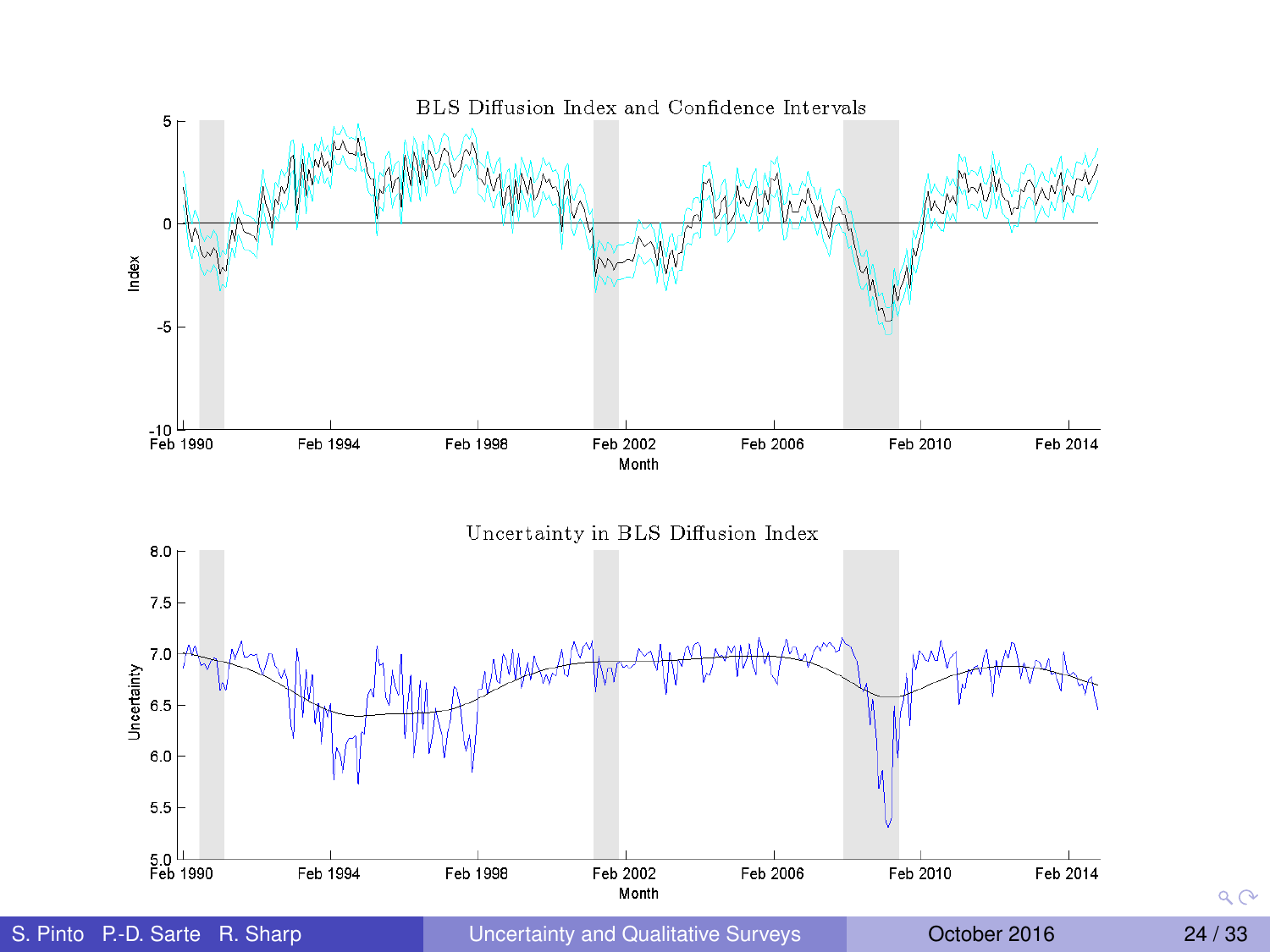

 $Q$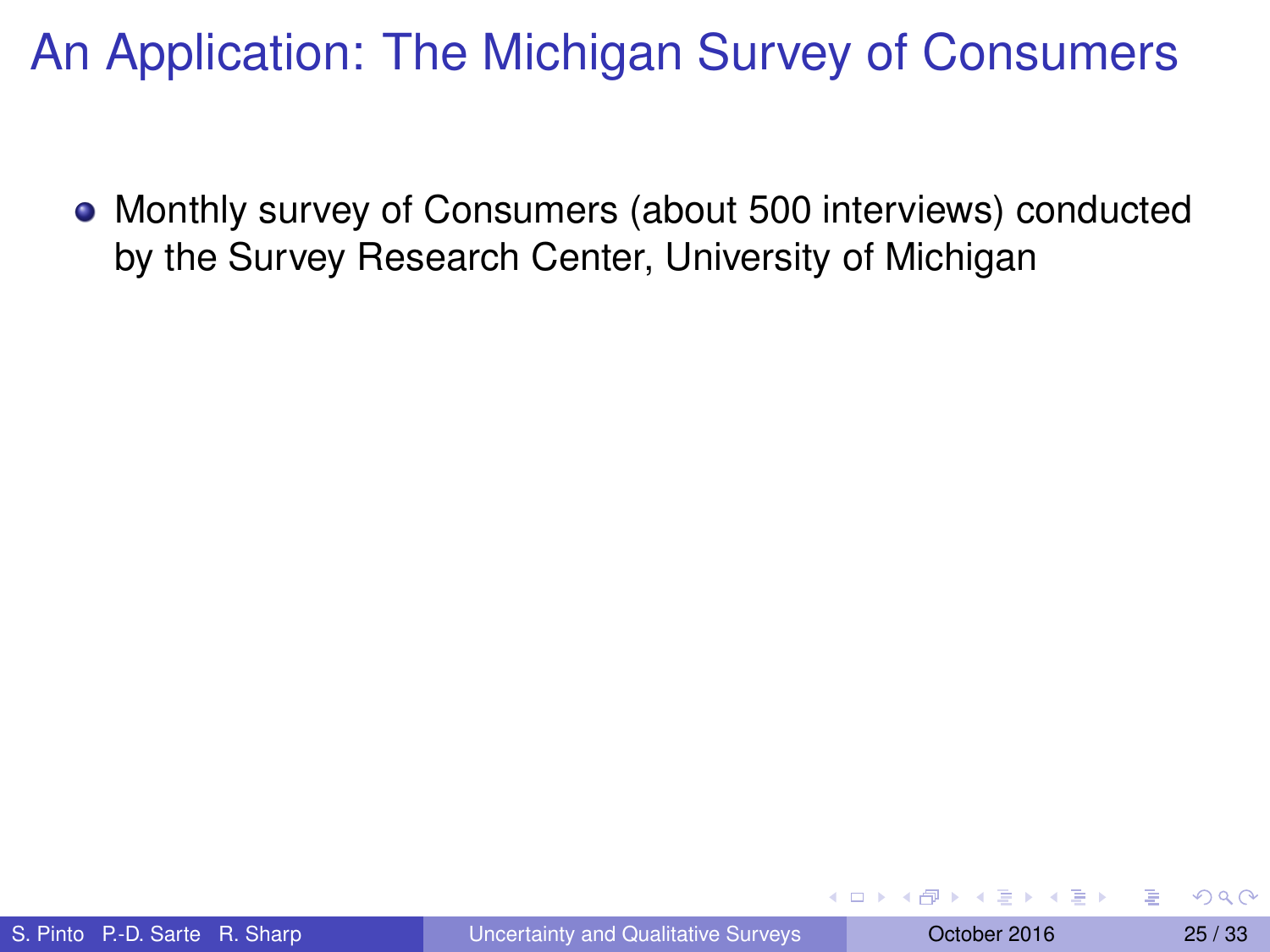Monthly survey of Consumers (about 500 interviews) conducted by the Survey Research Center, University of Michigan

**The South Book**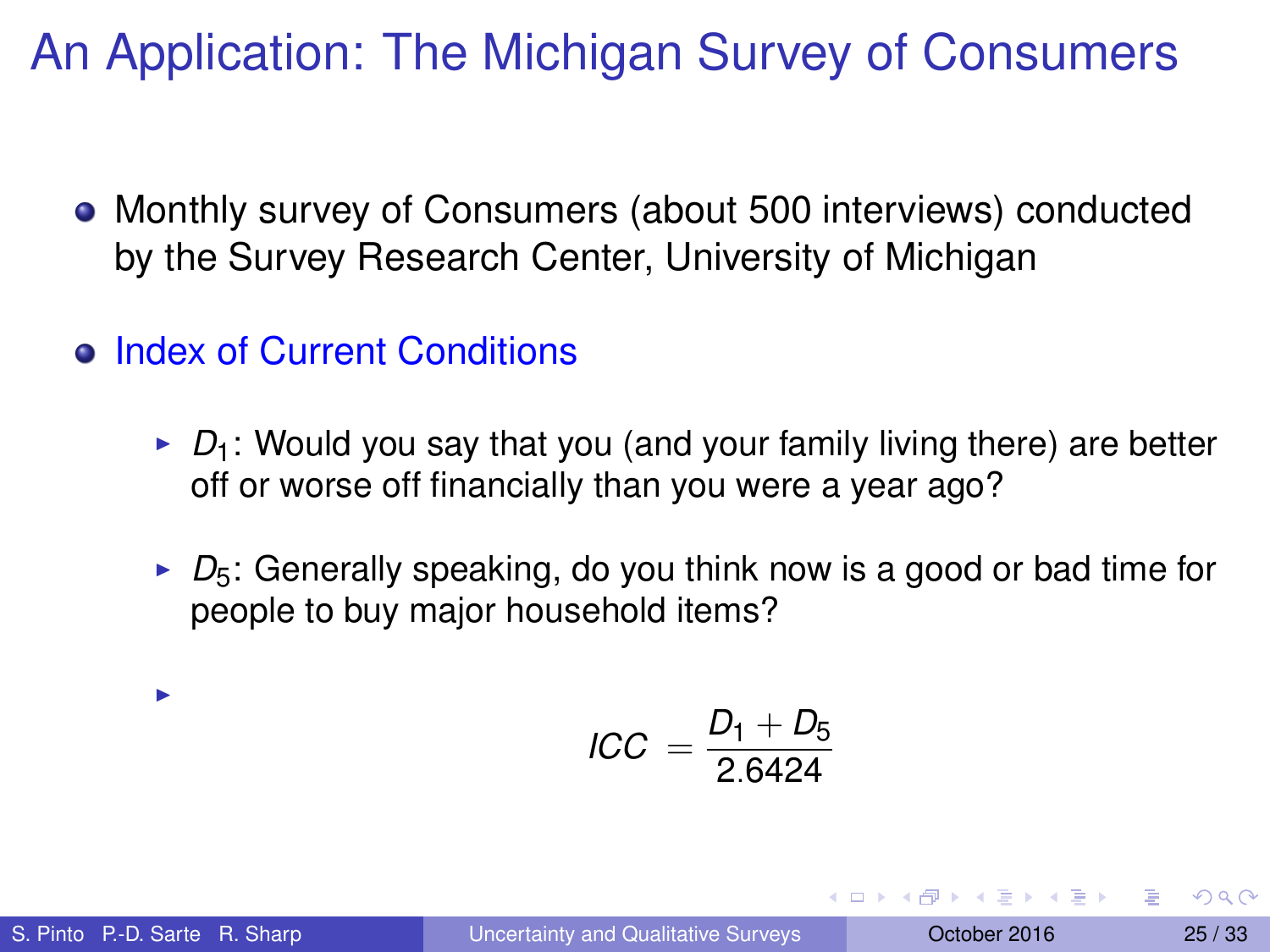- Monthly survey of Consumers (about 500 interviews) conducted by the Survey Research Center, University of Michigan
- **Index of Current Conditions** 
	- $\triangleright$   $D_1$ : Would you say that you (and your family living there) are better off or worse off financially than you were a year ago?
	- $\triangleright$   $D_5$ : Generally speaking, do you think now is a good or bad time for people to buy major household items?

$$
ICC = \frac{D_1 + D_5}{2.6424}
$$

i.

**REPAREMENT**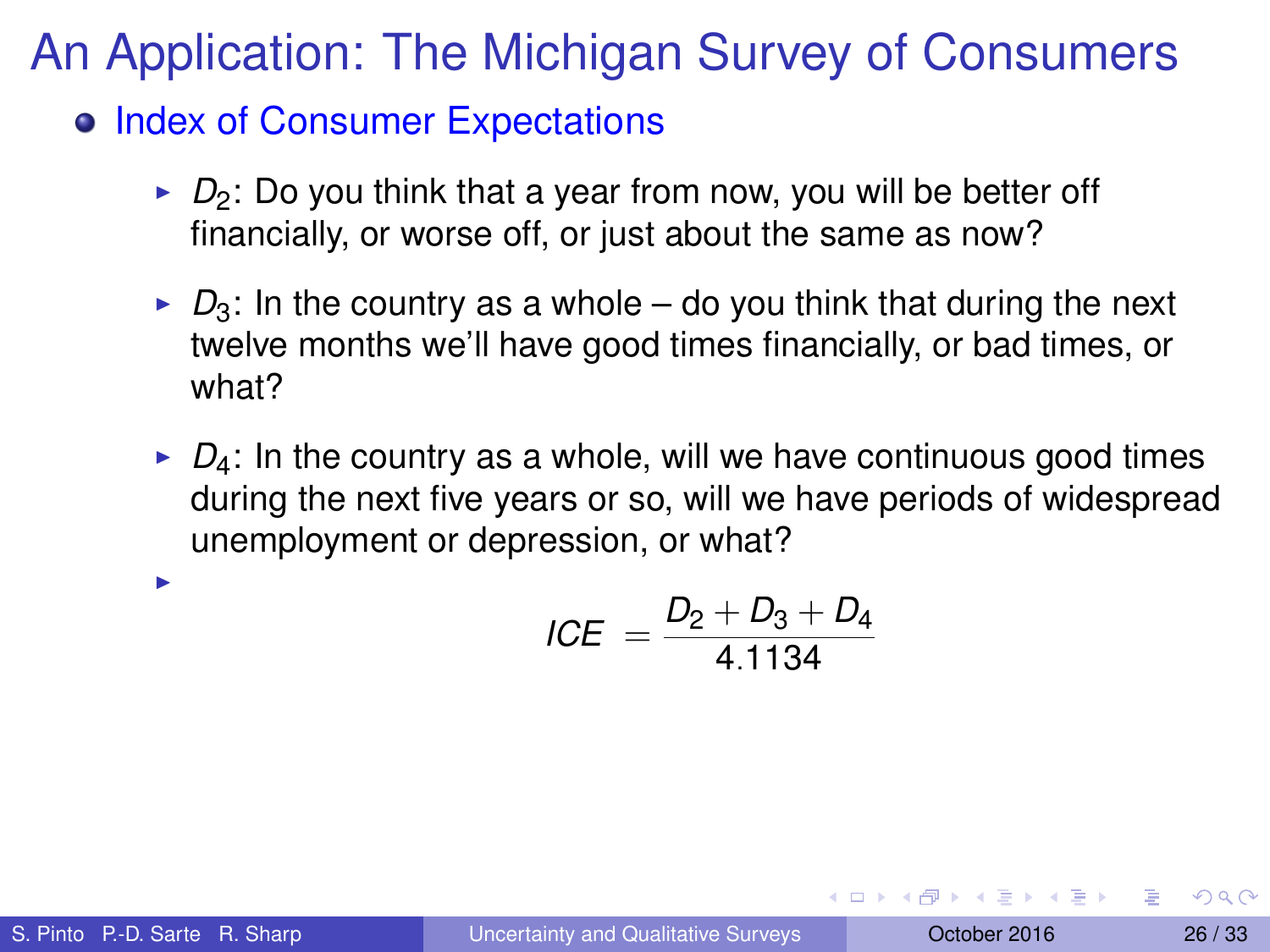o Index of Consumer Expectations

- $\triangleright$   $D_2$ : Do you think that a year from now, you will be better off financially, or worse off, or just about the same as now?
- $\triangleright$   $D_3$ : In the country as a whole do you think that during the next twelve months we'll have good times financially, or bad times, or what?
- $\triangleright$   $D_4$ : In the country as a whole, will we have continuous good times during the next five years or so, will we have periods of widespread unemployment or depression, or what?

$$
ICE = \frac{D_2 + D_3 + D_4}{4.1134}
$$

I

**REPAREMENT**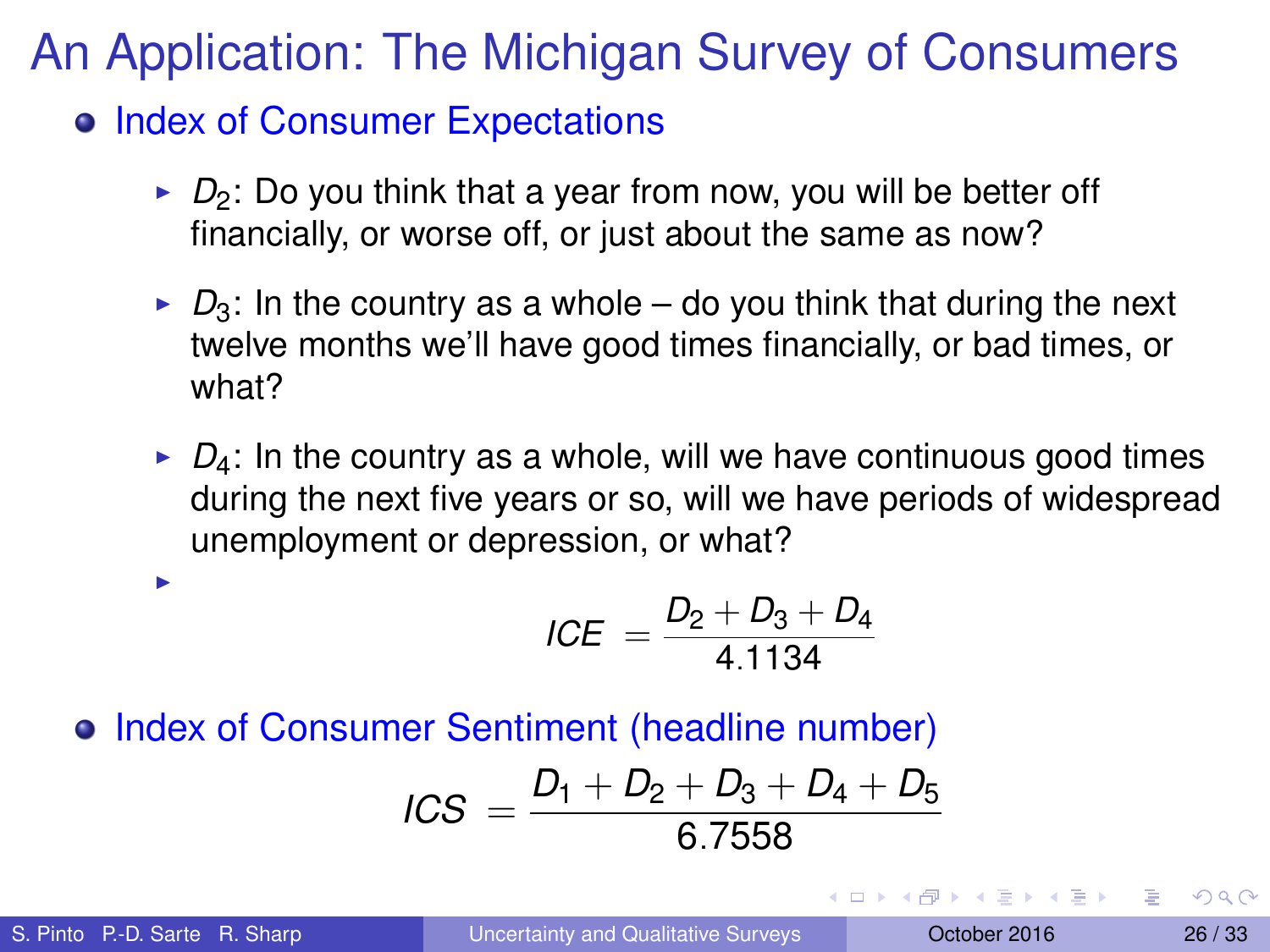o Index of Consumer Expectations

- $\triangleright$   $D_2$ : Do you think that a year from now, you will be better off financially, or worse off, or just about the same as now?
- $\triangleright$   $D_3$ : In the country as a whole do you think that during the next twelve months we'll have good times financially, or bad times, or what?
- $\rightarrow$   $D_4$ : In the country as a whole, will we have continuous good times during the next five years or so, will we have periods of widespread unemployment or depression, or what?

$$
ICE = \frac{D_2 + D_3 + D_4}{4.1134}
$$

#### **• Index of Consumer Sentiment (headline number)**

$$
ICS = \frac{D_1 + D_2 + D_3 + D_4 + D_5}{6.7558}
$$

I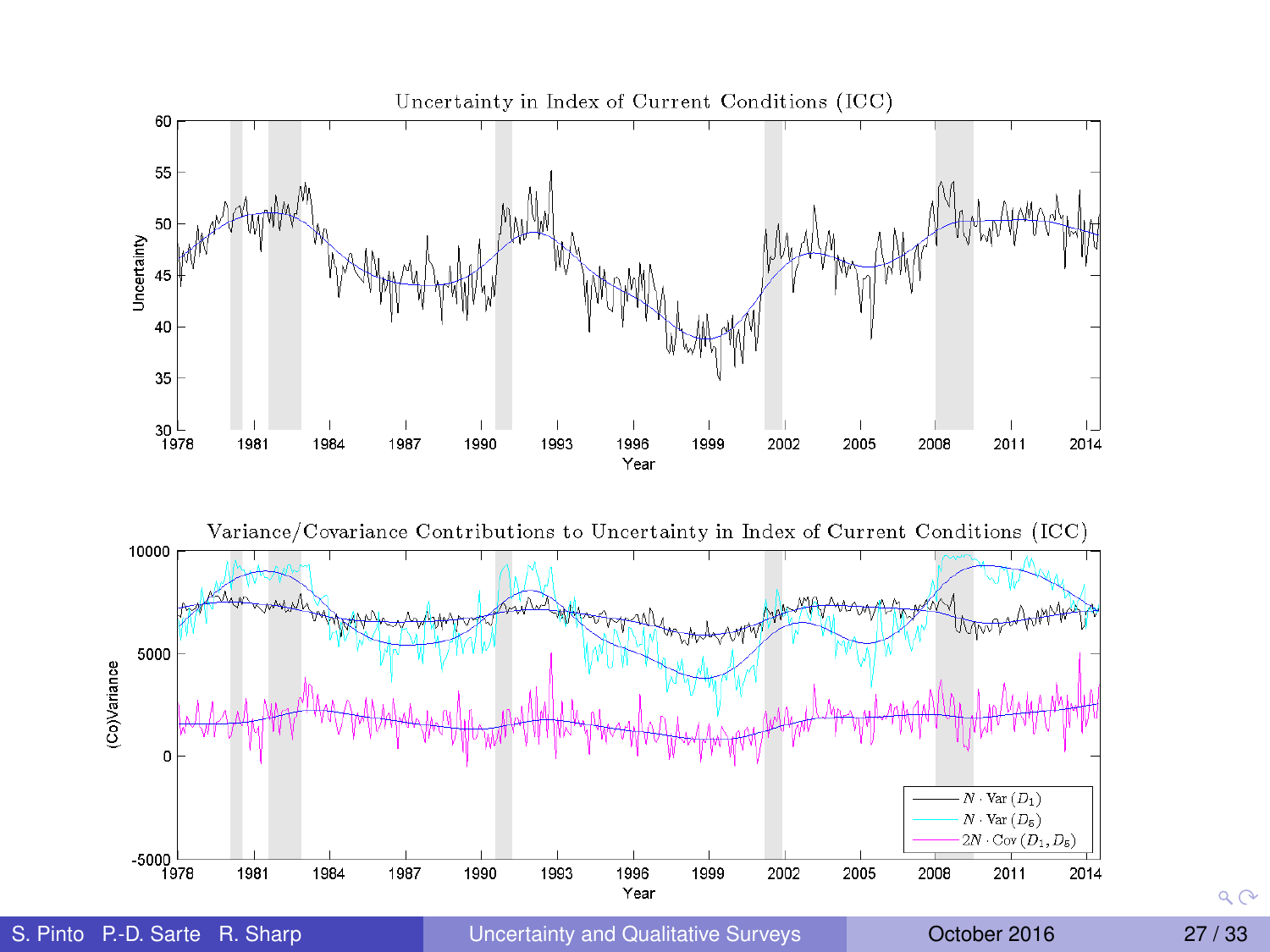

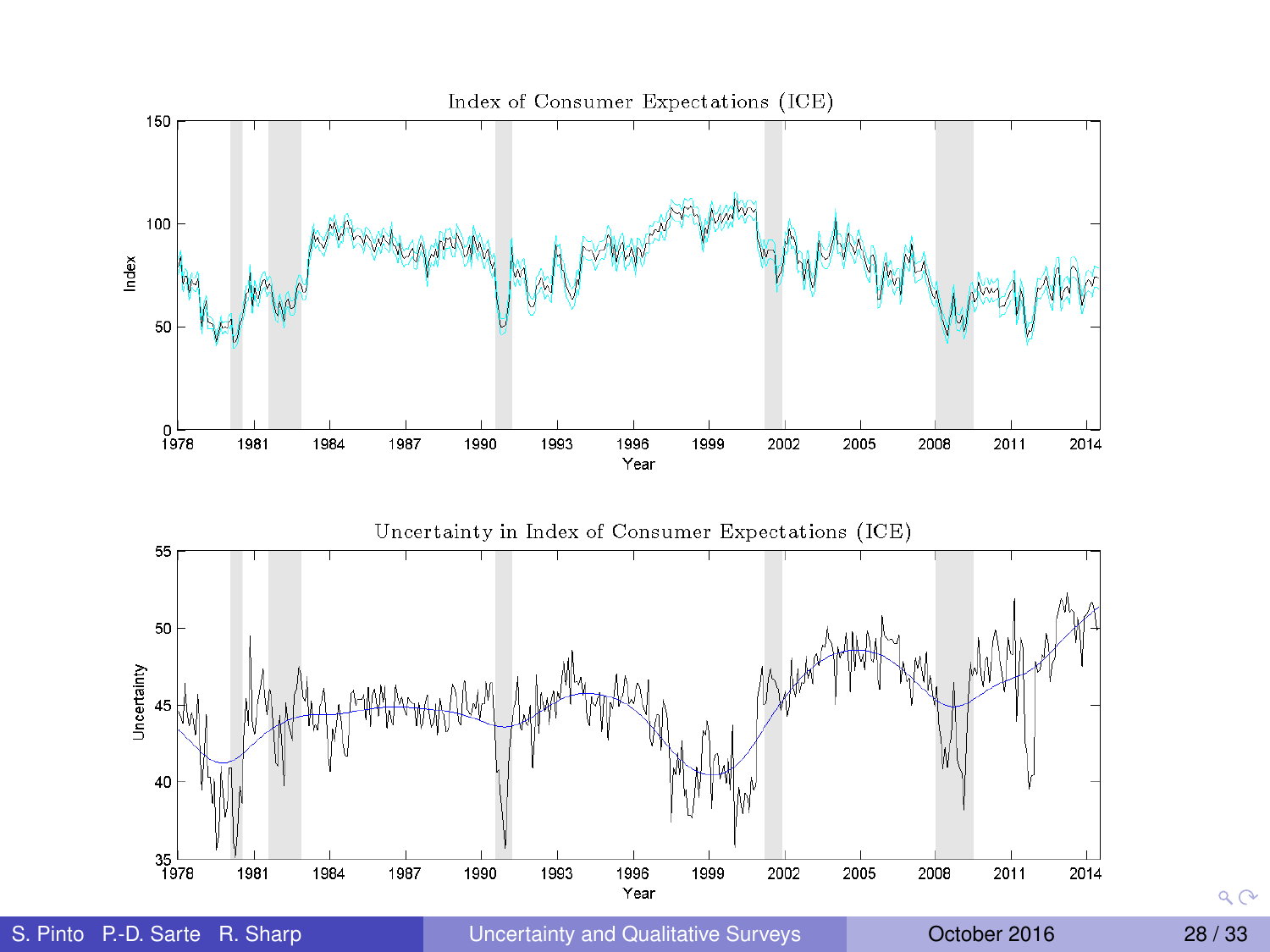

 $QQ$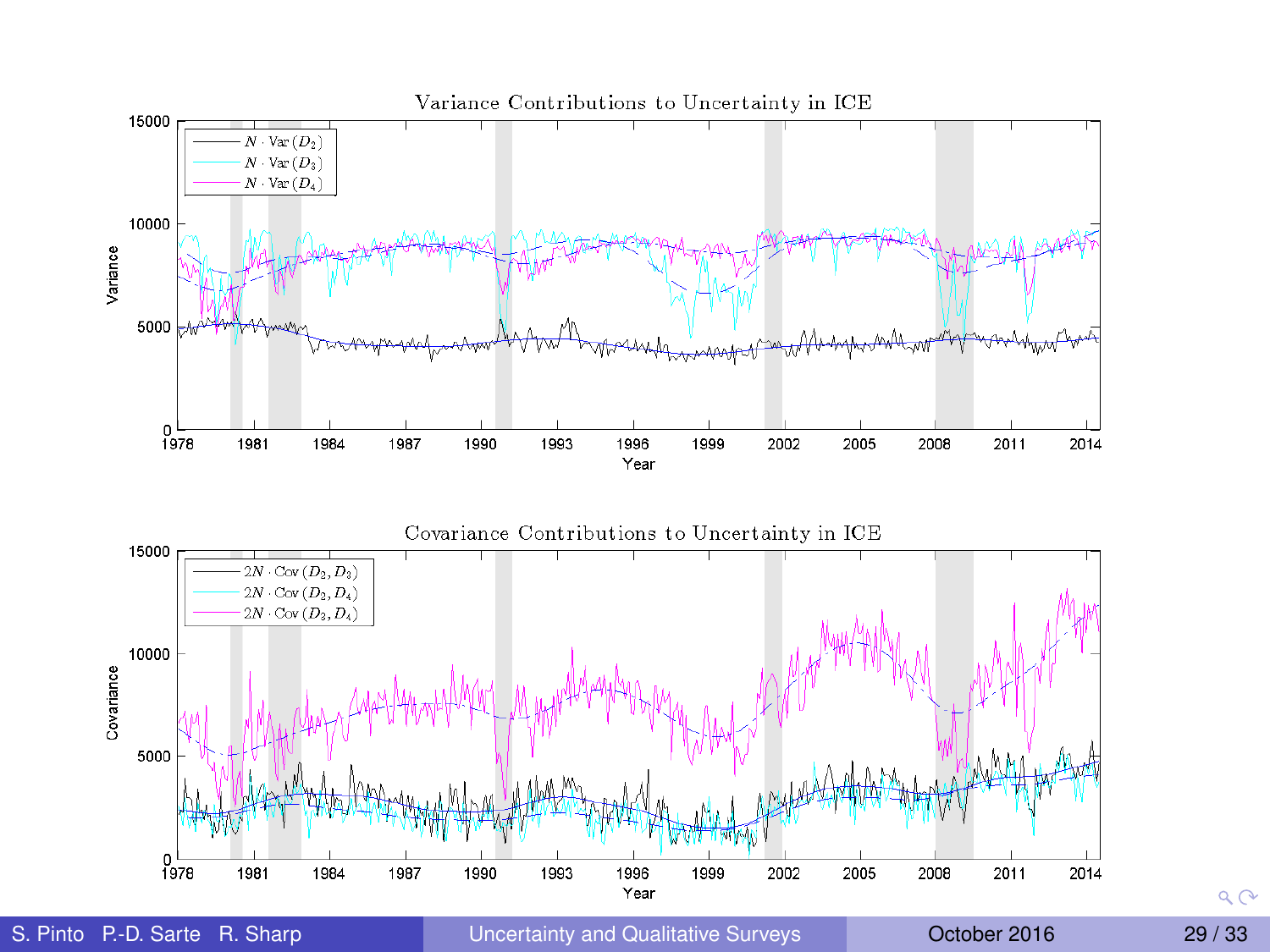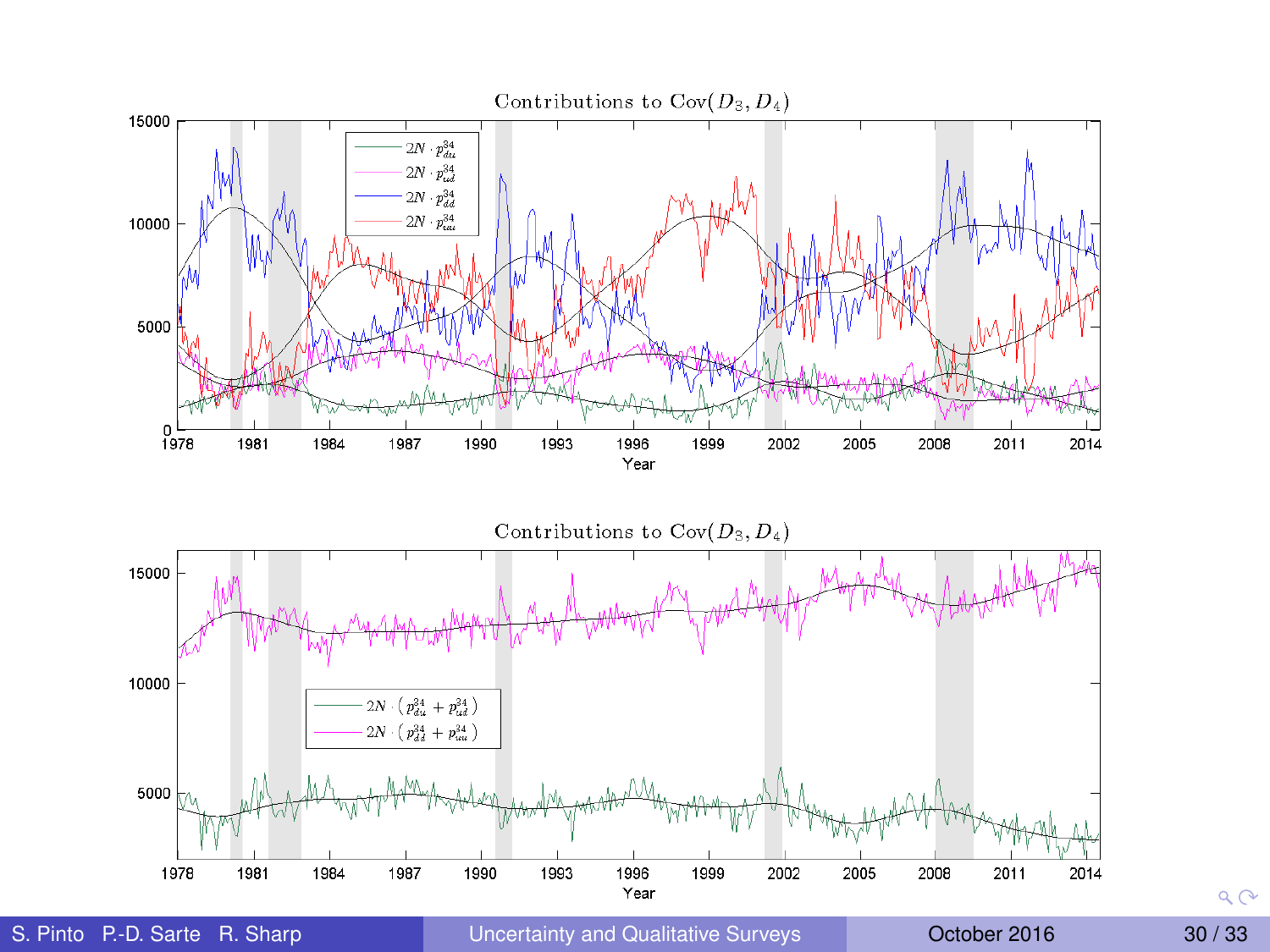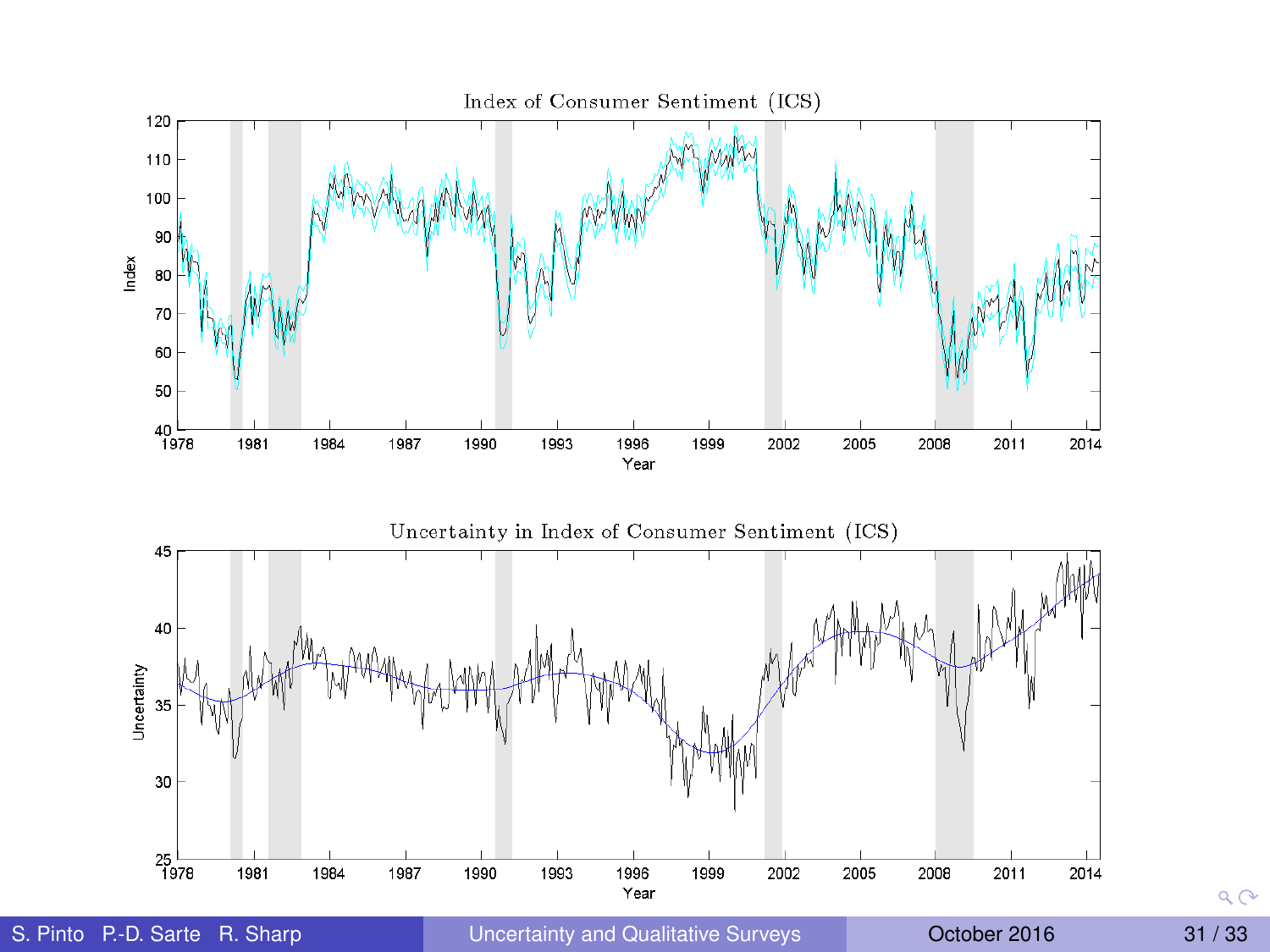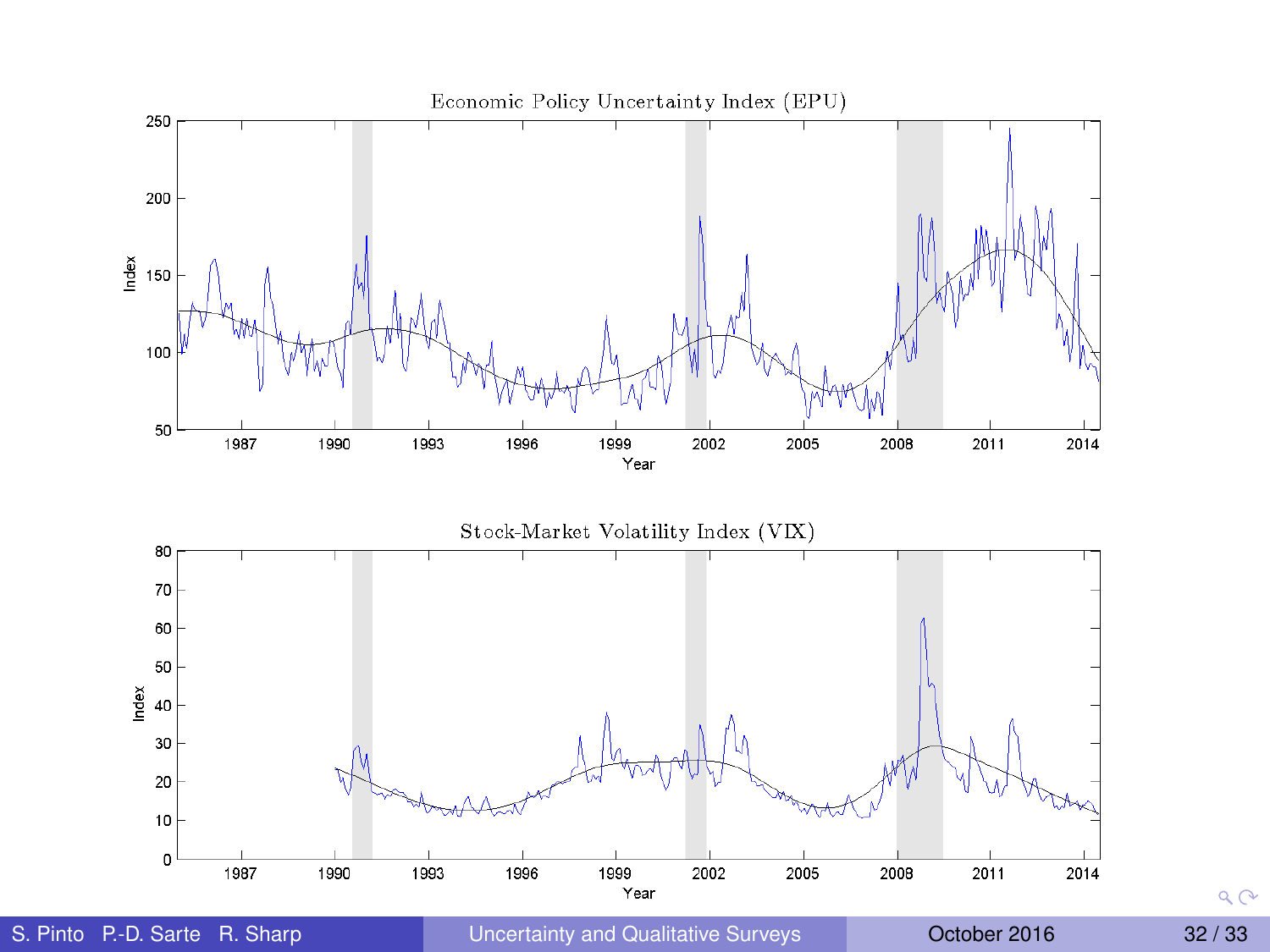

<span id="page-72-0"></span>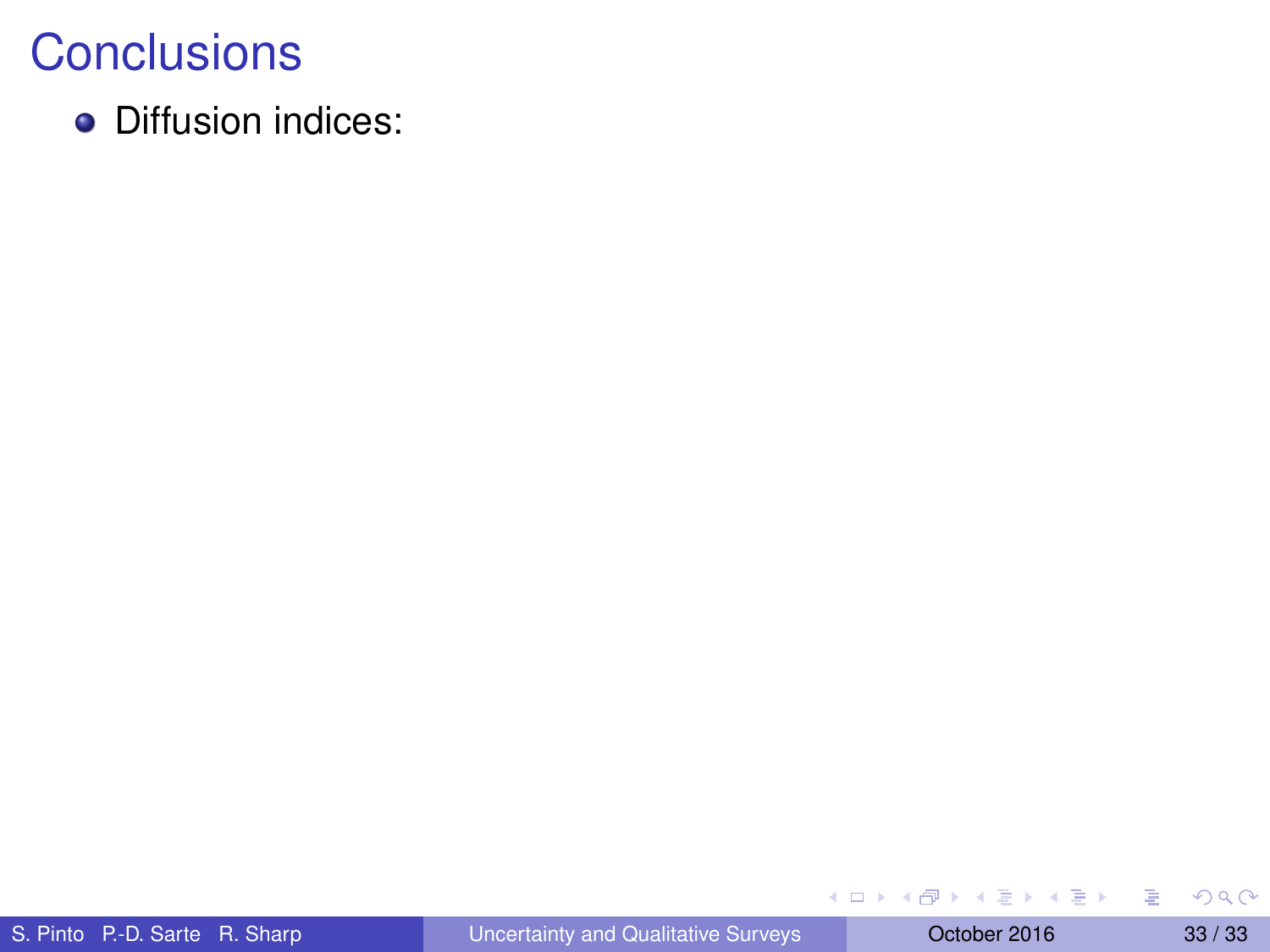• Diffusion indices:

メロトメ 御 トメ 君 トメ 君 ト

<span id="page-73-0"></span>重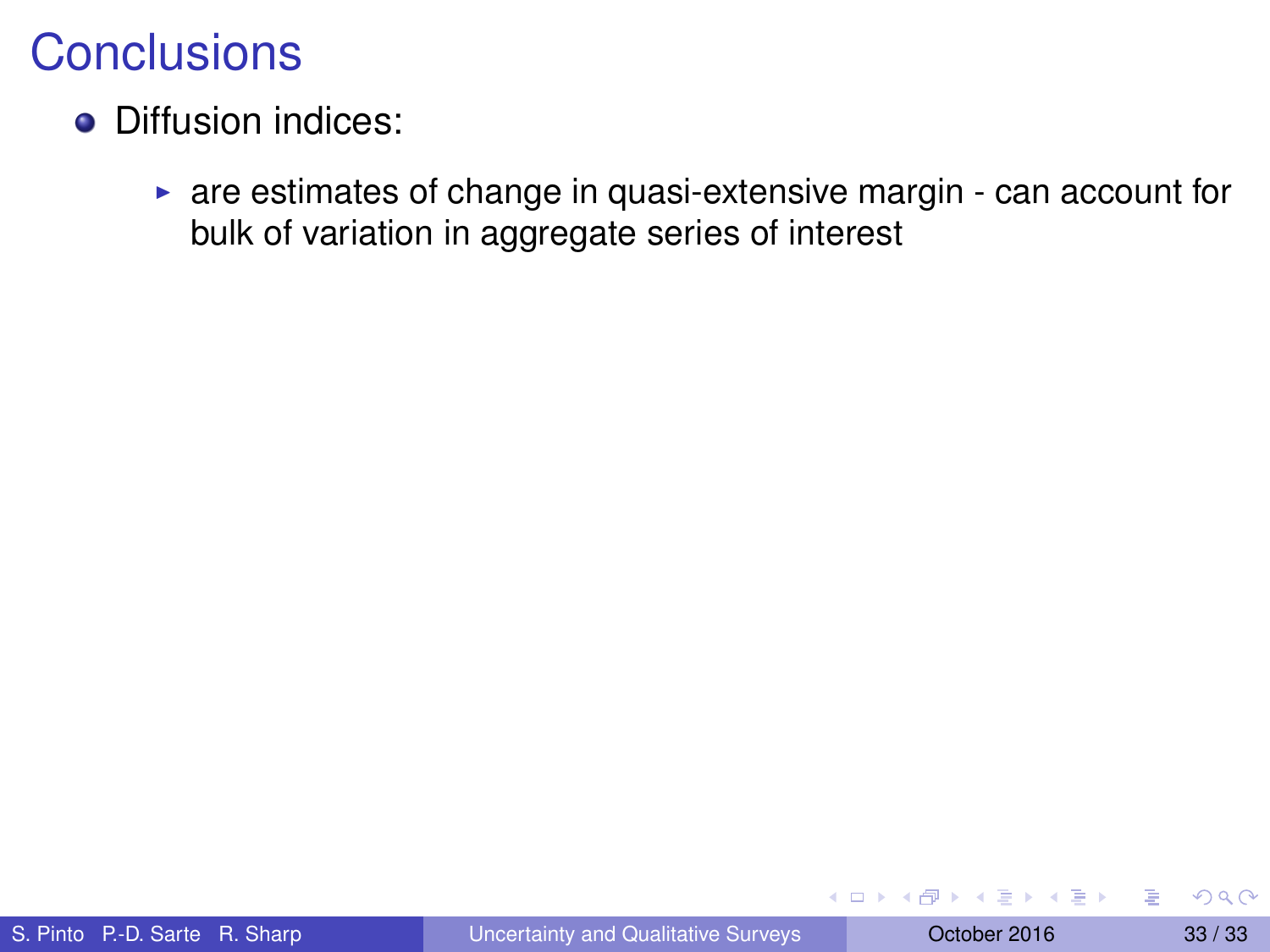- Diffusion indices:
	- $\triangleright$  are estimates of change in quasi-extensive margin can account for bulk of variation in aggregate series of interest

4 17 18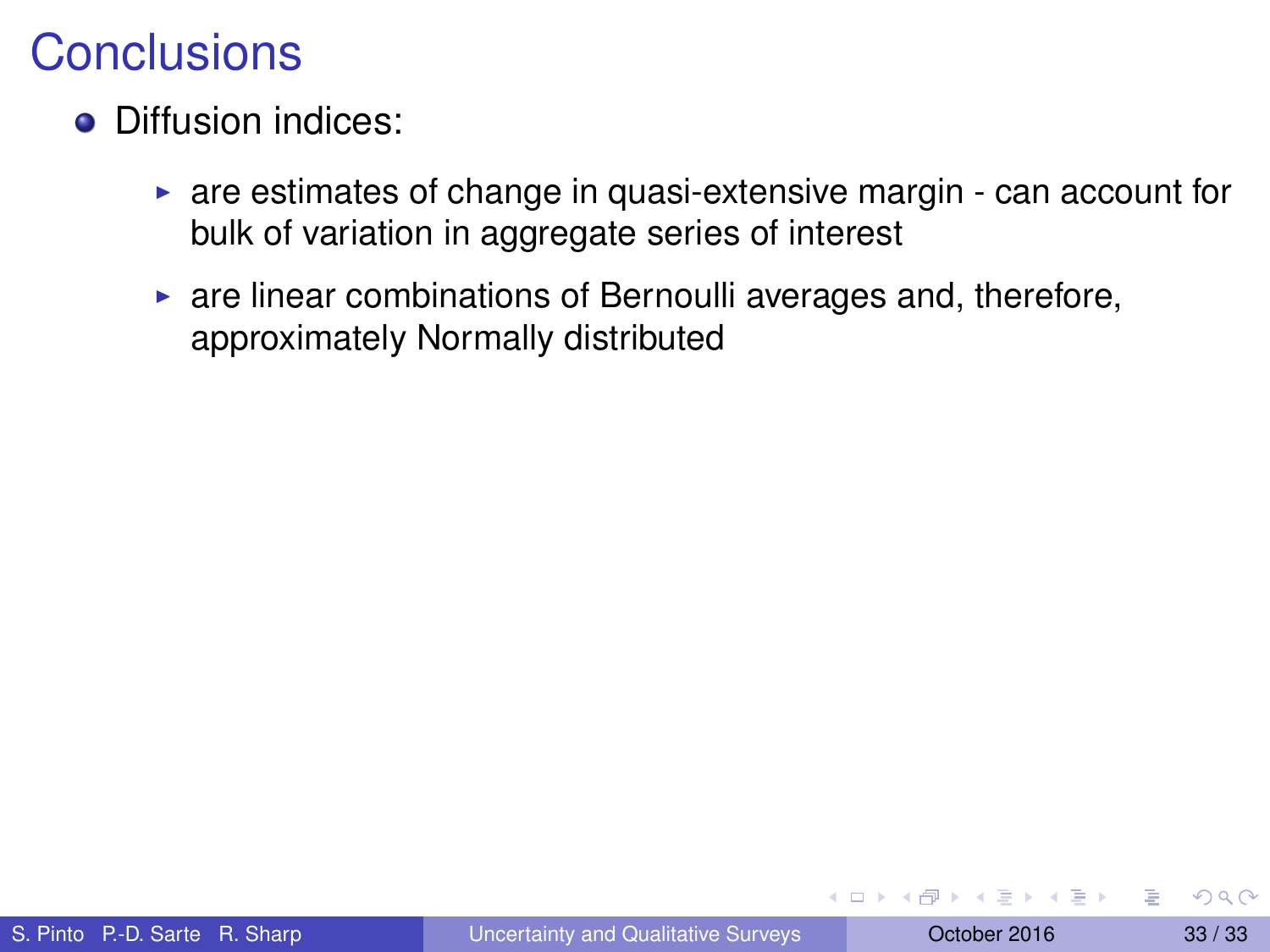- Diffusion indices:
	- $\triangleright$  are estimates of change in quasi-extensive margin can account for bulk of variation in aggregate series of interest
	- $\triangleright$  are linear combinations of Bernoulli averages and, therefore, approximately Normally distributed

医单位 医单位

 $\leftarrow$   $\leftarrow$   $\leftarrow$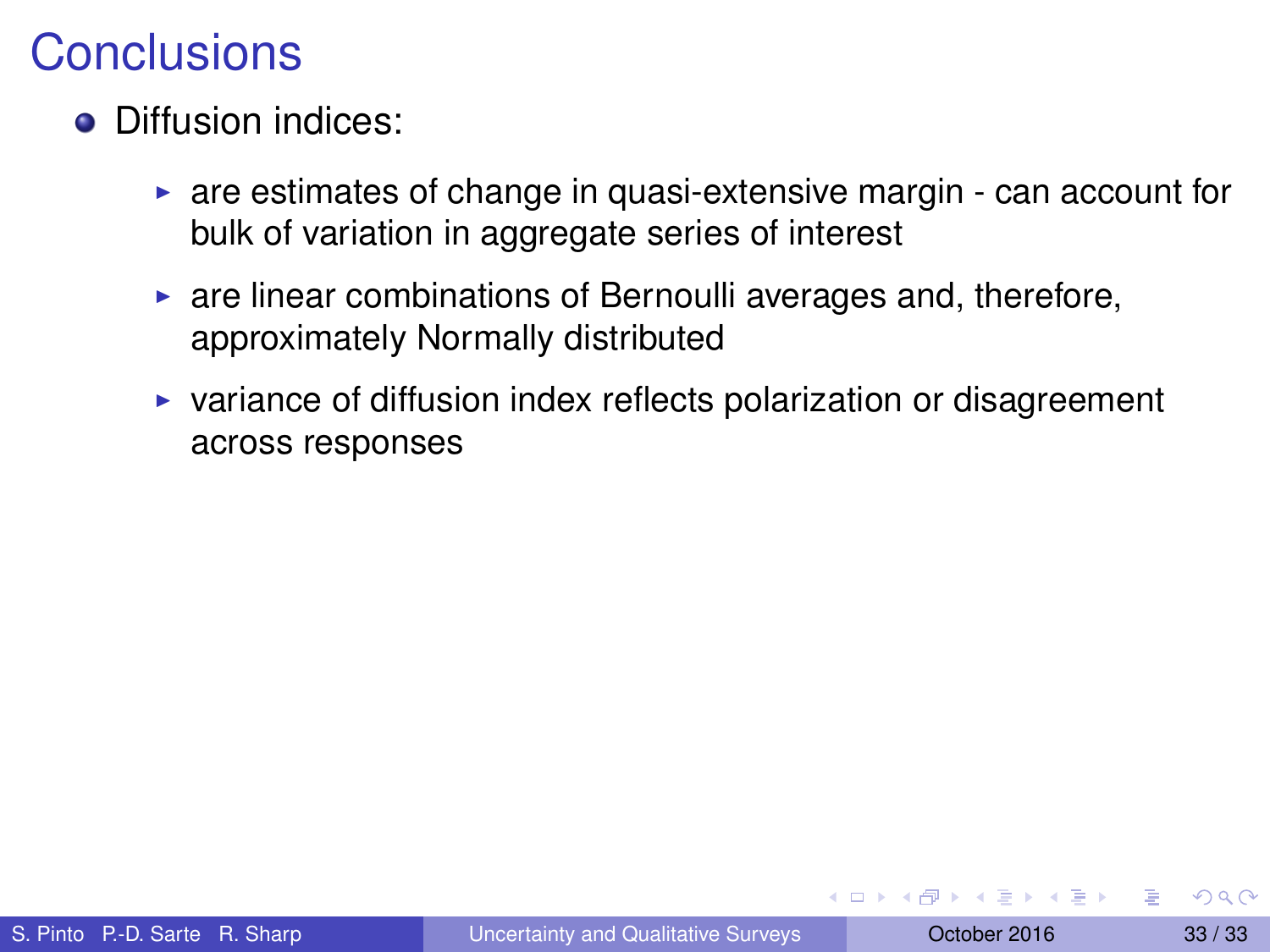- Diffusion indices:
	- $\triangleright$  are estimates of change in quasi-extensive margin can account for bulk of variation in aggregate series of interest
	- $\triangleright$  are linear combinations of Bernoulli averages and, therefore, approximately Normally distributed
	- $\triangleright$  variance of diffusion index reflects polarization or disagreement across responses

**REPAREMENT**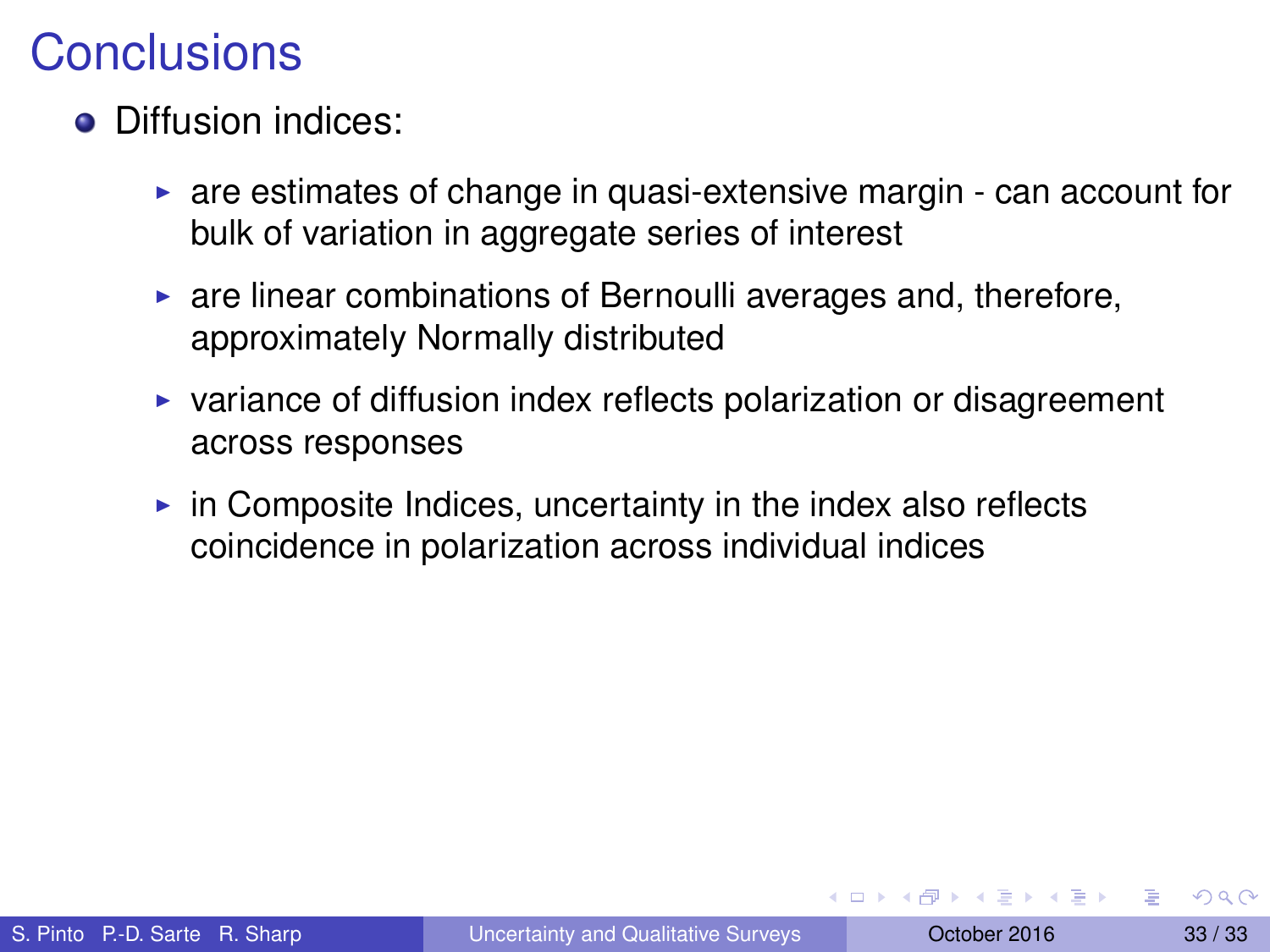- Diffusion indices:
	- $\triangleright$  are estimates of change in quasi-extensive margin can account for bulk of variation in aggregate series of interest
	- $\triangleright$  are linear combinations of Bernoulli averages and, therefore, approximately Normally distributed
	- $\triangleright$  variance of diffusion index reflects polarization or disagreement across responses
	- $\triangleright$  in Composite Indices, uncertainty in the index also reflects coincidence in polarization across individual indices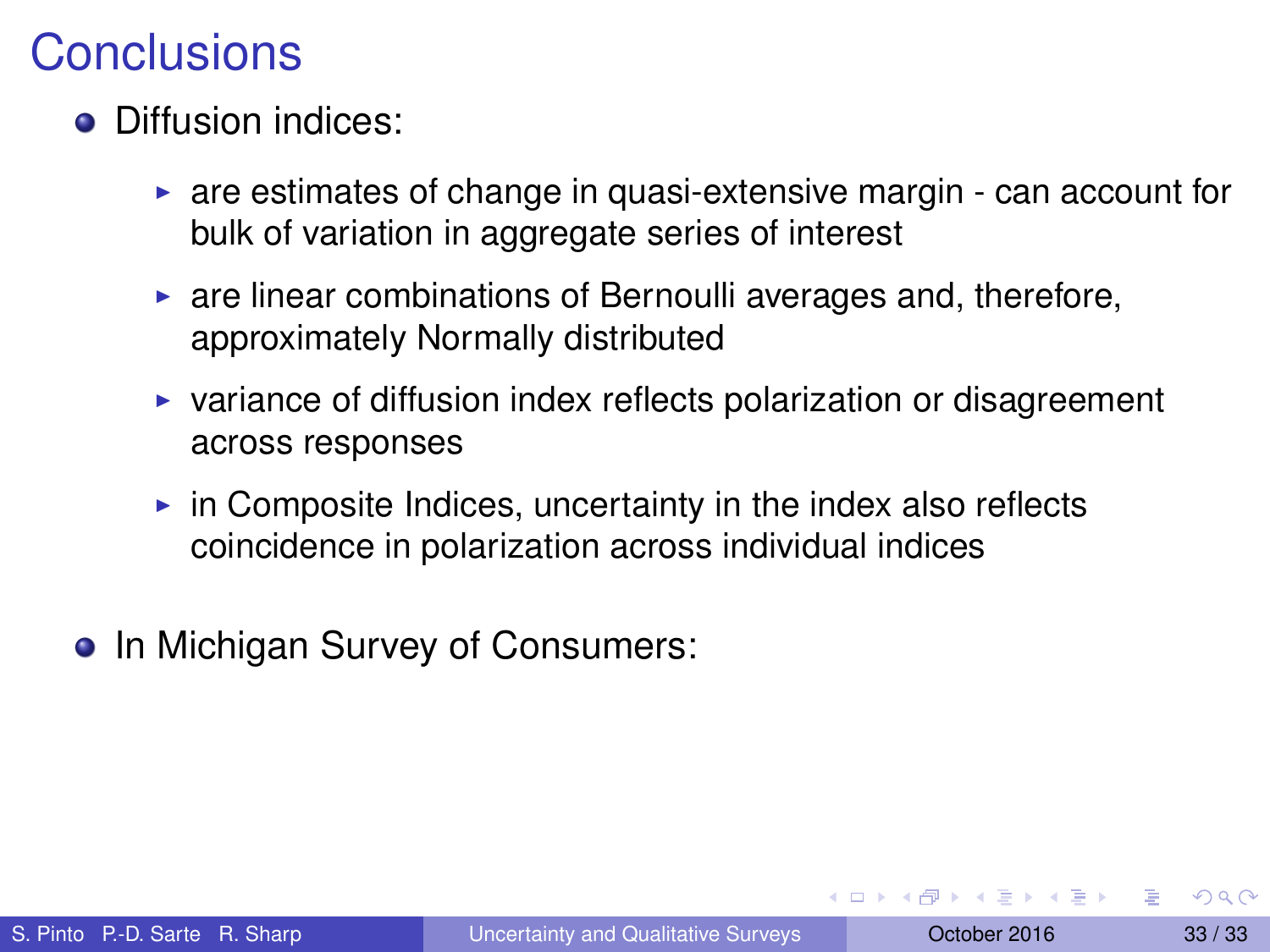- Diffusion indices:
	- $\triangleright$  are estimates of change in quasi-extensive margin can account for bulk of variation in aggregate series of interest
	- $\triangleright$  are linear combinations of Bernoulli averages and, therefore, approximately Normally distributed
	- $\triangleright$  variance of diffusion index reflects polarization or disagreement across responses
	- $\triangleright$  in Composite Indices, uncertainty in the index also reflects coincidence in polarization across individual indices
- In Michigan Survey of Consumers:

医单侧 医骨间的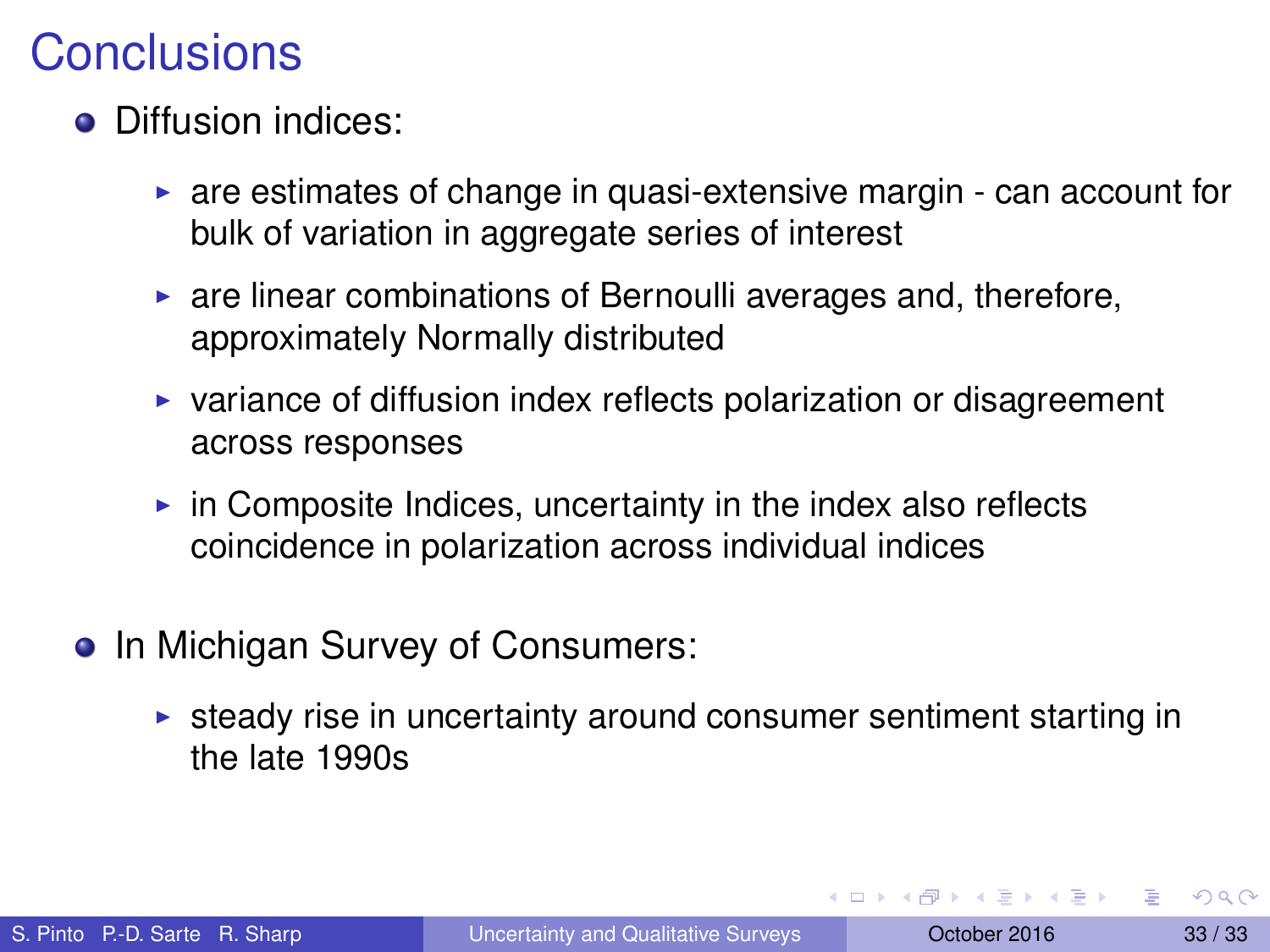- Diffusion indices:
	- $\triangleright$  are estimates of change in quasi-extensive margin can account for bulk of variation in aggregate series of interest
	- $\triangleright$  are linear combinations of Bernoulli averages and, therefore, approximately Normally distributed
	- $\triangleright$  variance of diffusion index reflects polarization or disagreement across responses
	- $\triangleright$  in Composite Indices, uncertainty in the index also reflects coincidence in polarization across individual indices
- <span id="page-79-0"></span>• In Michigan Survey of Consumers:
	- $\triangleright$  steady rise in uncertainty around consumer sentiment starting in the late 1990s